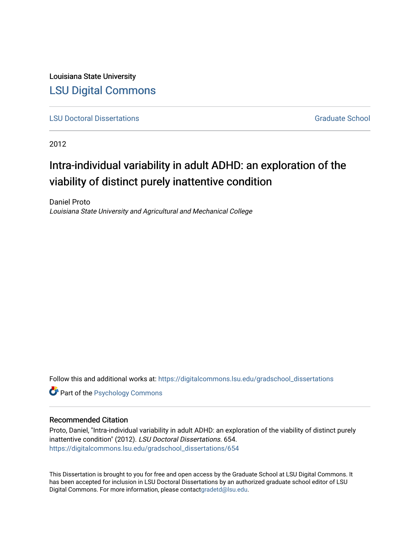Louisiana State University [LSU Digital Commons](https://digitalcommons.lsu.edu/)

**[LSU Doctoral Dissertations](https://digitalcommons.lsu.edu/gradschool_dissertations) Graduate School** Controller Controller Controller Controller Controller Controller Controller Controller Controller Controller Controller Controller Controller Controller Controller Controller C

2012

# Intra-individual variability in adult ADHD: an exploration of the viability of distinct purely inattentive condition

Daniel Proto Louisiana State University and Agricultural and Mechanical College

Follow this and additional works at: [https://digitalcommons.lsu.edu/gradschool\\_dissertations](https://digitalcommons.lsu.edu/gradschool_dissertations?utm_source=digitalcommons.lsu.edu%2Fgradschool_dissertations%2F654&utm_medium=PDF&utm_campaign=PDFCoverPages)

**Part of the Psychology Commons** 

#### Recommended Citation

Proto, Daniel, "Intra-individual variability in adult ADHD: an exploration of the viability of distinct purely inattentive condition" (2012). LSU Doctoral Dissertations. 654. [https://digitalcommons.lsu.edu/gradschool\\_dissertations/654](https://digitalcommons.lsu.edu/gradschool_dissertations/654?utm_source=digitalcommons.lsu.edu%2Fgradschool_dissertations%2F654&utm_medium=PDF&utm_campaign=PDFCoverPages) 

This Dissertation is brought to you for free and open access by the Graduate School at LSU Digital Commons. It has been accepted for inclusion in LSU Doctoral Dissertations by an authorized graduate school editor of LSU Digital Commons. For more information, please contac[tgradetd@lsu.edu.](mailto:gradetd@lsu.edu)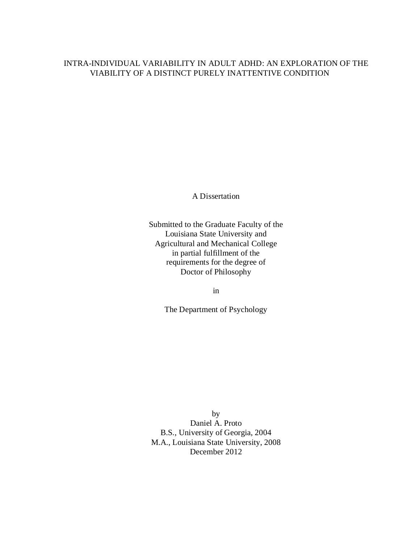### INTRA-INDIVIDUAL VARIABILITY IN ADULT ADHD: AN EXPLORATION OF THE VIABILITY OF A DISTINCT PURELY INATTENTIVE CONDITION

A Dissertation

Submitted to the Graduate Faculty of the Louisiana State University and Agricultural and Mechanical College in partial fulfillment of the requirements for the degree of Doctor of Philosophy

in

The Department of Psychology

by Daniel A. Proto B.S., University of Georgia, 2004 M.A., Louisiana State University, 2008 December 2012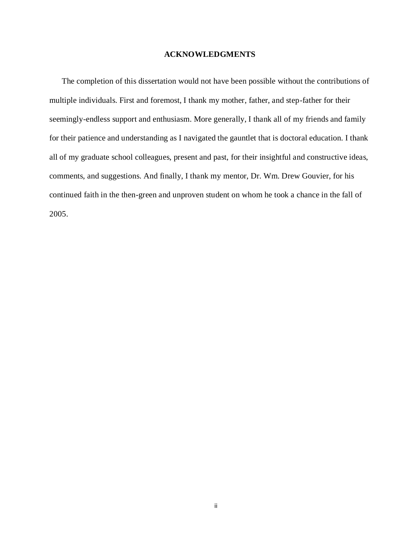#### **ACKNOWLEDGMENTS**

The completion of this dissertation would not have been possible without the contributions of multiple individuals. First and foremost, I thank my mother, father, and step-father for their seemingly-endless support and enthusiasm. More generally, I thank all of my friends and family for their patience and understanding as I navigated the gauntlet that is doctoral education. I thank all of my graduate school colleagues, present and past, for their insightful and constructive ideas, comments, and suggestions. And finally, I thank my mentor, Dr. Wm. Drew Gouvier, for his continued faith in the then-green and unproven student on whom he took a chance in the fall of 2005.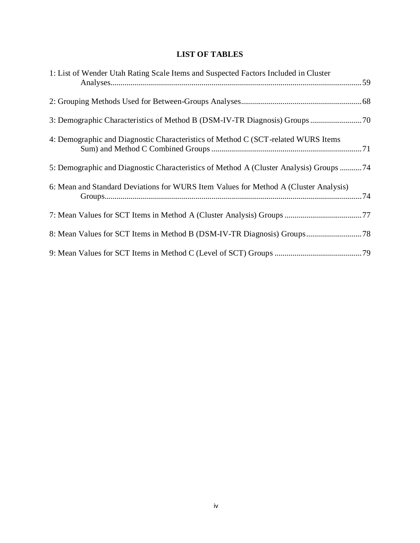## **LIST OF TABLES**

| 1: List of Wender Utah Rating Scale Items and Suspected Factors Included in Cluster    |
|----------------------------------------------------------------------------------------|
|                                                                                        |
|                                                                                        |
| 4: Demographic and Diagnostic Characteristics of Method C (SCT-related WURS Items      |
| 5: Demographic and Diagnostic Characteristics of Method A (Cluster Analysis) Groups 74 |
| 6: Mean and Standard Deviations for WURS Item Values for Method A (Cluster Analysis)   |
|                                                                                        |
|                                                                                        |
|                                                                                        |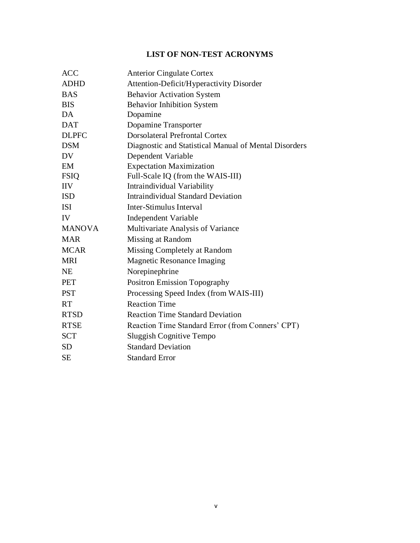## **LIST OF NON-TEST ACRONYMS**

| <b>ACC</b>    | <b>Anterior Cingulate Cortex</b>                      |
|---------------|-------------------------------------------------------|
| <b>ADHD</b>   | Attention-Deficit/Hyperactivity Disorder              |
| <b>BAS</b>    | <b>Behavior Activation System</b>                     |
| <b>BIS</b>    | <b>Behavior Inhibition System</b>                     |
| DA            | Dopamine                                              |
| <b>DAT</b>    | Dopamine Transporter                                  |
| <b>DLPFC</b>  | <b>Dorsolateral Prefrontal Cortex</b>                 |
| <b>DSM</b>    | Diagnostic and Statistical Manual of Mental Disorders |
| <b>DV</b>     | Dependent Variable                                    |
| EM            | <b>Expectation Maximization</b>                       |
| <b>FSIQ</b>   | Full-Scale IQ (from the WAIS-III)                     |
| <b>IIV</b>    | Intraindividual Variability                           |
| <b>ISD</b>    | <b>Intraindividual Standard Deviation</b>             |
| <b>ISI</b>    | Inter-Stimulus Interval                               |
| IV            | <b>Independent Variable</b>                           |
| <b>MANOVA</b> | Multivariate Analysis of Variance                     |
| <b>MAR</b>    | Missing at Random                                     |
| <b>MCAR</b>   | Missing Completely at Random                          |
| <b>MRI</b>    | <b>Magnetic Resonance Imaging</b>                     |
| <b>NE</b>     | Norepinephrine                                        |
| <b>PET</b>    | <b>Positron Emission Topography</b>                   |
| <b>PST</b>    | Processing Speed Index (from WAIS-III)                |
| <b>RT</b>     | <b>Reaction Time</b>                                  |
| <b>RTSD</b>   | <b>Reaction Time Standard Deviation</b>               |
| <b>RTSE</b>   | Reaction Time Standard Error (from Conners' CPT)      |
| <b>SCT</b>    | <b>Sluggish Cognitive Tempo</b>                       |
| <b>SD</b>     | <b>Standard Deviation</b>                             |
| <b>SE</b>     | <b>Standard Error</b>                                 |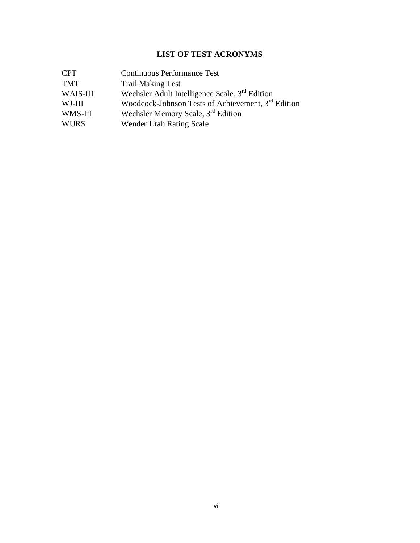### **LIST OF TEST ACRONYMS**

| <b>CPT</b>  | <b>Continuous Performance Test</b>                         |
|-------------|------------------------------------------------------------|
| <b>TMT</b>  | <b>Trail Making Test</b>                                   |
| WAIS-III    | Wechsler Adult Intelligence Scale, 3 <sup>rd</sup> Edition |
| WJ-III      | Woodcock-Johnson Tests of Achievement, 3rd Edition         |
| WMS-III     | Wechsler Memory Scale, 3 <sup>rd</sup> Edition             |
| <b>WURS</b> | Wender Utah Rating Scale                                   |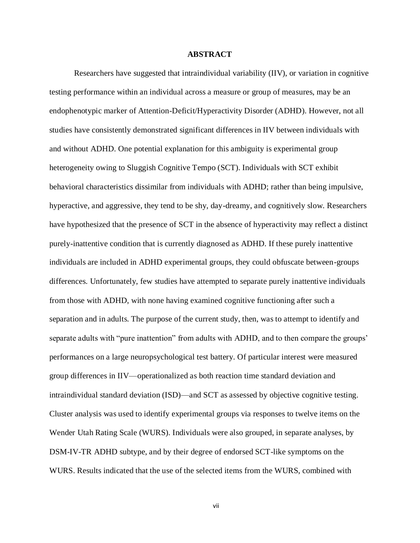#### **ABSTRACT**

Researchers have suggested that intraindividual variability (IIV), or variation in cognitive testing performance within an individual across a measure or group of measures, may be an endophenotypic marker of Attention-Deficit/Hyperactivity Disorder (ADHD). However, not all studies have consistently demonstrated significant differences in IIV between individuals with and without ADHD. One potential explanation for this ambiguity is experimental group heterogeneity owing to Sluggish Cognitive Tempo (SCT). Individuals with SCT exhibit behavioral characteristics dissimilar from individuals with ADHD; rather than being impulsive, hyperactive, and aggressive, they tend to be shy, day-dreamy, and cognitively slow. Researchers have hypothesized that the presence of SCT in the absence of hyperactivity may reflect a distinct purely-inattentive condition that is currently diagnosed as ADHD. If these purely inattentive individuals are included in ADHD experimental groups, they could obfuscate between-groups differences. Unfortunately, few studies have attempted to separate purely inattentive individuals from those with ADHD, with none having examined cognitive functioning after such a separation and in adults. The purpose of the current study, then, was to attempt to identify and separate adults with "pure inattention" from adults with ADHD, and to then compare the groups' performances on a large neuropsychological test battery. Of particular interest were measured group differences in IIV—operationalized as both reaction time standard deviation and intraindividual standard deviation (ISD)—and SCT as assessed by objective cognitive testing. Cluster analysis was used to identify experimental groups via responses to twelve items on the Wender Utah Rating Scale (WURS). Individuals were also grouped, in separate analyses, by DSM-IV-TR ADHD subtype, and by their degree of endorsed SCT-like symptoms on the WURS. Results indicated that the use of the selected items from the WURS, combined with

vii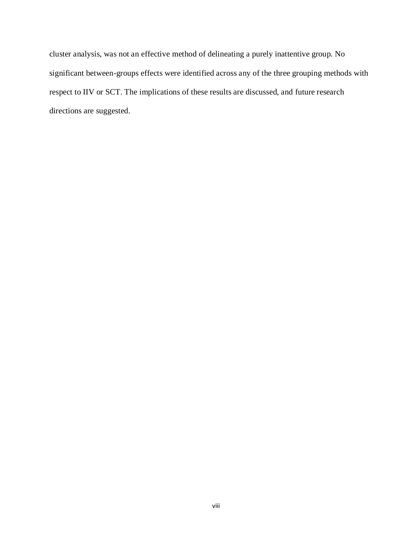cluster analysis, was not an effective method of delineating a purely inattentive group. No significant between-groups effects were identified across any of the three grouping methods with respect to IIV or SCT. The implications of these results are discussed, and future research directions are suggested.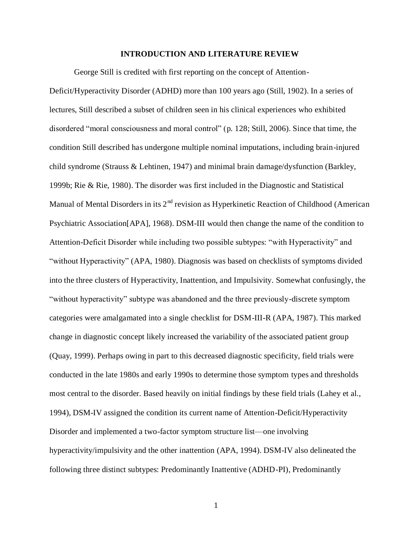#### **INTRODUCTION AND LITERATURE REVIEW**

George Still is credited with first reporting on the concept of Attention-

Deficit/Hyperactivity Disorder (ADHD) more than 100 years ago (Still, 1902). In a series of lectures, Still described a subset of children seen in his clinical experiences who exhibited disordered "moral consciousness and moral control" (p. 128; Still, 2006). Since that time, the condition Still described has undergone multiple nominal imputations, including brain-injured child syndrome (Strauss & Lehtinen, 1947) and minimal brain damage/dysfunction (Barkley, 1999b; Rie & Rie, 1980). The disorder was first included in the Diagnostic and Statistical Manual of Mental Disorders in its  $2<sup>nd</sup>$  revision as Hyperkinetic Reaction of Childhood (American Psychiatric Association[APA], 1968). DSM-III would then change the name of the condition to Attention-Deficit Disorder while including two possible subtypes: "with Hyperactivity" and "without Hyperactivity" (APA, 1980). Diagnosis was based on checklists of symptoms divided into the three clusters of Hyperactivity, Inattention, and Impulsivity. Somewhat confusingly, the "without hyperactivity" subtype was abandoned and the three previously-discrete symptom categories were amalgamated into a single checklist for DSM-III-R (APA, 1987). This marked change in diagnostic concept likely increased the variability of the associated patient group (Quay, 1999). Perhaps owing in part to this decreased diagnostic specificity, field trials were conducted in the late 1980s and early 1990s to determine those symptom types and thresholds most central to the disorder. Based heavily on initial findings by these field trials (Lahey et al., 1994), DSM-IV assigned the condition its current name of Attention-Deficit/Hyperactivity Disorder and implemented a two-factor symptom structure list—one involving hyperactivity/impulsivity and the other inattention (APA, 1994). DSM-IV also delineated the following three distinct subtypes: Predominantly Inattentive (ADHD-PI), Predominantly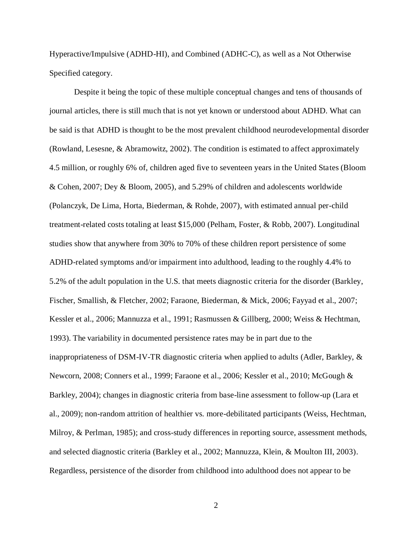Hyperactive/Impulsive (ADHD-HI), and Combined (ADHC-C), as well as a Not Otherwise Specified category.

Despite it being the topic of these multiple conceptual changes and tens of thousands of journal articles, there is still much that is not yet known or understood about ADHD. What can be said is that ADHD is thought to be the most prevalent childhood neurodevelopmental disorder (Rowland, Lesesne, & Abramowitz, 2002). The condition is estimated to affect approximately 4.5 million, or roughly 6% of, children aged five to seventeen years in the United States (Bloom & Cohen, 2007; Dey & Bloom, 2005), and 5.29% of children and adolescents worldwide (Polanczyk, De Lima, Horta, Biederman, & Rohde, 2007), with estimated annual per-child treatment-related costs totaling at least \$15,000 (Pelham, Foster, & Robb, 2007). Longitudinal studies show that anywhere from 30% to 70% of these children report persistence of some ADHD-related symptoms and/or impairment into adulthood, leading to the roughly 4.4% to 5.2% of the adult population in the U.S. that meets diagnostic criteria for the disorder (Barkley, Fischer, Smallish, & Fletcher, 2002; Faraone, Biederman, & Mick, 2006; Fayyad et al., 2007; Kessler et al., 2006; Mannuzza et al., 1991; Rasmussen & Gillberg, 2000; Weiss & Hechtman, 1993). The variability in documented persistence rates may be in part due to the inappropriateness of DSM-IV-TR diagnostic criteria when applied to adults (Adler, Barkley, & Newcorn, 2008; Conners et al., 1999; Faraone et al., 2006; Kessler et al., 2010; McGough & Barkley, 2004); changes in diagnostic criteria from base-line assessment to follow-up (Lara et al., 2009); non-random attrition of healthier vs. more-debilitated participants (Weiss, Hechtman, Milroy, & Perlman, 1985); and cross-study differences in reporting source, assessment methods, and selected diagnostic criteria (Barkley et al., 2002; Mannuzza, Klein, & Moulton III, 2003). Regardless, persistence of the disorder from childhood into adulthood does not appear to be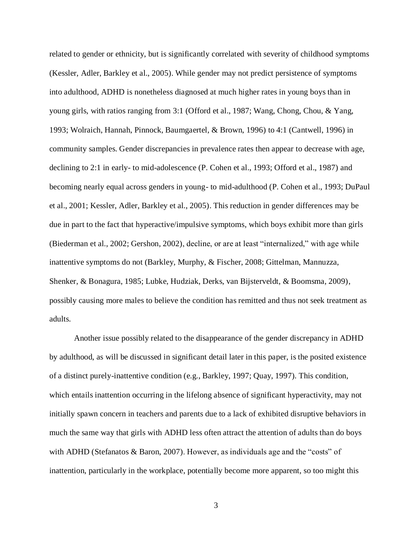related to gender or ethnicity, but is significantly correlated with severity of childhood symptoms (Kessler, Adler, Barkley et al., 2005). While gender may not predict persistence of symptoms into adulthood, ADHD is nonetheless diagnosed at much higher rates in young boys than in young girls, with ratios ranging from 3:1 (Offord et al., 1987; Wang, Chong, Chou, & Yang, 1993; Wolraich, Hannah, Pinnock, Baumgaertel, & Brown, 1996) to 4:1 (Cantwell, 1996) in community samples. Gender discrepancies in prevalence rates then appear to decrease with age, declining to 2:1 in early- to mid-adolescence (P. Cohen et al., 1993; Offord et al., 1987) and becoming nearly equal across genders in young- to mid-adulthood (P. Cohen et al., 1993; DuPaul et al., 2001; Kessler, Adler, Barkley et al., 2005). This reduction in gender differences may be due in part to the fact that hyperactive/impulsive symptoms, which boys exhibit more than girls (Biederman et al., 2002; Gershon, 2002), decline, or are at least "internalized," with age while inattentive symptoms do not (Barkley, Murphy, & Fischer, 2008; Gittelman, Mannuzza, Shenker, & Bonagura, 1985; Lubke, Hudziak, Derks, van Bijsterveldt, & Boomsma, 2009), possibly causing more males to believe the condition has remitted and thus not seek treatment as adults.

Another issue possibly related to the disappearance of the gender discrepancy in ADHD by adulthood, as will be discussed in significant detail later in this paper, is the posited existence of a distinct purely-inattentive condition (e.g., Barkley, 1997; Quay, 1997). This condition, which entails inattention occurring in the lifelong absence of significant hyperactivity, may not initially spawn concern in teachers and parents due to a lack of exhibited disruptive behaviors in much the same way that girls with ADHD less often attract the attention of adults than do boys with ADHD (Stefanatos & Baron, 2007). However, as individuals age and the "costs" of inattention, particularly in the workplace, potentially become more apparent, so too might this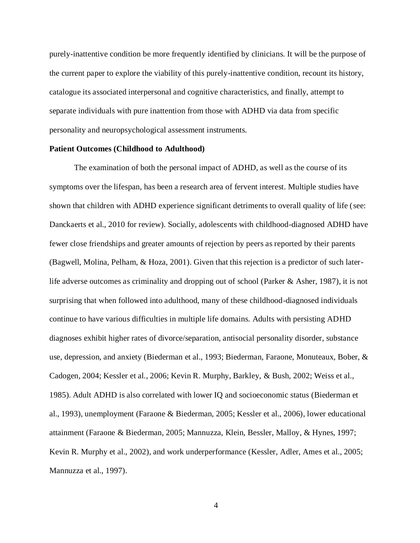purely-inattentive condition be more frequently identified by clinicians. It will be the purpose of the current paper to explore the viability of this purely-inattentive condition, recount its history, catalogue its associated interpersonal and cognitive characteristics, and finally, attempt to separate individuals with pure inattention from those with ADHD via data from specific personality and neuropsychological assessment instruments.

#### **Patient Outcomes (Childhood to Adulthood)**

The examination of both the personal impact of ADHD, as well as the course of its symptoms over the lifespan, has been a research area of fervent interest. Multiple studies have shown that children with ADHD experience significant detriments to overall quality of life (see: Danckaerts et al., 2010 for review). Socially, adolescents with childhood-diagnosed ADHD have fewer close friendships and greater amounts of rejection by peers as reported by their parents (Bagwell, Molina, Pelham, & Hoza, 2001). Given that this rejection is a predictor of such laterlife adverse outcomes as criminality and dropping out of school (Parker & Asher, 1987), it is not surprising that when followed into adulthood, many of these childhood-diagnosed individuals continue to have various difficulties in multiple life domains. Adults with persisting ADHD diagnoses exhibit higher rates of divorce/separation, antisocial personality disorder, substance use, depression, and anxiety (Biederman et al., 1993; Biederman, Faraone, Monuteaux, Bober, & Cadogen, 2004; Kessler et al., 2006; Kevin R. Murphy, Barkley, & Bush, 2002; Weiss et al., 1985). Adult ADHD is also correlated with lower IQ and socioeconomic status (Biederman et al., 1993), unemployment (Faraone & Biederman, 2005; Kessler et al., 2006), lower educational attainment (Faraone & Biederman, 2005; Mannuzza, Klein, Bessler, Malloy, & Hynes, 1997; Kevin R. Murphy et al., 2002), and work underperformance (Kessler, Adler, Ames et al., 2005; Mannuzza et al., 1997).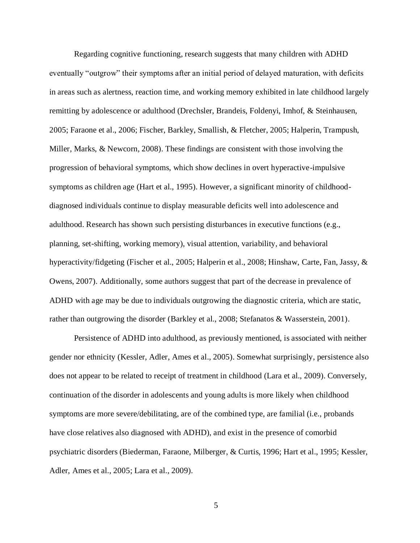Regarding cognitive functioning, research suggests that many children with ADHD eventually "outgrow" their symptoms after an initial period of delayed maturation, with deficits in areas such as alertness, reaction time, and working memory exhibited in late childhood largely remitting by adolescence or adulthood (Drechsler, Brandeis, Foldenyi, Imhof, & Steinhausen, 2005; Faraone et al., 2006; Fischer, Barkley, Smallish, & Fletcher, 2005; Halperin, Trampush, Miller, Marks, & Newcorn, 2008). These findings are consistent with those involving the progression of behavioral symptoms, which show declines in overt hyperactive-impulsive symptoms as children age (Hart et al., 1995). However, a significant minority of childhooddiagnosed individuals continue to display measurable deficits well into adolescence and adulthood. Research has shown such persisting disturbances in executive functions (e.g., planning, set-shifting, working memory), visual attention, variability, and behavioral hyperactivity/fidgeting (Fischer et al., 2005; Halperin et al., 2008; Hinshaw, Carte, Fan, Jassy, & Owens, 2007). Additionally, some authors suggest that part of the decrease in prevalence of ADHD with age may be due to individuals outgrowing the diagnostic criteria, which are static, rather than outgrowing the disorder (Barkley et al., 2008; Stefanatos & Wasserstein, 2001).

Persistence of ADHD into adulthood, as previously mentioned, is associated with neither gender nor ethnicity (Kessler, Adler, Ames et al., 2005). Somewhat surprisingly, persistence also does not appear to be related to receipt of treatment in childhood (Lara et al., 2009). Conversely, continuation of the disorder in adolescents and young adults is more likely when childhood symptoms are more severe/debilitating, are of the combined type, are familial (i.e., probands have close relatives also diagnosed with ADHD), and exist in the presence of comorbid psychiatric disorders (Biederman, Faraone, Milberger, & Curtis, 1996; Hart et al., 1995; Kessler, Adler, Ames et al., 2005; Lara et al., 2009).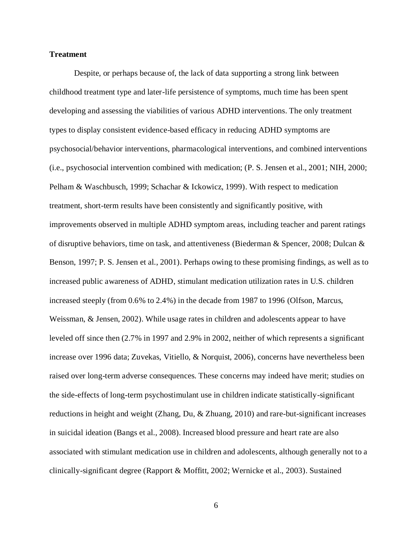#### **Treatment**

Despite, or perhaps because of, the lack of data supporting a strong link between childhood treatment type and later-life persistence of symptoms, much time has been spent developing and assessing the viabilities of various ADHD interventions. The only treatment types to display consistent evidence-based efficacy in reducing ADHD symptoms are psychosocial/behavior interventions, pharmacological interventions, and combined interventions (i.e., psychosocial intervention combined with medication; (P. S. Jensen et al., 2001; NIH, 2000; Pelham & Waschbusch, 1999; Schachar & Ickowicz, 1999). With respect to medication treatment, short-term results have been consistently and significantly positive, with improvements observed in multiple ADHD symptom areas, including teacher and parent ratings of disruptive behaviors, time on task, and attentiveness (Biederman & Spencer, 2008; Dulcan & Benson, 1997; P. S. Jensen et al., 2001). Perhaps owing to these promising findings, as well as to increased public awareness of ADHD, stimulant medication utilization rates in U.S. children increased steeply (from 0.6% to 2.4%) in the decade from 1987 to 1996 (Olfson, Marcus, Weissman, & Jensen, 2002). While usage rates in children and adolescents appear to have leveled off since then (2.7% in 1997 and 2.9% in 2002, neither of which represents a significant increase over 1996 data; Zuvekas, Vitiello, & Norquist, 2006), concerns have nevertheless been raised over long-term adverse consequences. These concerns may indeed have merit; studies on the side-effects of long-term psychostimulant use in children indicate statistically-significant reductions in height and weight (Zhang, Du, & Zhuang, 2010) and rare-but-significant increases in suicidal ideation (Bangs et al., 2008). Increased blood pressure and heart rate are also associated with stimulant medication use in children and adolescents, although generally not to a clinically-significant degree (Rapport & Moffitt, 2002; Wernicke et al., 2003). Sustained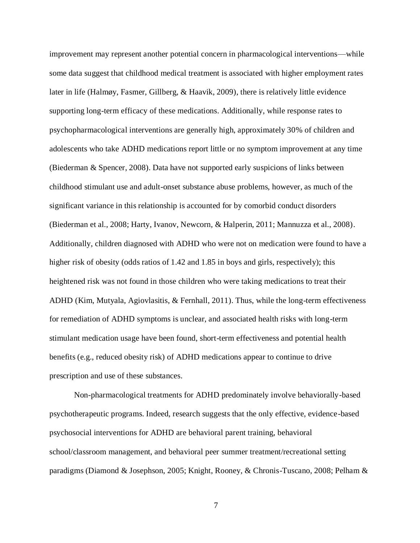improvement may represent another potential concern in pharmacological interventions—while some data suggest that childhood medical treatment is associated with higher employment rates later in life (Halmøy, Fasmer, Gillberg, & Haavik, 2009), there is relatively little evidence supporting long-term efficacy of these medications. Additionally, while response rates to psychopharmacological interventions are generally high, approximately 30% of children and adolescents who take ADHD medications report little or no symptom improvement at any time (Biederman & Spencer, 2008). Data have not supported early suspicions of links between childhood stimulant use and adult-onset substance abuse problems, however, as much of the significant variance in this relationship is accounted for by comorbid conduct disorders (Biederman et al., 2008; Harty, Ivanov, Newcorn, & Halperin, 2011; Mannuzza et al., 2008). Additionally, children diagnosed with ADHD who were not on medication were found to have a higher risk of obesity (odds ratios of 1.42 and 1.85 in boys and girls, respectively); this heightened risk was not found in those children who were taking medications to treat their ADHD (Kim, Mutyala, Agiovlasitis, & Fernhall, 2011). Thus, while the long-term effectiveness for remediation of ADHD symptoms is unclear, and associated health risks with long-term stimulant medication usage have been found, short-term effectiveness and potential health benefits (e.g., reduced obesity risk) of ADHD medications appear to continue to drive prescription and use of these substances.

Non-pharmacological treatments for ADHD predominately involve behaviorally-based psychotherapeutic programs. Indeed, research suggests that the only effective, evidence-based psychosocial interventions for ADHD are behavioral parent training, behavioral school/classroom management, and behavioral peer summer treatment/recreational setting paradigms (Diamond & Josephson, 2005; Knight, Rooney, & Chronis-Tuscano, 2008; Pelham &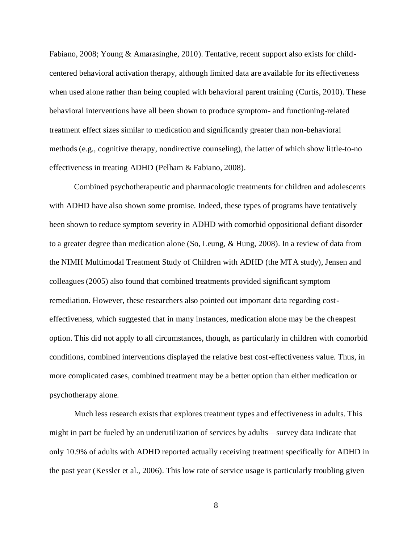Fabiano, 2008; Young & Amarasinghe, 2010). Tentative, recent support also exists for childcentered behavioral activation therapy, although limited data are available for its effectiveness when used alone rather than being coupled with behavioral parent training (Curtis, 2010). These behavioral interventions have all been shown to produce symptom- and functioning-related treatment effect sizes similar to medication and significantly greater than non-behavioral methods (e.g., cognitive therapy, nondirective counseling), the latter of which show little-to-no effectiveness in treating ADHD (Pelham & Fabiano, 2008).

Combined psychotherapeutic and pharmacologic treatments for children and adolescents with ADHD have also shown some promise. Indeed, these types of programs have tentatively been shown to reduce symptom severity in ADHD with comorbid oppositional defiant disorder to a greater degree than medication alone (So, Leung, & Hung, 2008). In a review of data from the NIMH Multimodal Treatment Study of Children with ADHD (the MTA study), Jensen and colleagues (2005) also found that combined treatments provided significant symptom remediation. However, these researchers also pointed out important data regarding costeffectiveness, which suggested that in many instances, medication alone may be the cheapest option. This did not apply to all circumstances, though, as particularly in children with comorbid conditions, combined interventions displayed the relative best cost-effectiveness value. Thus, in more complicated cases, combined treatment may be a better option than either medication or psychotherapy alone.

Much less research exists that explores treatment types and effectiveness in adults. This might in part be fueled by an underutilization of services by adults—survey data indicate that only 10.9% of adults with ADHD reported actually receiving treatment specifically for ADHD in the past year (Kessler et al., 2006). This low rate of service usage is particularly troubling given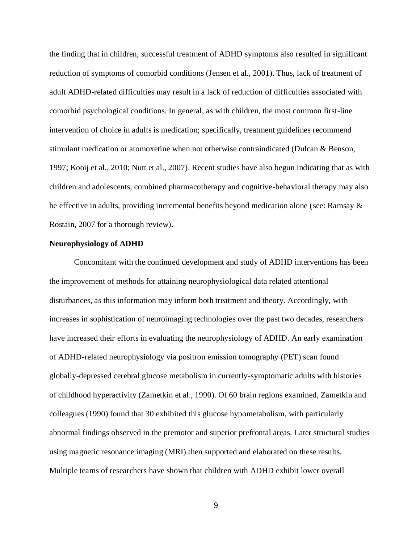the finding that in children, successful treatment of ADHD symptoms also resulted in significant reduction of symptoms of comorbid conditions (Jensen et al., 2001). Thus, lack of treatment of adult ADHD-related difficulties may result in a lack of reduction of difficulties associated with comorbid psychological conditions. In general, as with children, the most common first-line intervention of choice in adults is medication; specifically, treatment guidelines recommend stimulant medication or atomoxetine when not otherwise contraindicated (Dulcan & Benson, 1997; Kooij et al., 2010; Nutt et al., 2007). Recent studies have also begun indicating that as with children and adolescents, combined pharmacotherapy and cognitive-behavioral therapy may also be effective in adults, providing incremental benefits beyond medication alone (see: Ramsay & Rostain, 2007 for a thorough review).

#### **Neurophysiology of ADHD**

Concomitant with the continued development and study of ADHD interventions has been the improvement of methods for attaining neurophysiological data related attentional disturbances, as this information may inform both treatment and theory. Accordingly, with increases in sophistication of neuroimaging technologies over the past two decades, researchers have increased their efforts in evaluating the neurophysiology of ADHD. An early examination of ADHD-related neurophysiology via positron emission tomography (PET) scan found globally-depressed cerebral glucose metabolism in currently-symptomatic adults with histories of childhood hyperactivity (Zametkin et al., 1990). Of 60 brain regions examined, Zametkin and colleagues (1990) found that 30 exhibited this glucose hypometabolism, with particularly abnormal findings observed in the premotor and superior prefrontal areas. Later structural studies using magnetic resonance imaging (MRI) then supported and elaborated on these results. Multiple teams of researchers have shown that children with ADHD exhibit lower overall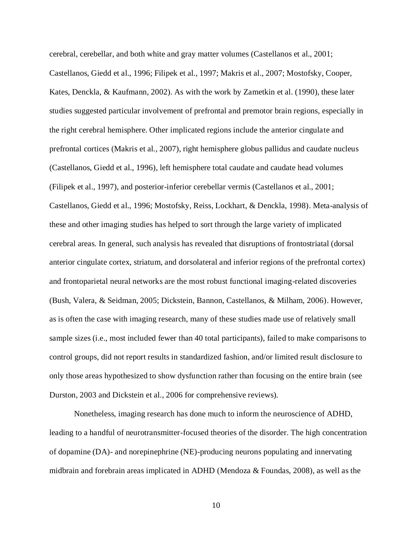cerebral, cerebellar, and both white and gray matter volumes (Castellanos et al., 2001; Castellanos, Giedd et al., 1996; Filipek et al., 1997; Makris et al., 2007; Mostofsky, Cooper, Kates, Denckla, & Kaufmann, 2002). As with the work by Zametkin et al. (1990), these later studies suggested particular involvement of prefrontal and premotor brain regions, especially in the right cerebral hemisphere. Other implicated regions include the anterior cingulate and prefrontal cortices (Makris et al., 2007), right hemisphere globus pallidus and caudate nucleus (Castellanos, Giedd et al., 1996), left hemisphere total caudate and caudate head volumes (Filipek et al., 1997), and posterior-inferior cerebellar vermis (Castellanos et al., 2001; Castellanos, Giedd et al., 1996; Mostofsky, Reiss, Lockhart, & Denckla, 1998). Meta-analysis of these and other imaging studies has helped to sort through the large variety of implicated cerebral areas. In general, such analysis has revealed that disruptions of frontostriatal (dorsal anterior cingulate cortex, striatum, and dorsolateral and inferior regions of the prefrontal cortex) and frontoparietal neural networks are the most robust functional imaging-related discoveries (Bush, Valera, & Seidman, 2005; Dickstein, Bannon, Castellanos, & Milham, 2006). However, as is often the case with imaging research, many of these studies made use of relatively small sample sizes (i.e., most included fewer than 40 total participants), failed to make comparisons to control groups, did not report results in standardized fashion, and/or limited result disclosure to only those areas hypothesized to show dysfunction rather than focusing on the entire brain (see Durston, 2003 and Dickstein et al., 2006 for comprehensive reviews).

Nonetheless, imaging research has done much to inform the neuroscience of ADHD, leading to a handful of neurotransmitter-focused theories of the disorder. The high concentration of dopamine (DA)- and norepinephrine (NE)-producing neurons populating and innervating midbrain and forebrain areas implicated in ADHD (Mendoza & Foundas, 2008), as well as the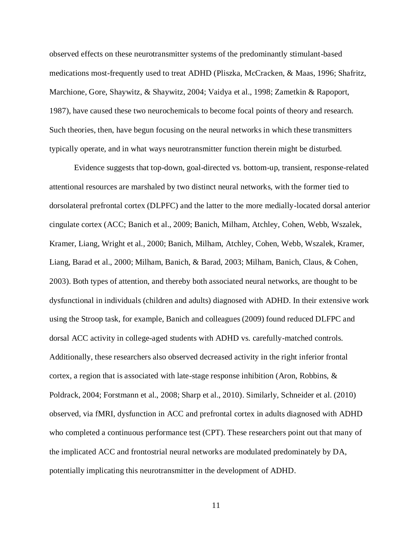observed effects on these neurotransmitter systems of the predominantly stimulant-based medications most-frequently used to treat ADHD (Pliszka, McCracken, & Maas, 1996; Shafritz, Marchione, Gore, Shaywitz, & Shaywitz, 2004; Vaidya et al., 1998; Zametkin & Rapoport, 1987), have caused these two neurochemicals to become focal points of theory and research. Such theories, then, have begun focusing on the neural networks in which these transmitters typically operate, and in what ways neurotransmitter function therein might be disturbed.

Evidence suggests that top-down, goal-directed vs. bottom-up, transient, response-related attentional resources are marshaled by two distinct neural networks, with the former tied to dorsolateral prefrontal cortex (DLPFC) and the latter to the more medially-located dorsal anterior cingulate cortex (ACC; Banich et al., 2009; Banich, Milham, Atchley, Cohen, Webb, Wszalek, Kramer, Liang, Wright et al., 2000; Banich, Milham, Atchley, Cohen, Webb, Wszalek, Kramer, Liang, Barad et al., 2000; Milham, Banich, & Barad, 2003; Milham, Banich, Claus, & Cohen, 2003). Both types of attention, and thereby both associated neural networks, are thought to be dysfunctional in individuals (children and adults) diagnosed with ADHD. In their extensive work using the Stroop task, for example, Banich and colleagues (2009) found reduced DLFPC and dorsal ACC activity in college-aged students with ADHD vs. carefully-matched controls. Additionally, these researchers also observed decreased activity in the right inferior frontal cortex, a region that is associated with late-stage response inhibition (Aron, Robbins, & Poldrack, 2004; Forstmann et al., 2008; Sharp et al., 2010). Similarly, Schneider et al. (2010) observed, via fMRI, dysfunction in ACC and prefrontal cortex in adults diagnosed with ADHD who completed a continuous performance test (CPT). These researchers point out that many of the implicated ACC and frontostrial neural networks are modulated predominately by DA, potentially implicating this neurotransmitter in the development of ADHD.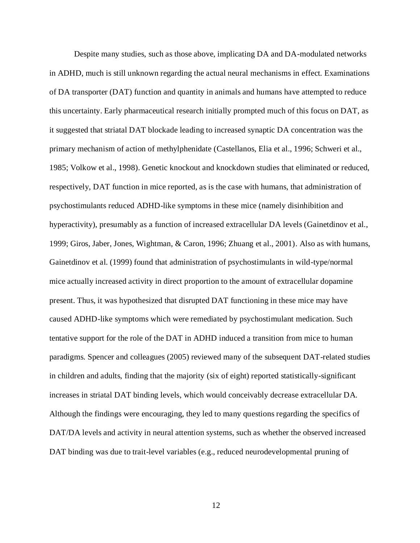Despite many studies, such as those above, implicating DA and DA-modulated networks in ADHD, much is still unknown regarding the actual neural mechanisms in effect. Examinations of DA transporter (DAT) function and quantity in animals and humans have attempted to reduce this uncertainty. Early pharmaceutical research initially prompted much of this focus on DAT, as it suggested that striatal DAT blockade leading to increased synaptic DA concentration was the primary mechanism of action of methylphenidate (Castellanos, Elia et al., 1996; Schweri et al., 1985; Volkow et al., 1998). Genetic knockout and knockdown studies that eliminated or reduced, respectively, DAT function in mice reported, as is the case with humans, that administration of psychostimulants reduced ADHD-like symptoms in these mice (namely disinhibition and hyperactivity), presumably as a function of increased extracellular DA levels (Gainetdinov et al., 1999; Giros, Jaber, Jones, Wightman, & Caron, 1996; Zhuang et al., 2001). Also as with humans, Gainetdinov et al. (1999) found that administration of psychostimulants in wild-type/normal mice actually increased activity in direct proportion to the amount of extracellular dopamine present. Thus, it was hypothesized that disrupted DAT functioning in these mice may have caused ADHD-like symptoms which were remediated by psychostimulant medication. Such tentative support for the role of the DAT in ADHD induced a transition from mice to human paradigms. Spencer and colleagues (2005) reviewed many of the subsequent DAT-related studies in children and adults, finding that the majority (six of eight) reported statistically-significant increases in striatal DAT binding levels, which would conceivably decrease extracellular DA. Although the findings were encouraging, they led to many questions regarding the specifics of DAT/DA levels and activity in neural attention systems, such as whether the observed increased DAT binding was due to trait-level variables (e.g., reduced neurodevelopmental pruning of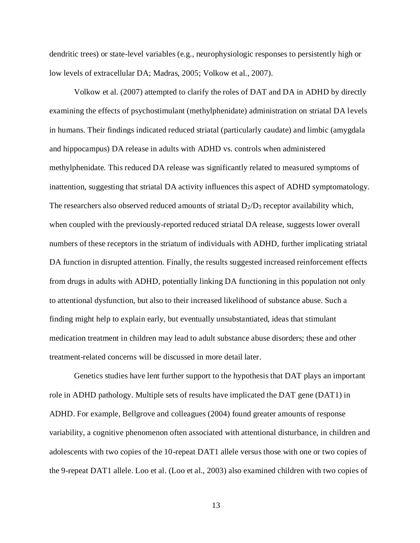dendritic trees) or state-level variables (e.g., neurophysiologic responses to persistently high or low levels of extracellular DA; Madras, 2005; Volkow et al., 2007).

Volkow et al. (2007) attempted to clarify the roles of DAT and DA in ADHD by directly examining the effects of psychostimulant (methylphenidate) administration on striatal DA levels in humans. Their findings indicated reduced striatal (particularly caudate) and limbic (amygdala and hippocampus) DA release in adults with ADHD vs. controls when administered methylphenidate. This reduced DA release was significantly related to measured symptoms of inattention, suggesting that striatal DA activity influences this aspect of ADHD symptomatology. The researchers also observed reduced amounts of striatal  $D_2/D_3$  receptor availability which, when coupled with the previously-reported reduced striatal DA release, suggests lower overall numbers of these receptors in the striatum of individuals with ADHD, further implicating striatal DA function in disrupted attention. Finally, the results suggested increased reinforcement effects from drugs in adults with ADHD, potentially linking DA functioning in this population not only to attentional dysfunction, but also to their increased likelihood of substance abuse. Such a finding might help to explain early, but eventually unsubstantiated, ideas that stimulant medication treatment in children may lead to adult substance abuse disorders; these and other treatment-related concerns will be discussed in more detail later.

Genetics studies have lent further support to the hypothesis that DAT plays an important role in ADHD pathology. Multiple sets of results have implicated the DAT gene (DAT1) in ADHD. For example, Bellgrove and colleagues (2004) found greater amounts of response variability, a cognitive phenomenon often associated with attentional disturbance, in children and adolescents with two copies of the 10-repeat DAT1 allele versus those with one or two copies of the 9-repeat DAT1 allele. Loo et al. (Loo et al., 2003) also examined children with two copies of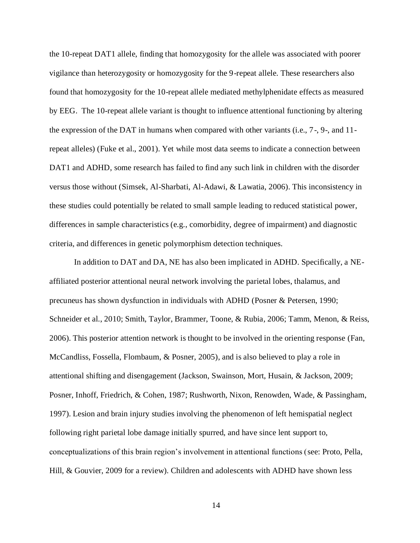the 10-repeat DAT1 allele, finding that homozygosity for the allele was associated with poorer vigilance than heterozygosity or homozygosity for the 9-repeat allele. These researchers also found that homozygosity for the 10-repeat allele mediated methylphenidate effects as measured by EEG. The 10-repeat allele variant is thought to influence attentional functioning by altering the expression of the DAT in humans when compared with other variants (i.e., 7-, 9-, and 11 repeat alleles) (Fuke et al., 2001). Yet while most data seems to indicate a connection between DAT1 and ADHD, some research has failed to find any such link in children with the disorder versus those without (Simsek, Al-Sharbati, Al-Adawi, & Lawatia, 2006). This inconsistency in these studies could potentially be related to small sample leading to reduced statistical power, differences in sample characteristics (e.g., comorbidity, degree of impairment) and diagnostic criteria, and differences in genetic polymorphism detection techniques.

In addition to DAT and DA, NE has also been implicated in ADHD. Specifically, a NEaffiliated posterior attentional neural network involving the parietal lobes, thalamus, and precuneus has shown dysfunction in individuals with ADHD (Posner & Petersen, 1990; Schneider et al., 2010; Smith, Taylor, Brammer, Toone, & Rubia, 2006; Tamm, Menon, & Reiss, 2006). This posterior attention network is thought to be involved in the orienting response (Fan, McCandliss, Fossella, Flombaum, & Posner, 2005), and is also believed to play a role in attentional shifting and disengagement (Jackson, Swainson, Mort, Husain, & Jackson, 2009; Posner, Inhoff, Friedrich, & Cohen, 1987; Rushworth, Nixon, Renowden, Wade, & Passingham, 1997). Lesion and brain injury studies involving the phenomenon of left hemispatial neglect following right parietal lobe damage initially spurred, and have since lent support to, conceptualizations of this brain region's involvement in attentional functions (see: Proto, Pella, Hill, & Gouvier, 2009 for a review). Children and adolescents with ADHD have shown less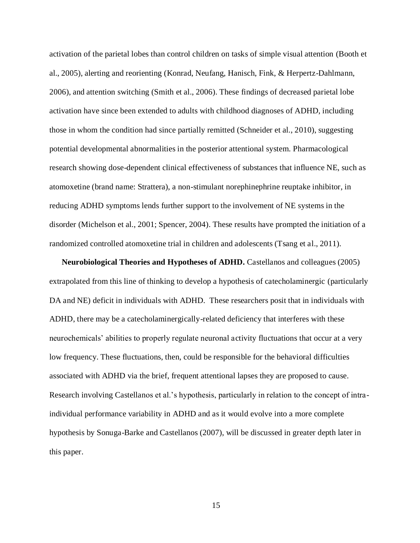activation of the parietal lobes than control children on tasks of simple visual attention (Booth et al., 2005), alerting and reorienting (Konrad, Neufang, Hanisch, Fink, & Herpertz-Dahlmann, 2006), and attention switching (Smith et al., 2006). These findings of decreased parietal lobe activation have since been extended to adults with childhood diagnoses of ADHD, including those in whom the condition had since partially remitted (Schneider et al., 2010), suggesting potential developmental abnormalities in the posterior attentional system. Pharmacological research showing dose-dependent clinical effectiveness of substances that influence NE, such as atomoxetine (brand name: Strattera), a non-stimulant norephinephrine reuptake inhibitor, in reducing ADHD symptoms lends further support to the involvement of NE systems in the disorder (Michelson et al., 2001; Spencer, 2004). These results have prompted the initiation of a randomized controlled atomoxetine trial in children and adolescents (Tsang et al., 2011).

**Neurobiological Theories and Hypotheses of ADHD.** Castellanos and colleagues (2005) extrapolated from this line of thinking to develop a hypothesis of catecholaminergic (particularly DA and NE) deficit in individuals with ADHD. These researchers posit that in individuals with ADHD, there may be a catecholaminergically-related deficiency that interferes with these neurochemicals' abilities to properly regulate neuronal activity fluctuations that occur at a very low frequency. These fluctuations, then, could be responsible for the behavioral difficulties associated with ADHD via the brief, frequent attentional lapses they are proposed to cause. Research involving Castellanos et al.'s hypothesis, particularly in relation to the concept of intraindividual performance variability in ADHD and as it would evolve into a more complete hypothesis by Sonuga-Barke and Castellanos (2007), will be discussed in greater depth later in this paper.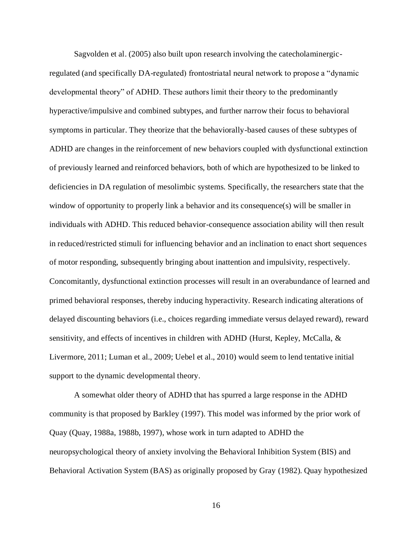Sagvolden et al. (2005) also built upon research involving the catecholaminergicregulated (and specifically DA-regulated) frontostriatal neural network to propose a "dynamic developmental theory" of ADHD. These authors limit their theory to the predominantly hyperactive/impulsive and combined subtypes, and further narrow their focus to behavioral symptoms in particular. They theorize that the behaviorally-based causes of these subtypes of ADHD are changes in the reinforcement of new behaviors coupled with dysfunctional extinction of previously learned and reinforced behaviors, both of which are hypothesized to be linked to deficiencies in DA regulation of mesolimbic systems. Specifically, the researchers state that the window of opportunity to properly link a behavior and its consequence(s) will be smaller in individuals with ADHD. This reduced behavior-consequence association ability will then result in reduced/restricted stimuli for influencing behavior and an inclination to enact short sequences of motor responding, subsequently bringing about inattention and impulsivity, respectively. Concomitantly, dysfunctional extinction processes will result in an overabundance of learned and primed behavioral responses, thereby inducing hyperactivity. Research indicating alterations of delayed discounting behaviors (i.e., choices regarding immediate versus delayed reward), reward sensitivity, and effects of incentives in children with ADHD (Hurst, Kepley, McCalla, & Livermore, 2011; Luman et al., 2009; Uebel et al., 2010) would seem to lend tentative initial support to the dynamic developmental theory.

A somewhat older theory of ADHD that has spurred a large response in the ADHD community is that proposed by Barkley (1997). This model was informed by the prior work of Quay (Quay, 1988a, 1988b, 1997), whose work in turn adapted to ADHD the neuropsychological theory of anxiety involving the Behavioral Inhibition System (BIS) and Behavioral Activation System (BAS) as originally proposed by Gray (1982). Quay hypothesized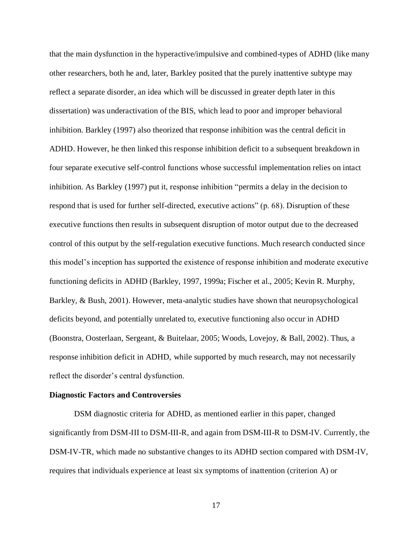that the main dysfunction in the hyperactive/impulsive and combined-types of ADHD (like many other researchers, both he and, later, Barkley posited that the purely inattentive subtype may reflect a separate disorder, an idea which will be discussed in greater depth later in this dissertation) was underactivation of the BIS, which lead to poor and improper behavioral inhibition. Barkley (1997) also theorized that response inhibition was the central deficit in ADHD. However, he then linked this response inhibition deficit to a subsequent breakdown in four separate executive self-control functions whose successful implementation relies on intact inhibition. As Barkley (1997) put it, response inhibition "permits a delay in the decision to respond that is used for further self-directed, executive actions" (p. 68). Disruption of these executive functions then results in subsequent disruption of motor output due to the decreased control of this output by the self-regulation executive functions. Much research conducted since this model's inception has supported the existence of response inhibition and moderate executive functioning deficits in ADHD (Barkley, 1997, 1999a; Fischer et al., 2005; Kevin R. Murphy, Barkley, & Bush, 2001). However, meta-analytic studies have shown that neuropsychological deficits beyond, and potentially unrelated to, executive functioning also occur in ADHD (Boonstra, Oosterlaan, Sergeant, & Buitelaar, 2005; Woods, Lovejoy, & Ball, 2002). Thus, a response inhibition deficit in ADHD, while supported by much research, may not necessarily reflect the disorder's central dysfunction.

#### **Diagnostic Factors and Controversies**

DSM diagnostic criteria for ADHD, as mentioned earlier in this paper, changed significantly from DSM-III to DSM-III-R, and again from DSM-III-R to DSM-IV. Currently, the DSM-IV-TR, which made no substantive changes to its ADHD section compared with DSM-IV, requires that individuals experience at least six symptoms of inattention (criterion A) or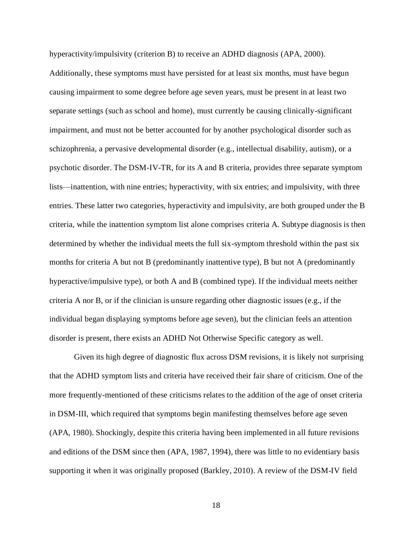hyperactivity/impulsivity (criterion B) to receive an ADHD diagnosis (APA, 2000).

Additionally, these symptoms must have persisted for at least six months, must have begun causing impairment to some degree before age seven years, must be present in at least two separate settings (such as school and home), must currently be causing clinically-significant impairment, and must not be better accounted for by another psychological disorder such as schizophrenia, a pervasive developmental disorder (e.g., intellectual disability, autism), or a psychotic disorder. The DSM-IV-TR, for its A and B criteria, provides three separate symptom lists—inattention, with nine entries; hyperactivity, with six entries; and impulsivity, with three entries. These latter two categories, hyperactivity and impulsivity, are both grouped under the B criteria, while the inattention symptom list alone comprises criteria A. Subtype diagnosis is then determined by whether the individual meets the full six-symptom threshold within the past six months for criteria A but not B (predominantly inattentive type), B but not A (predominantly hyperactive/impulsive type), or both A and B (combined type). If the individual meets neither criteria A nor B, or if the clinician is unsure regarding other diagnostic issues (e.g., if the individual began displaying symptoms before age seven), but the clinician feels an attention disorder is present, there exists an ADHD Not Otherwise Specific category as well.

Given its high degree of diagnostic flux across DSM revisions, it is likely not surprising that the ADHD symptom lists and criteria have received their fair share of criticism. One of the more frequently-mentioned of these criticisms relates to the addition of the age of onset criteria in DSM-III, which required that symptoms begin manifesting themselves before age seven (APA, 1980). Shockingly, despite this criteria having been implemented in all future revisions and editions of the DSM since then (APA, 1987, 1994), there was little to no evidentiary basis supporting it when it was originally proposed (Barkley, 2010). A review of the DSM-IV field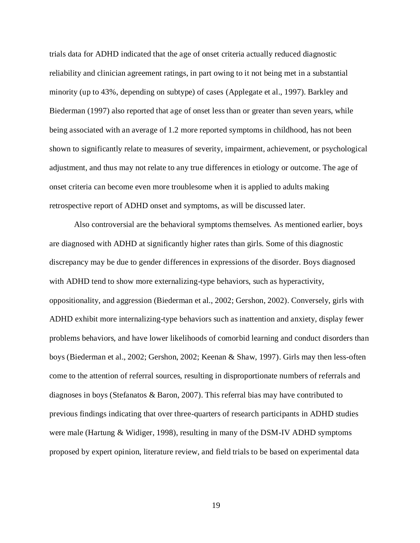trials data for ADHD indicated that the age of onset criteria actually reduced diagnostic reliability and clinician agreement ratings, in part owing to it not being met in a substantial minority (up to 43%, depending on subtype) of cases (Applegate et al., 1997). Barkley and Biederman (1997) also reported that age of onset less than or greater than seven years, while being associated with an average of 1.2 more reported symptoms in childhood, has not been shown to significantly relate to measures of severity, impairment, achievement, or psychological adjustment, and thus may not relate to any true differences in etiology or outcome. The age of onset criteria can become even more troublesome when it is applied to adults making retrospective report of ADHD onset and symptoms, as will be discussed later.

Also controversial are the behavioral symptoms themselves. As mentioned earlier, boys are diagnosed with ADHD at significantly higher rates than girls. Some of this diagnostic discrepancy may be due to gender differences in expressions of the disorder. Boys diagnosed with ADHD tend to show more externalizing-type behaviors, such as hyperactivity, oppositionality, and aggression (Biederman et al., 2002; Gershon, 2002). Conversely, girls with ADHD exhibit more internalizing-type behaviors such as inattention and anxiety, display fewer problems behaviors, and have lower likelihoods of comorbid learning and conduct disorders than boys (Biederman et al., 2002; Gershon, 2002; Keenan & Shaw, 1997). Girls may then less-often come to the attention of referral sources, resulting in disproportionate numbers of referrals and diagnoses in boys (Stefanatos  $\&$  Baron, 2007). This referral bias may have contributed to previous findings indicating that over three-quarters of research participants in ADHD studies were male (Hartung & Widiger, 1998), resulting in many of the DSM-IV ADHD symptoms proposed by expert opinion, literature review, and field trials to be based on experimental data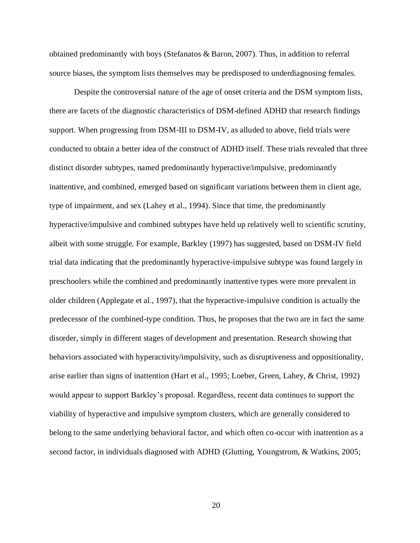obtained predominantly with boys (Stefanatos & Baron, 2007). Thus, in addition to referral source biases, the symptom lists themselves may be predisposed to underdiagnosing females.

Despite the controversial nature of the age of onset criteria and the DSM symptom lists, there are facets of the diagnostic characteristics of DSM-defined ADHD that research findings support. When progressing from DSM-III to DSM-IV, as alluded to above, field trials were conducted to obtain a better idea of the construct of ADHD itself. These trials revealed that three distinct disorder subtypes, named predominantly hyperactive/impulsive, predominantly inattentive, and combined, emerged based on significant variations between them in client age, type of impairment, and sex (Lahey et al., 1994). Since that time, the predominantly hyperactive/impulsive and combined subtypes have held up relatively well to scientific scrutiny, albeit with some struggle. For example, Barkley (1997) has suggested, based on DSM-IV field trial data indicating that the predominantly hyperactive-impulsive subtype was found largely in preschoolers while the combined and predominantly inattentive types were more prevalent in older children (Applegate et al., 1997), that the hyperactive-impulsive condition is actually the predecessor of the combined-type condition. Thus, he proposes that the two are in fact the same disorder, simply in different stages of development and presentation. Research showing that behaviors associated with hyperactivity/impulsivity, such as disruptiveness and oppositionality, arise earlier than signs of inattention (Hart et al., 1995; Loeber, Green, Lahey, & Christ, 1992) would appear to support Barkley's proposal. Regardless, recent data continues to support the viability of hyperactive and impulsive symptom clusters, which are generally considered to belong to the same underlying behavioral factor, and which often co-occur with inattention as a second factor, in individuals diagnosed with ADHD (Glutting, Youngstrom, & Watkins, 2005;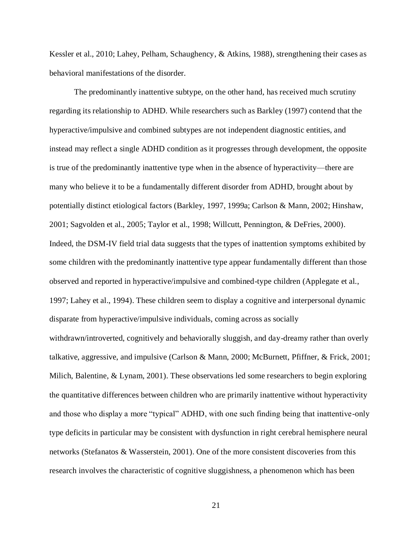Kessler et al., 2010; Lahey, Pelham, Schaughency, & Atkins, 1988), strengthening their cases as behavioral manifestations of the disorder.

The predominantly inattentive subtype, on the other hand, has received much scrutiny regarding its relationship to ADHD. While researchers such as Barkley (1997) contend that the hyperactive/impulsive and combined subtypes are not independent diagnostic entities, and instead may reflect a single ADHD condition as it progresses through development, the opposite is true of the predominantly inattentive type when in the absence of hyperactivity—there are many who believe it to be a fundamentally different disorder from ADHD, brought about by potentially distinct etiological factors (Barkley, 1997, 1999a; Carlson & Mann, 2002; Hinshaw, 2001; Sagvolden et al., 2005; Taylor et al., 1998; Willcutt, Pennington, & DeFries, 2000). Indeed, the DSM-IV field trial data suggests that the types of inattention symptoms exhibited by some children with the predominantly inattentive type appear fundamentally different than those observed and reported in hyperactive/impulsive and combined-type children (Applegate et al., 1997; Lahey et al., 1994). These children seem to display a cognitive and interpersonal dynamic disparate from hyperactive/impulsive individuals, coming across as socially withdrawn/introverted, cognitively and behaviorally sluggish, and day-dreamy rather than overly talkative, aggressive, and impulsive (Carlson & Mann, 2000; McBurnett, Pfiffner, & Frick, 2001; Milich, Balentine, & Lynam, 2001). These observations led some researchers to begin exploring the quantitative differences between children who are primarily inattentive without hyperactivity

type deficits in particular may be consistent with dysfunction in right cerebral hemisphere neural networks (Stefanatos & Wasserstein, 2001). One of the more consistent discoveries from this research involves the characteristic of cognitive sluggishness, a phenomenon which has been

and those who display a more "typical" ADHD, with one such finding being that inattentive-only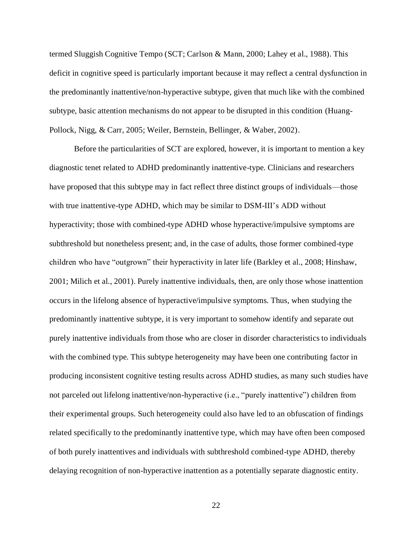termed Sluggish Cognitive Tempo (SCT; Carlson & Mann, 2000; Lahey et al., 1988). This deficit in cognitive speed is particularly important because it may reflect a central dysfunction in the predominantly inattentive/non-hyperactive subtype, given that much like with the combined subtype, basic attention mechanisms do not appear to be disrupted in this condition (Huang-Pollock, Nigg, & Carr, 2005; Weiler, Bernstein, Bellinger, & Waber, 2002).

Before the particularities of SCT are explored, however, it is important to mention a key diagnostic tenet related to ADHD predominantly inattentive-type. Clinicians and researchers have proposed that this subtype may in fact reflect three distinct groups of individuals—those with true inattentive-type ADHD, which may be similar to DSM-III's ADD without hyperactivity; those with combined-type ADHD whose hyperactive/impulsive symptoms are subthreshold but nonetheless present; and, in the case of adults, those former combined-type children who have "outgrown" their hyperactivity in later life (Barkley et al., 2008; Hinshaw, 2001; Milich et al., 2001). Purely inattentive individuals, then, are only those whose inattention occurs in the lifelong absence of hyperactive/impulsive symptoms. Thus, when studying the predominantly inattentive subtype, it is very important to somehow identify and separate out purely inattentive individuals from those who are closer in disorder characteristics to individuals with the combined type. This subtype heterogeneity may have been one contributing factor in producing inconsistent cognitive testing results across ADHD studies, as many such studies have not parceled out lifelong inattentive/non-hyperactive (i.e., "purely inattentive") children from their experimental groups. Such heterogeneity could also have led to an obfuscation of findings related specifically to the predominantly inattentive type, which may have often been composed of both purely inattentives and individuals with subthreshold combined-type ADHD, thereby delaying recognition of non-hyperactive inattention as a potentially separate diagnostic entity.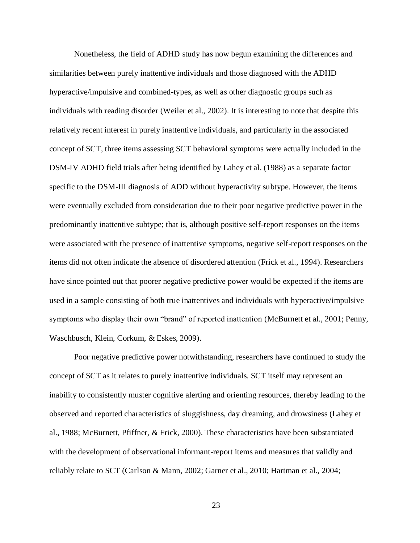Nonetheless, the field of ADHD study has now begun examining the differences and similarities between purely inattentive individuals and those diagnosed with the ADHD hyperactive/impulsive and combined-types, as well as other diagnostic groups such as individuals with reading disorder (Weiler et al., 2002). It is interesting to note that despite this relatively recent interest in purely inattentive individuals, and particularly in the associated concept of SCT, three items assessing SCT behavioral symptoms were actually included in the DSM-IV ADHD field trials after being identified by Lahey et al. (1988) as a separate factor specific to the DSM-III diagnosis of ADD without hyperactivity subtype. However, the items were eventually excluded from consideration due to their poor negative predictive power in the predominantly inattentive subtype; that is, although positive self-report responses on the items were associated with the presence of inattentive symptoms, negative self-report responses on the items did not often indicate the absence of disordered attention (Frick et al., 1994). Researchers have since pointed out that poorer negative predictive power would be expected if the items are used in a sample consisting of both true inattentives and individuals with hyperactive/impulsive symptoms who display their own "brand" of reported inattention (McBurnett et al., 2001; Penny, Waschbusch, Klein, Corkum, & Eskes, 2009).

Poor negative predictive power notwithstanding, researchers have continued to study the concept of SCT as it relates to purely inattentive individuals. SCT itself may represent an inability to consistently muster cognitive alerting and orienting resources, thereby leading to the observed and reported characteristics of sluggishness, day dreaming, and drowsiness (Lahey et al., 1988; McBurnett, Pfiffner, & Frick, 2000). These characteristics have been substantiated with the development of observational informant-report items and measures that validly and reliably relate to SCT (Carlson & Mann, 2002; Garner et al., 2010; Hartman et al., 2004;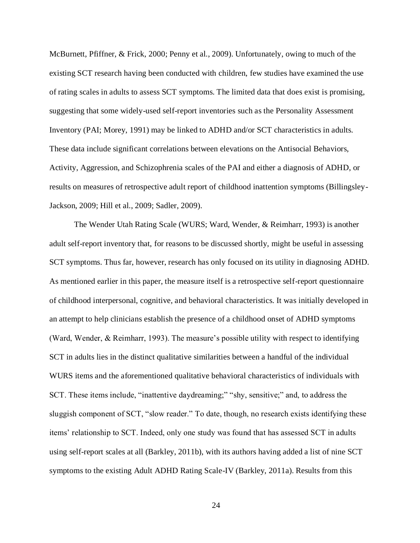McBurnett, Pfiffner, & Frick, 2000; Penny et al., 2009). Unfortunately, owing to much of the existing SCT research having been conducted with children, few studies have examined the use of rating scales in adults to assess SCT symptoms. The limited data that does exist is promising, suggesting that some widely-used self-report inventories such as the Personality Assessment Inventory (PAI; Morey, 1991) may be linked to ADHD and/or SCT characteristics in adults. These data include significant correlations between elevations on the Antisocial Behaviors, Activity, Aggression, and Schizophrenia scales of the PAI and either a diagnosis of ADHD, or results on measures of retrospective adult report of childhood inattention symptoms (Billingsley-Jackson, 2009; Hill et al., 2009; Sadler, 2009).

The Wender Utah Rating Scale (WURS; Ward, Wender, & Reimharr, 1993) is another adult self-report inventory that, for reasons to be discussed shortly, might be useful in assessing SCT symptoms. Thus far, however, research has only focused on its utility in diagnosing ADHD. As mentioned earlier in this paper, the measure itself is a retrospective self-report questionnaire of childhood interpersonal, cognitive, and behavioral characteristics. It was initially developed in an attempt to help clinicians establish the presence of a childhood onset of ADHD symptoms (Ward, Wender, & Reimharr, 1993). The measure's possible utility with respect to identifying SCT in adults lies in the distinct qualitative similarities between a handful of the individual WURS items and the aforementioned qualitative behavioral characteristics of individuals with SCT. These items include, "inattentive daydreaming;" "shy, sensitive;" and, to address the sluggish component of SCT, "slow reader." To date, though, no research exists identifying these items' relationship to SCT. Indeed, only one study was found that has assessed SCT in adults using self-report scales at all (Barkley, 2011b), with its authors having added a list of nine SCT symptoms to the existing Adult ADHD Rating Scale-IV (Barkley, 2011a). Results from this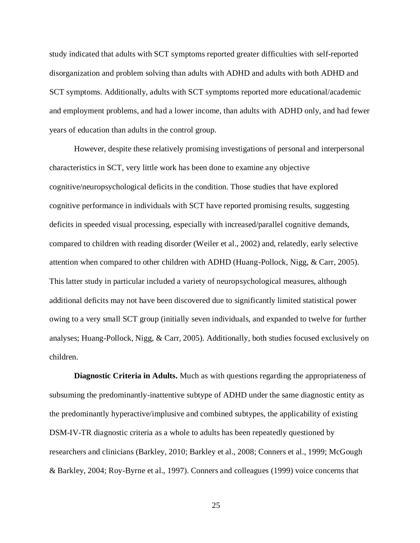study indicated that adults with SCT symptoms reported greater difficulties with self-reported disorganization and problem solving than adults with ADHD and adults with both ADHD and SCT symptoms. Additionally, adults with SCT symptoms reported more educational/academic and employment problems, and had a lower income, than adults with ADHD only, and had fewer years of education than adults in the control group.

However, despite these relatively promising investigations of personal and interpersonal characteristics in SCT, very little work has been done to examine any objective cognitive/neuropsychological deficits in the condition. Those studies that have explored cognitive performance in individuals with SCT have reported promising results, suggesting deficits in speeded visual processing, especially with increased/parallel cognitive demands, compared to children with reading disorder (Weiler et al., 2002) and, relatedly, early selective attention when compared to other children with ADHD (Huang-Pollock, Nigg, & Carr, 2005). This latter study in particular included a variety of neuropsychological measures, although additional deficits may not have been discovered due to significantly limited statistical power owing to a very small SCT group (initially seven individuals, and expanded to twelve for further analyses; Huang-Pollock, Nigg, & Carr, 2005). Additionally, both studies focused exclusively on children.

**Diagnostic Criteria in Adults.** Much as with questions regarding the appropriateness of subsuming the predominantly-inattentive subtype of ADHD under the same diagnostic entity as the predominantly hyperactive/implusive and combined subtypes, the applicability of existing DSM-IV-TR diagnostic criteria as a whole to adults has been repeatedly questioned by researchers and clinicians (Barkley, 2010; Barkley et al., 2008; Conners et al., 1999; McGough & Barkley, 2004; Roy-Byrne et al., 1997). Conners and colleagues (1999) voice concerns that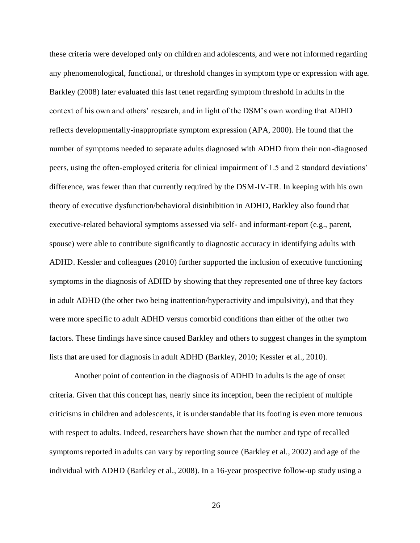these criteria were developed only on children and adolescents, and were not informed regarding any phenomenological, functional, or threshold changes in symptom type or expression with age. Barkley (2008) later evaluated this last tenet regarding symptom threshold in adults in the context of his own and others' research, and in light of the DSM's own wording that ADHD reflects developmentally-inappropriate symptom expression (APA, 2000). He found that the number of symptoms needed to separate adults diagnosed with ADHD from their non-diagnosed peers, using the often-employed criteria for clinical impairment of 1.5 and 2 standard deviations' difference, was fewer than that currently required by the DSM-IV-TR. In keeping with his own theory of executive dysfunction/behavioral disinhibition in ADHD, Barkley also found that executive-related behavioral symptoms assessed via self- and informant-report (e.g., parent, spouse) were able to contribute significantly to diagnostic accuracy in identifying adults with ADHD. Kessler and colleagues (2010) further supported the inclusion of executive functioning symptoms in the diagnosis of ADHD by showing that they represented one of three key factors in adult ADHD (the other two being inattention/hyperactivity and impulsivity), and that they were more specific to adult ADHD versus comorbid conditions than either of the other two factors. These findings have since caused Barkley and others to suggest changes in the symptom lists that are used for diagnosis in adult ADHD (Barkley, 2010; Kessler et al., 2010).

Another point of contention in the diagnosis of ADHD in adults is the age of onset criteria. Given that this concept has, nearly since its inception, been the recipient of multiple criticisms in children and adolescents, it is understandable that its footing is even more tenuous with respect to adults. Indeed, researchers have shown that the number and type of recalled symptoms reported in adults can vary by reporting source (Barkley et al., 2002) and age of the individual with ADHD (Barkley et al., 2008). In a 16-year prospective follow-up study using a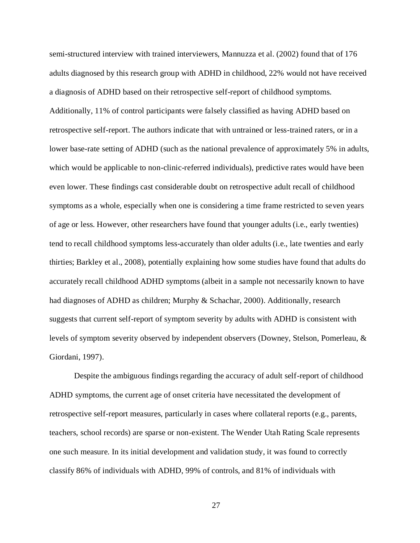semi-structured interview with trained interviewers, Mannuzza et al. (2002) found that of 176 adults diagnosed by this research group with ADHD in childhood, 22% would not have received a diagnosis of ADHD based on their retrospective self-report of childhood symptoms. Additionally, 11% of control participants were falsely classified as having ADHD based on retrospective self-report. The authors indicate that with untrained or less-trained raters, or in a lower base-rate setting of ADHD (such as the national prevalence of approximately 5% in adults, which would be applicable to non-clinic-referred individuals), predictive rates would have been even lower. These findings cast considerable doubt on retrospective adult recall of childhood symptoms as a whole, especially when one is considering a time frame restricted to seven years of age or less. However, other researchers have found that younger adults (i.e., early twenties) tend to recall childhood symptoms less-accurately than older adults (i.e., late twenties and early thirties; Barkley et al., 2008), potentially explaining how some studies have found that adults do accurately recall childhood ADHD symptoms (albeit in a sample not necessarily known to have had diagnoses of ADHD as children; Murphy & Schachar, 2000). Additionally, research suggests that current self-report of symptom severity by adults with ADHD is consistent with levels of symptom severity observed by independent observers (Downey, Stelson, Pomerleau, & Giordani, 1997).

Despite the ambiguous findings regarding the accuracy of adult self-report of childhood ADHD symptoms, the current age of onset criteria have necessitated the development of retrospective self-report measures, particularly in cases where collateral reports (e.g., parents, teachers, school records) are sparse or non-existent. The Wender Utah Rating Scale represents one such measure. In its initial development and validation study, it was found to correctly classify 86% of individuals with ADHD, 99% of controls, and 81% of individuals with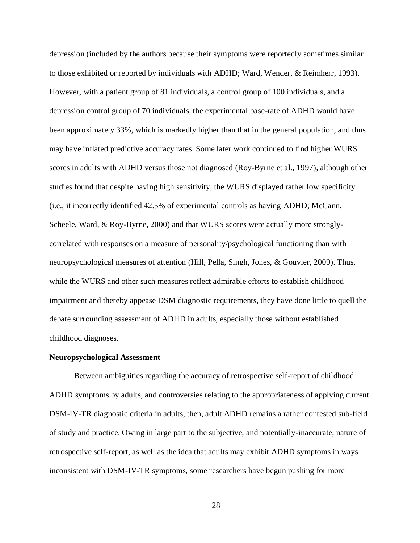depression (included by the authors because their symptoms were reportedly sometimes similar to those exhibited or reported by individuals with ADHD; Ward, Wender, & Reimherr, 1993). However, with a patient group of 81 individuals, a control group of 100 individuals, and a depression control group of 70 individuals, the experimental base-rate of ADHD would have been approximately 33%, which is markedly higher than that in the general population, and thus may have inflated predictive accuracy rates. Some later work continued to find higher WURS scores in adults with ADHD versus those not diagnosed (Roy-Byrne et al., 1997), although other studies found that despite having high sensitivity, the WURS displayed rather low specificity (i.e., it incorrectly identified 42.5% of experimental controls as having ADHD; McCann, Scheele, Ward, & Roy-Byrne, 2000) and that WURS scores were actually more stronglycorrelated with responses on a measure of personality/psychological functioning than with neuropsychological measures of attention (Hill, Pella, Singh, Jones, & Gouvier, 2009). Thus, while the WURS and other such measures reflect admirable efforts to establish childhood impairment and thereby appease DSM diagnostic requirements, they have done little to quell the debate surrounding assessment of ADHD in adults, especially those without established childhood diagnoses.

# **Neuropsychological Assessment**

Between ambiguities regarding the accuracy of retrospective self-report of childhood ADHD symptoms by adults, and controversies relating to the appropriateness of applying current DSM-IV-TR diagnostic criteria in adults, then, adult ADHD remains a rather contested sub-field of study and practice. Owing in large part to the subjective, and potentially-inaccurate, nature of retrospective self-report, as well as the idea that adults may exhibit ADHD symptoms in ways inconsistent with DSM-IV-TR symptoms, some researchers have begun pushing for more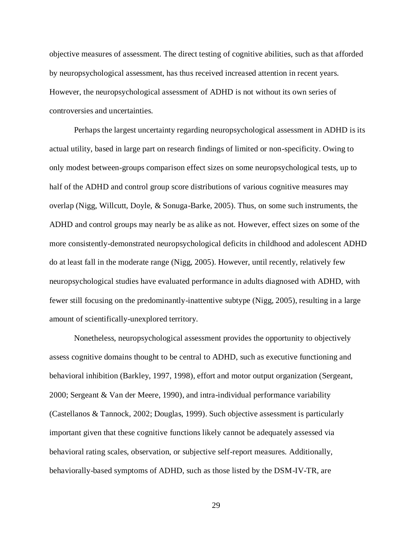objective measures of assessment. The direct testing of cognitive abilities, such as that afforded by neuropsychological assessment, has thus received increased attention in recent years. However, the neuropsychological assessment of ADHD is not without its own series of controversies and uncertainties.

Perhaps the largest uncertainty regarding neuropsychological assessment in ADHD is its actual utility, based in large part on research findings of limited or non-specificity. Owing to only modest between-groups comparison effect sizes on some neuropsychological tests, up to half of the ADHD and control group score distributions of various cognitive measures may overlap (Nigg, Willcutt, Doyle, & Sonuga-Barke, 2005). Thus, on some such instruments, the ADHD and control groups may nearly be as alike as not. However, effect sizes on some of the more consistently-demonstrated neuropsychological deficits in childhood and adolescent ADHD do at least fall in the moderate range (Nigg, 2005). However, until recently, relatively few neuropsychological studies have evaluated performance in adults diagnosed with ADHD, with fewer still focusing on the predominantly-inattentive subtype (Nigg, 2005), resulting in a large amount of scientifically-unexplored territory.

Nonetheless, neuropsychological assessment provides the opportunity to objectively assess cognitive domains thought to be central to ADHD, such as executive functioning and behavioral inhibition (Barkley, 1997, 1998), effort and motor output organization (Sergeant, 2000; Sergeant & Van der Meere, 1990), and intra-individual performance variability (Castellanos & Tannock, 2002; Douglas, 1999). Such objective assessment is particularly important given that these cognitive functions likely cannot be adequately assessed via behavioral rating scales, observation, or subjective self-report measures. Additionally, behaviorally-based symptoms of ADHD, such as those listed by the DSM-IV-TR, are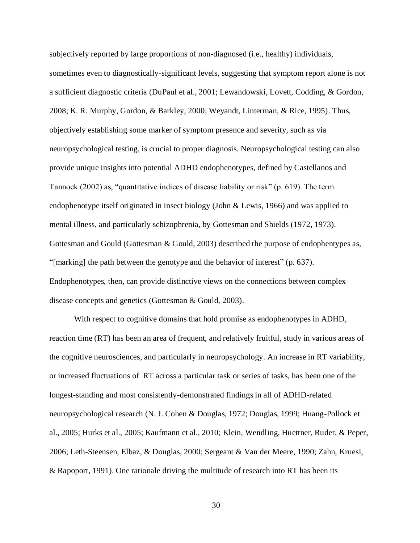subjectively reported by large proportions of non-diagnosed (i.e., healthy) individuals, sometimes even to diagnostically-significant levels, suggesting that symptom report alone is not a sufficient diagnostic criteria (DuPaul et al., 2001; Lewandowski, Lovett, Codding, & Gordon, 2008; K. R. Murphy, Gordon, & Barkley, 2000; Weyandt, Linterman, & Rice, 1995). Thus, objectively establishing some marker of symptom presence and severity, such as via neuropsychological testing, is crucial to proper diagnosis. Neuropsychological testing can also provide unique insights into potential ADHD endophenotypes, defined by Castellanos and Tannock (2002) as, "quantitative indices of disease liability or risk" (p. 619). The term endophenotype itself originated in insect biology (John & Lewis, 1966) and was applied to mental illness, and particularly schizophrenia, by Gottesman and Shields (1972, 1973). Gottesman and Gould (Gottesman & Gould, 2003) described the purpose of endophentypes as, "[marking] the path between the genotype and the behavior of interest" (p. 637). Endophenotypes, then, can provide distinctive views on the connections between complex disease concepts and genetics (Gottesman & Gould, 2003).

With respect to cognitive domains that hold promise as endophenotypes in ADHD, reaction time (RT) has been an area of frequent, and relatively fruitful, study in various areas of the cognitive neurosciences, and particularly in neuropsychology. An increase in RT variability, or increased fluctuations of RT across a particular task or series of tasks, has been one of the longest-standing and most consistently-demonstrated findings in all of ADHD-related neuropsychological research (N. J. Cohen & Douglas, 1972; Douglas, 1999; Huang-Pollock et al., 2005; Hurks et al., 2005; Kaufmann et al., 2010; Klein, Wendling, Huettner, Ruder, & Peper, 2006; Leth-Steensen, Elbaz, & Douglas, 2000; Sergeant & Van der Meere, 1990; Zahn, Kruesi, & Rapoport, 1991). One rationale driving the multitude of research into RT has been its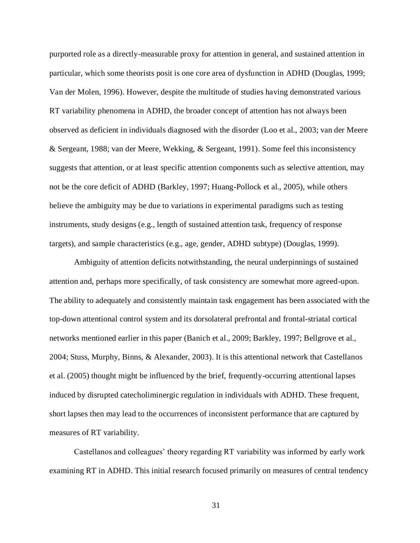purported role as a directly-measurable proxy for attention in general, and sustained attention in particular, which some theorists posit is one core area of dysfunction in ADHD (Douglas, 1999; Van der Molen, 1996). However, despite the multitude of studies having demonstrated various RT variability phenomena in ADHD, the broader concept of attention has not always been observed as deficient in individuals diagnosed with the disorder (Loo et al., 2003; van der Meere & Sergeant, 1988; van der Meere, Wekking, & Sergeant, 1991). Some feel this inconsistency suggests that attention, or at least specific attention components such as selective attention, may not be the core deficit of ADHD (Barkley, 1997; Huang-Pollock et al., 2005), while others believe the ambiguity may be due to variations in experimental paradigms such as testing instruments, study designs (e.g., length of sustained attention task, frequency of response targets), and sample characteristics (e.g., age, gender, ADHD subtype) (Douglas, 1999).

Ambiguity of attention deficits notwithstanding, the neural underpinnings of sustained attention and, perhaps more specifically, of task consistency are somewhat more agreed-upon. The ability to adequately and consistently maintain task engagement has been associated with the top-down attentional control system and its dorsolateral prefrontal and frontal-striatal cortical networks mentioned earlier in this paper (Banich et al., 2009; Barkley, 1997; Bellgrove et al., 2004; Stuss, Murphy, Binns, & Alexander, 2003). It is this attentional network that Castellanos et al. (2005) thought might be influenced by the brief, frequently-occurring attentional lapses induced by disrupted catecholiminergic regulation in individuals with ADHD. These frequent, short lapses then may lead to the occurrences of inconsistent performance that are captured by measures of RT variability.

Castellanos and colleagues' theory regarding RT variability was informed by early work examining RT in ADHD. This initial research focused primarily on measures of central tendency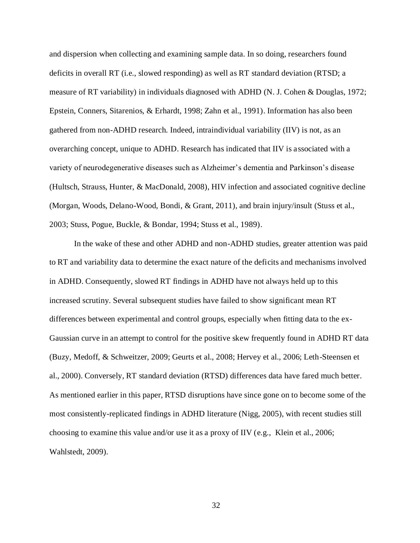and dispersion when collecting and examining sample data. In so doing, researchers found deficits in overall RT (i.e., slowed responding) as well as RT standard deviation (RTSD; a measure of RT variability) in individuals diagnosed with ADHD (N. J. Cohen & Douglas, 1972; Epstein, Conners, Sitarenios, & Erhardt, 1998; Zahn et al., 1991). Information has also been gathered from non-ADHD research. Indeed, intraindividual variability (IIV) is not, as an overarching concept, unique to ADHD. Research has indicated that IIV is associated with a variety of neurodegenerative diseases such as Alzheimer's dementia and Parkinson's disease (Hultsch, Strauss, Hunter, & MacDonald, 2008), HIV infection and associated cognitive decline (Morgan, Woods, Delano-Wood, Bondi, & Grant, 2011), and brain injury/insult (Stuss et al., 2003; Stuss, Pogue, Buckle, & Bondar, 1994; Stuss et al., 1989).

In the wake of these and other ADHD and non-ADHD studies, greater attention was paid to RT and variability data to determine the exact nature of the deficits and mechanisms involved in ADHD. Consequently, slowed RT findings in ADHD have not always held up to this increased scrutiny. Several subsequent studies have failed to show significant mean RT differences between experimental and control groups, especially when fitting data to the ex-Gaussian curve in an attempt to control for the positive skew frequently found in ADHD RT data (Buzy, Medoff, & Schweitzer, 2009; Geurts et al., 2008; Hervey et al., 2006; Leth-Steensen et al., 2000). Conversely, RT standard deviation (RTSD) differences data have fared much better. As mentioned earlier in this paper, RTSD disruptions have since gone on to become some of the most consistently-replicated findings in ADHD literature (Nigg, 2005), with recent studies still choosing to examine this value and/or use it as a proxy of IIV (e.g., Klein et al., 2006; Wahlstedt, 2009).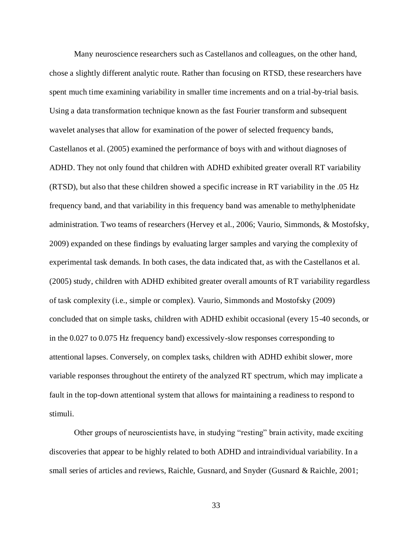Many neuroscience researchers such as Castellanos and colleagues, on the other hand, chose a slightly different analytic route. Rather than focusing on RTSD, these researchers have spent much time examining variability in smaller time increments and on a trial-by-trial basis. Using a data transformation technique known as the fast Fourier transform and subsequent wavelet analyses that allow for examination of the power of selected frequency bands, Castellanos et al. (2005) examined the performance of boys with and without diagnoses of ADHD. They not only found that children with ADHD exhibited greater overall RT variability (RTSD), but also that these children showed a specific increase in RT variability in the .05 Hz frequency band, and that variability in this frequency band was amenable to methylphenidate administration. Two teams of researchers (Hervey et al., 2006; Vaurio, Simmonds, & Mostofsky, 2009) expanded on these findings by evaluating larger samples and varying the complexity of experimental task demands. In both cases, the data indicated that, as with the Castellanos et al. (2005) study, children with ADHD exhibited greater overall amounts of RT variability regardless of task complexity (i.e., simple or complex). Vaurio, Simmonds and Mostofsky (2009) concluded that on simple tasks, children with ADHD exhibit occasional (every 15-40 seconds, or in the 0.027 to 0.075 Hz frequency band) excessively-slow responses corresponding to attentional lapses. Conversely, on complex tasks, children with ADHD exhibit slower, more variable responses throughout the entirety of the analyzed RT spectrum, which may implicate a fault in the top-down attentional system that allows for maintaining a readiness to respond to stimuli.

Other groups of neuroscientists have, in studying "resting" brain activity, made exciting discoveries that appear to be highly related to both ADHD and intraindividual variability. In a small series of articles and reviews, Raichle, Gusnard, and Snyder (Gusnard & Raichle, 2001;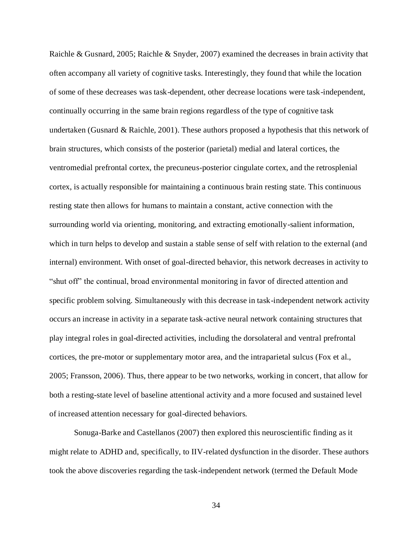Raichle & Gusnard, 2005; Raichle & Snyder, 2007) examined the decreases in brain activity that often accompany all variety of cognitive tasks. Interestingly, they found that while the location of some of these decreases was task-dependent, other decrease locations were task-independent, continually occurring in the same brain regions regardless of the type of cognitive task undertaken (Gusnard & Raichle, 2001). These authors proposed a hypothesis that this network of brain structures, which consists of the posterior (parietal) medial and lateral cortices, the ventromedial prefrontal cortex, the precuneus-posterior cingulate cortex, and the retrosplenial cortex, is actually responsible for maintaining a continuous brain resting state. This continuous resting state then allows for humans to maintain a constant, active connection with the surrounding world via orienting, monitoring, and extracting emotionally-salient information, which in turn helps to develop and sustain a stable sense of self with relation to the external (and internal) environment. With onset of goal-directed behavior, this network decreases in activity to "shut off" the continual, broad environmental monitoring in favor of directed attention and specific problem solving. Simultaneously with this decrease in task-independent network activity occurs an increase in activity in a separate task-active neural network containing structures that play integral roles in goal-directed activities, including the dorsolateral and ventral prefrontal cortices, the pre-motor or supplementary motor area, and the intraparietal sulcus (Fox et al., 2005; Fransson, 2006). Thus, there appear to be two networks, working in concert, that allow for both a resting-state level of baseline attentional activity and a more focused and sustained level of increased attention necessary for goal-directed behaviors.

Sonuga-Barke and Castellanos (2007) then explored this neuroscientific finding as it might relate to ADHD and, specifically, to IIV-related dysfunction in the disorder. These authors took the above discoveries regarding the task-independent network (termed the Default Mode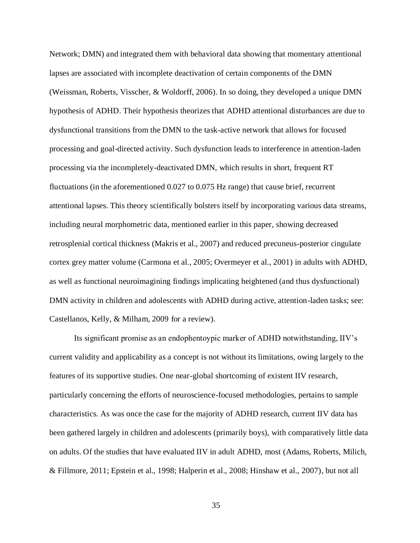Network; DMN) and integrated them with behavioral data showing that momentary attentional lapses are associated with incomplete deactivation of certain components of the DMN (Weissman, Roberts, Visscher, & Woldorff, 2006). In so doing, they developed a unique DMN hypothesis of ADHD. Their hypothesis theorizes that ADHD attentional disturbances are due to dysfunctional transitions from the DMN to the task-active network that allows for focused processing and goal-directed activity. Such dysfunction leads to interference in attention-laden processing via the incompletely-deactivated DMN, which results in short, frequent RT fluctuations (in the aforementioned 0.027 to 0.075 Hz range) that cause brief, recurrent attentional lapses. This theory scientifically bolsters itself by incorporating various data streams, including neural morphometric data, mentioned earlier in this paper, showing decreased retrosplenial cortical thickness (Makris et al., 2007) and reduced precuneus-posterior cingulate cortex grey matter volume (Carmona et al., 2005; Overmeyer et al., 2001) in adults with ADHD, as well as functional neuroimagining findings implicating heightened (and thus dysfunctional) DMN activity in children and adolescents with ADHD during active, attention-laden tasks; see: Castellanos, Kelly, & Milham, 2009 for a review).

Its significant promise as an endophentoypic marker of ADHD notwithstanding, IIV's current validity and applicability as a concept is not without its limitations, owing largely to the features of its supportive studies. One near-global shortcoming of existent IIV research, particularly concerning the efforts of neuroscience-focused methodologies, pertains to sample characteristics. As was once the case for the majority of ADHD research, current IIV data has been gathered largely in children and adolescents (primarily boys), with comparatively little data on adults. Of the studies that have evaluated IIV in adult ADHD, most (Adams, Roberts, Milich, & Fillmore, 2011; Epstein et al., 1998; Halperin et al., 2008; Hinshaw et al., 2007), but not all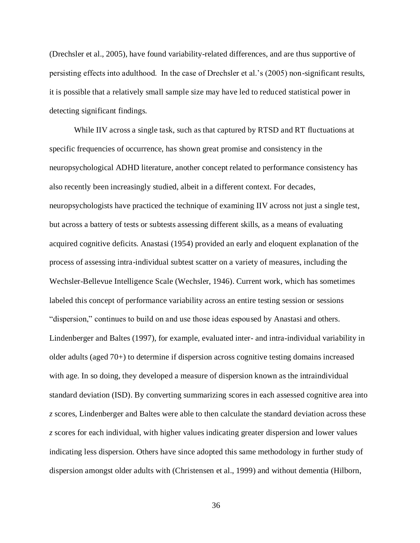(Drechsler et al., 2005), have found variability-related differences, and are thus supportive of persisting effects into adulthood. In the case of Drechsler et al.'s (2005) non-significant results, it is possible that a relatively small sample size may have led to reduced statistical power in detecting significant findings.

While IIV across a single task, such as that captured by RTSD and RT fluctuations at specific frequencies of occurrence, has shown great promise and consistency in the neuropsychological ADHD literature, another concept related to performance consistency has also recently been increasingly studied, albeit in a different context. For decades, neuropsychologists have practiced the technique of examining IIV across not just a single test, but across a battery of tests or subtests assessing different skills, as a means of evaluating acquired cognitive deficits. Anastasi (1954) provided an early and eloquent explanation of the process of assessing intra-individual subtest scatter on a variety of measures, including the Wechsler-Bellevue Intelligence Scale (Wechsler, 1946). Current work, which has sometimes labeled this concept of performance variability across an entire testing session or sessions "dispersion," continues to build on and use those ideas espoused by Anastasi and others. Lindenberger and Baltes (1997), for example, evaluated inter- and intra-individual variability in older adults (aged 70+) to determine if dispersion across cognitive testing domains increased with age. In so doing, they developed a measure of dispersion known as the intraindividual standard deviation (ISD). By converting summarizing scores in each assessed cognitive area into *z* scores, Lindenberger and Baltes were able to then calculate the standard deviation across these *z* scores for each individual, with higher values indicating greater dispersion and lower values indicating less dispersion. Others have since adopted this same methodology in further study of dispersion amongst older adults with (Christensen et al., 1999) and without dementia (Hilborn,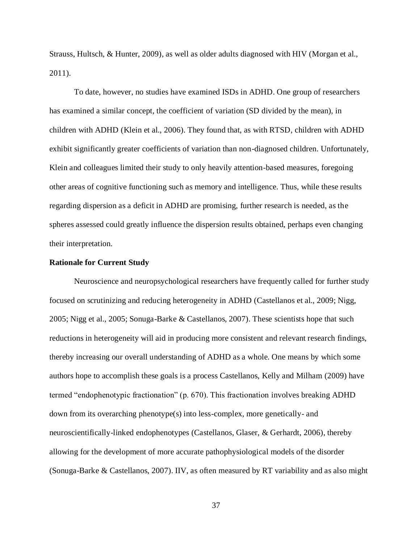Strauss, Hultsch, & Hunter, 2009), as well as older adults diagnosed with HIV (Morgan et al., 2011).

To date, however, no studies have examined ISDs in ADHD. One group of researchers has examined a similar concept, the coefficient of variation (SD divided by the mean), in children with ADHD (Klein et al., 2006). They found that, as with RTSD, children with ADHD exhibit significantly greater coefficients of variation than non-diagnosed children. Unfortunately, Klein and colleagues limited their study to only heavily attention-based measures, foregoing other areas of cognitive functioning such as memory and intelligence. Thus, while these results regarding dispersion as a deficit in ADHD are promising, further research is needed, as the spheres assessed could greatly influence the dispersion results obtained, perhaps even changing their interpretation.

### **Rationale for Current Study**

Neuroscience and neuropsychological researchers have frequently called for further study focused on scrutinizing and reducing heterogeneity in ADHD (Castellanos et al., 2009; Nigg, 2005; Nigg et al., 2005; Sonuga-Barke & Castellanos, 2007). These scientists hope that such reductions in heterogeneity will aid in producing more consistent and relevant research findings, thereby increasing our overall understanding of ADHD as a whole. One means by which some authors hope to accomplish these goals is a process Castellanos, Kelly and Milham (2009) have termed "endophenotypic fractionation" (p. 670). This fractionation involves breaking ADHD down from its overarching phenotype(s) into less-complex, more genetically- and neuroscientifically-linked endophenotypes (Castellanos, Glaser, & Gerhardt, 2006), thereby allowing for the development of more accurate pathophysiological models of the disorder (Sonuga-Barke & Castellanos, 2007). IIV, as often measured by RT variability and as also might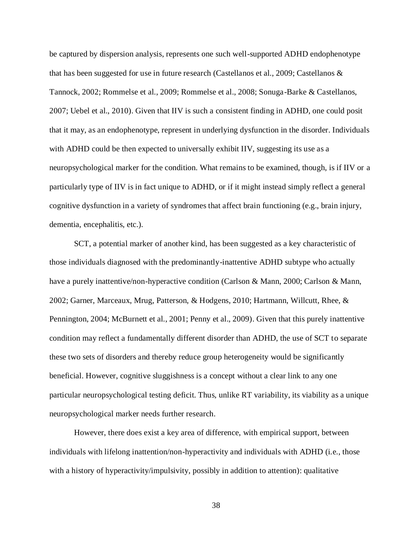be captured by dispersion analysis, represents one such well-supported ADHD endophenotype that has been suggested for use in future research (Castellanos et al., 2009; Castellanos & Tannock, 2002; Rommelse et al., 2009; Rommelse et al., 2008; Sonuga-Barke & Castellanos, 2007; Uebel et al., 2010). Given that IIV is such a consistent finding in ADHD, one could posit that it may, as an endophenotype, represent in underlying dysfunction in the disorder. Individuals with ADHD could be then expected to universally exhibit IIV, suggesting its use as a neuropsychological marker for the condition. What remains to be examined, though, is if IIV or a particularly type of IIV is in fact unique to ADHD, or if it might instead simply reflect a general cognitive dysfunction in a variety of syndromes that affect brain functioning (e.g., brain injury, dementia, encephalitis, etc.).

SCT, a potential marker of another kind, has been suggested as a key characteristic of those individuals diagnosed with the predominantly-inattentive ADHD subtype who actually have a purely inattentive/non-hyperactive condition (Carlson & Mann, 2000; Carlson & Mann, 2002; Garner, Marceaux, Mrug, Patterson, & Hodgens, 2010; Hartmann, Willcutt, Rhee, & Pennington, 2004; McBurnett et al., 2001; Penny et al., 2009). Given that this purely inattentive condition may reflect a fundamentally different disorder than ADHD, the use of SCT to separate these two sets of disorders and thereby reduce group heterogeneity would be significantly beneficial. However, cognitive sluggishness is a concept without a clear link to any one particular neuropsychological testing deficit. Thus, unlike RT variability, its viability as a unique neuropsychological marker needs further research.

However, there does exist a key area of difference, with empirical support, between individuals with lifelong inattention/non-hyperactivity and individuals with ADHD (i.e., those with a history of hyperactivity/impulsivity, possibly in addition to attention): qualitative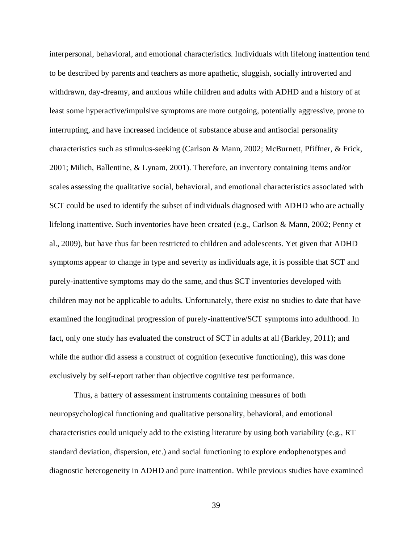interpersonal, behavioral, and emotional characteristics. Individuals with lifelong inattention tend to be described by parents and teachers as more apathetic, sluggish, socially introverted and withdrawn, day-dreamy, and anxious while children and adults with ADHD and a history of at least some hyperactive/impulsive symptoms are more outgoing, potentially aggressive, prone to interrupting, and have increased incidence of substance abuse and antisocial personality characteristics such as stimulus-seeking (Carlson & Mann, 2002; McBurnett, Pfiffner, & Frick, 2001; Milich, Ballentine, & Lynam, 2001). Therefore, an inventory containing items and/or scales assessing the qualitative social, behavioral, and emotional characteristics associated with SCT could be used to identify the subset of individuals diagnosed with ADHD who are actually lifelong inattentive. Such inventories have been created (e.g., Carlson & Mann, 2002; Penny et al., 2009), but have thus far been restricted to children and adolescents. Yet given that ADHD symptoms appear to change in type and severity as individuals age, it is possible that SCT and purely-inattentive symptoms may do the same, and thus SCT inventories developed with children may not be applicable to adults. Unfortunately, there exist no studies to date that have examined the longitudinal progression of purely-inattentive/SCT symptoms into adulthood. In fact, only one study has evaluated the construct of SCT in adults at all (Barkley, 2011); and while the author did assess a construct of cognition (executive functioning), this was done exclusively by self-report rather than objective cognitive test performance.

Thus, a battery of assessment instruments containing measures of both neuropsychological functioning and qualitative personality, behavioral, and emotional characteristics could uniquely add to the existing literature by using both variability (e.g., RT standard deviation, dispersion, etc.) and social functioning to explore endophenotypes and diagnostic heterogeneity in ADHD and pure inattention. While previous studies have examined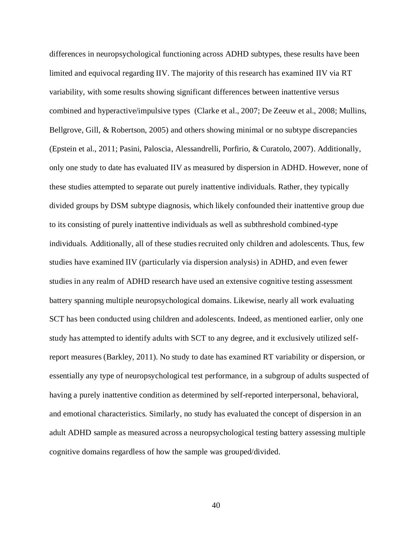differences in neuropsychological functioning across ADHD subtypes, these results have been limited and equivocal regarding IIV. The majority of this research has examined IIV via RT variability, with some results showing significant differences between inattentive versus combined and hyperactive/impulsive types (Clarke et al., 2007; De Zeeuw et al., 2008; Mullins, Bellgrove, Gill, & Robertson, 2005) and others showing minimal or no subtype discrepancies (Epstein et al., 2011; Pasini, Paloscia, Alessandrelli, Porfirio, & Curatolo, 2007). Additionally, only one study to date has evaluated IIV as measured by dispersion in ADHD. However, none of these studies attempted to separate out purely inattentive individuals. Rather, they typically divided groups by DSM subtype diagnosis, which likely confounded their inattentive group due to its consisting of purely inattentive individuals as well as subthreshold combined-type individuals. Additionally, all of these studies recruited only children and adolescents. Thus, few studies have examined IIV (particularly via dispersion analysis) in ADHD, and even fewer studies in any realm of ADHD research have used an extensive cognitive testing assessment battery spanning multiple neuropsychological domains. Likewise, nearly all work evaluating SCT has been conducted using children and adolescents. Indeed, as mentioned earlier, only one study has attempted to identify adults with SCT to any degree, and it exclusively utilized selfreport measures (Barkley, 2011). No study to date has examined RT variability or dispersion, or essentially any type of neuropsychological test performance, in a subgroup of adults suspected of having a purely inattentive condition as determined by self-reported interpersonal, behavioral, and emotional characteristics. Similarly, no study has evaluated the concept of dispersion in an adult ADHD sample as measured across a neuropsychological testing battery assessing multiple cognitive domains regardless of how the sample was grouped/divided.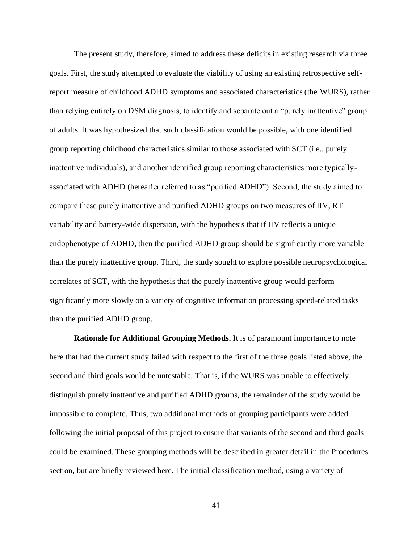The present study, therefore, aimed to address these deficits in existing research via three goals. First, the study attempted to evaluate the viability of using an existing retrospective selfreport measure of childhood ADHD symptoms and associated characteristics (the WURS), rather than relying entirely on DSM diagnosis, to identify and separate out a "purely inattentive" group of adults. It was hypothesized that such classification would be possible, with one identified group reporting childhood characteristics similar to those associated with SCT (i.e., purely inattentive individuals), and another identified group reporting characteristics more typicallyassociated with ADHD (hereafter referred to as "purified ADHD"). Second, the study aimed to compare these purely inattentive and purified ADHD groups on two measures of IIV, RT variability and battery-wide dispersion, with the hypothesis that if IIV reflects a unique endophenotype of ADHD, then the purified ADHD group should be significantly more variable than the purely inattentive group. Third, the study sought to explore possible neuropsychological correlates of SCT, with the hypothesis that the purely inattentive group would perform significantly more slowly on a variety of cognitive information processing speed-related tasks than the purified ADHD group.

**Rationale for Additional Grouping Methods.** It is of paramount importance to note here that had the current study failed with respect to the first of the three goals listed above, the second and third goals would be untestable. That is, if the WURS was unable to effectively distinguish purely inattentive and purified ADHD groups, the remainder of the study would be impossible to complete. Thus, two additional methods of grouping participants were added following the initial proposal of this project to ensure that variants of the second and third goals could be examined. These grouping methods will be described in greater detail in the Procedures section, but are briefly reviewed here. The initial classification method, using a variety of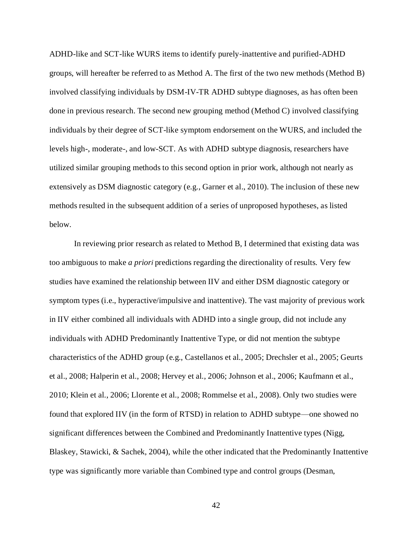ADHD-like and SCT-like WURS items to identify purely-inattentive and purified-ADHD groups, will hereafter be referred to as Method A. The first of the two new methods (Method B) involved classifying individuals by DSM-IV-TR ADHD subtype diagnoses, as has often been done in previous research. The second new grouping method (Method C) involved classifying individuals by their degree of SCT-like symptom endorsement on the WURS, and included the levels high-, moderate-, and low-SCT. As with ADHD subtype diagnosis, researchers have utilized similar grouping methods to this second option in prior work, although not nearly as extensively as DSM diagnostic category (e.g., Garner et al., 2010). The inclusion of these new methods resulted in the subsequent addition of a series of unproposed hypotheses, as listed below.

In reviewing prior research as related to Method B, I determined that existing data was too ambiguous to make *a priori* predictions regarding the directionality of results. Very few studies have examined the relationship between IIV and either DSM diagnostic category or symptom types (i.e., hyperactive/impulsive and inattentive). The vast majority of previous work in IIV either combined all individuals with ADHD into a single group, did not include any individuals with ADHD Predominantly Inattentive Type, or did not mention the subtype characteristics of the ADHD group (e.g., Castellanos et al., 2005; Drechsler et al., 2005; Geurts et al., 2008; Halperin et al., 2008; Hervey et al., 2006; Johnson et al., 2006; Kaufmann et al., 2010; Klein et al., 2006; Llorente et al., 2008; Rommelse et al., 2008). Only two studies were found that explored IIV (in the form of RTSD) in relation to ADHD subtype—one showed no significant differences between the Combined and Predominantly Inattentive types (Nigg, Blaskey, Stawicki, & Sachek, 2004), while the other indicated that the Predominantly Inattentive type was significantly more variable than Combined type and control groups (Desman,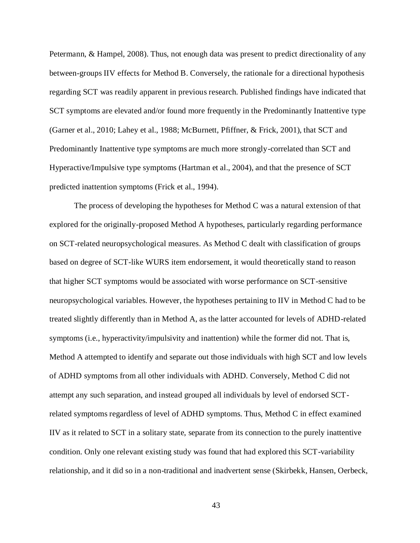Petermann, & Hampel, 2008). Thus, not enough data was present to predict directionality of any between-groups IIV effects for Method B. Conversely, the rationale for a directional hypothesis regarding SCT was readily apparent in previous research. Published findings have indicated that SCT symptoms are elevated and/or found more frequently in the Predominantly Inattentive type (Garner et al., 2010; Lahey et al., 1988; McBurnett, Pfiffner, & Frick, 2001), that SCT and Predominantly Inattentive type symptoms are much more strongly-correlated than SCT and Hyperactive/Impulsive type symptoms (Hartman et al., 2004), and that the presence of SCT predicted inattention symptoms (Frick et al., 1994).

The process of developing the hypotheses for Method C was a natural extension of that explored for the originally-proposed Method A hypotheses, particularly regarding performance on SCT-related neuropsychological measures. As Method C dealt with classification of groups based on degree of SCT-like WURS item endorsement, it would theoretically stand to reason that higher SCT symptoms would be associated with worse performance on SCT-sensitive neuropsychological variables. However, the hypotheses pertaining to IIV in Method C had to be treated slightly differently than in Method A, as the latter accounted for levels of ADHD-related symptoms (i.e., hyperactivity/impulsivity and inattention) while the former did not. That is, Method A attempted to identify and separate out those individuals with high SCT and low levels of ADHD symptoms from all other individuals with ADHD. Conversely, Method C did not attempt any such separation, and instead grouped all individuals by level of endorsed SCTrelated symptoms regardless of level of ADHD symptoms. Thus, Method C in effect examined IIV as it related to SCT in a solitary state, separate from its connection to the purely inattentive condition. Only one relevant existing study was found that had explored this SCT-variability relationship, and it did so in a non-traditional and inadvertent sense (Skirbekk, Hansen, Oerbeck,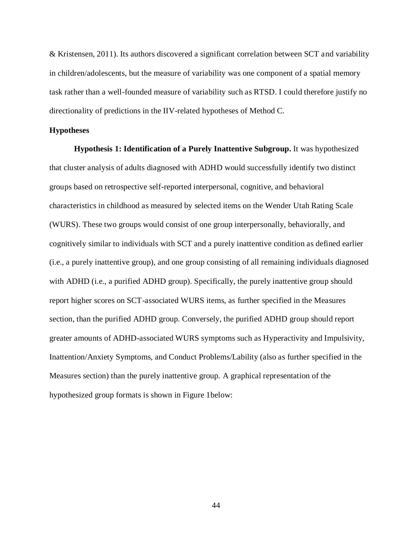& Kristensen, 2011). Its authors discovered a significant correlation between SCT and variability in children/adolescents, but the measure of variability was one component of a spatial memory task rather than a well-founded measure of variability such as RTSD. I could therefore justify no directionality of predictions in the IIV-related hypotheses of Method C.

#### **Hypotheses**

**Hypothesis 1: Identification of a Purely Inattentive Subgroup.** It was hypothesized that cluster analysis of adults diagnosed with ADHD would successfully identify two distinct groups based on retrospective self-reported interpersonal, cognitive, and behavioral characteristics in childhood as measured by selected items on the Wender Utah Rating Scale (WURS). These two groups would consist of one group interpersonally, behaviorally, and cognitively similar to individuals with SCT and a purely inattentive condition as defined earlier (i.e., a purely inattentive group), and one group consisting of all remaining individuals diagnosed with ADHD (i.e., a purified ADHD group). Specifically, the purely inattentive group should report higher scores on SCT-associated WURS items, as further specified in the Measures section, than the purified ADHD group. Conversely, the purified ADHD group should report greater amounts of ADHD-associated WURS symptoms such as Hyperactivity and Impulsivity, Inattention/Anxiety Symptoms, and Conduct Problems/Lability (also as further specified in the Measures section) than the purely inattentive group. A graphical representation of the hypothesized group formats is shown in Figure 1below: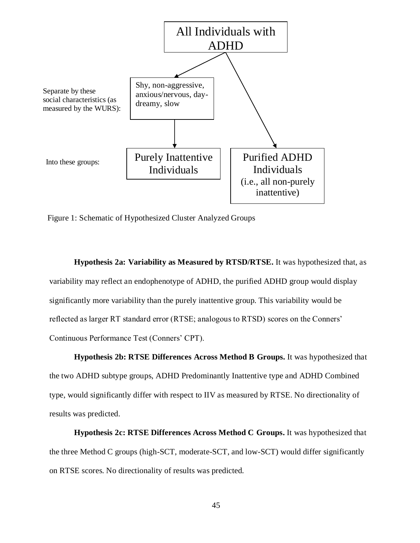

Figure 1: Schematic of Hypothesized Cluster Analyzed Groups

**Hypothesis 2a: Variability as Measured by RTSD/RTSE.** It was hypothesized that, as variability may reflect an endophenotype of ADHD, the purified ADHD group would display significantly more variability than the purely inattentive group. This variability would be reflected as larger RT standard error (RTSE; analogous to RTSD) scores on the Conners' Continuous Performance Test (Conners' CPT).

**Hypothesis 2b: RTSE Differences Across Method B Groups.** It was hypothesized that the two ADHD subtype groups, ADHD Predominantly Inattentive type and ADHD Combined type, would significantly differ with respect to IIV as measured by RTSE. No directionality of results was predicted.

**Hypothesis 2c: RTSE Differences Across Method C Groups.** It was hypothesized that the three Method C groups (high-SCT, moderate-SCT, and low-SCT) would differ significantly on RTSE scores. No directionality of results was predicted.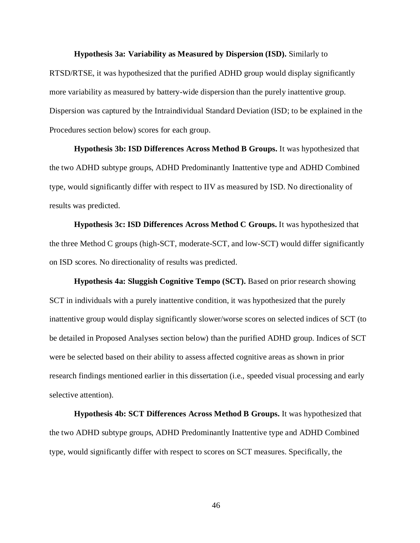**Hypothesis 3a: Variability as Measured by Dispersion (ISD).** Similarly to

RTSD/RTSE, it was hypothesized that the purified ADHD group would display significantly more variability as measured by battery-wide dispersion than the purely inattentive group. Dispersion was captured by the Intraindividual Standard Deviation (ISD; to be explained in the Procedures section below) scores for each group.

**Hypothesis 3b: ISD Differences Across Method B Groups.** It was hypothesized that the two ADHD subtype groups, ADHD Predominantly Inattentive type and ADHD Combined type, would significantly differ with respect to IIV as measured by ISD. No directionality of results was predicted.

**Hypothesis 3c: ISD Differences Across Method C Groups.** It was hypothesized that the three Method C groups (high-SCT, moderate-SCT, and low-SCT) would differ significantly on ISD scores. No directionality of results was predicted.

**Hypothesis 4a: Sluggish Cognitive Tempo (SCT).** Based on prior research showing SCT in individuals with a purely inattentive condition, it was hypothesized that the purely inattentive group would display significantly slower/worse scores on selected indices of SCT (to be detailed in Proposed Analyses section below) than the purified ADHD group. Indices of SCT were be selected based on their ability to assess affected cognitive areas as shown in prior research findings mentioned earlier in this dissertation (i.e., speeded visual processing and early selective attention).

**Hypothesis 4b: SCT Differences Across Method B Groups.** It was hypothesized that the two ADHD subtype groups, ADHD Predominantly Inattentive type and ADHD Combined type, would significantly differ with respect to scores on SCT measures. Specifically, the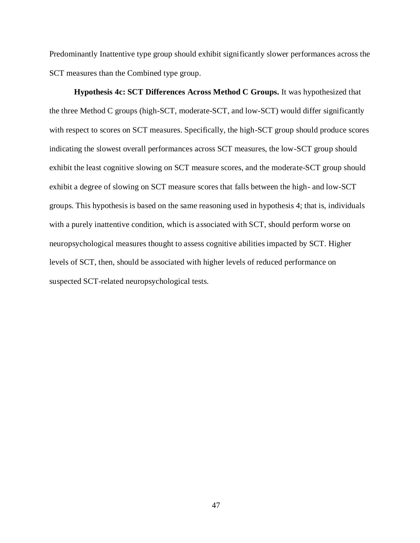Predominantly Inattentive type group should exhibit significantly slower performances across the SCT measures than the Combined type group.

**Hypothesis 4c: SCT Differences Across Method C Groups.** It was hypothesized that the three Method C groups (high-SCT, moderate-SCT, and low-SCT) would differ significantly with respect to scores on SCT measures. Specifically, the high-SCT group should produce scores indicating the slowest overall performances across SCT measures, the low-SCT group should exhibit the least cognitive slowing on SCT measure scores, and the moderate-SCT group should exhibit a degree of slowing on SCT measure scores that falls between the high- and low-SCT groups. This hypothesis is based on the same reasoning used in hypothesis 4; that is, individuals with a purely inattentive condition, which is associated with SCT, should perform worse on neuropsychological measures thought to assess cognitive abilities impacted by SCT. Higher levels of SCT, then, should be associated with higher levels of reduced performance on suspected SCT-related neuropsychological tests.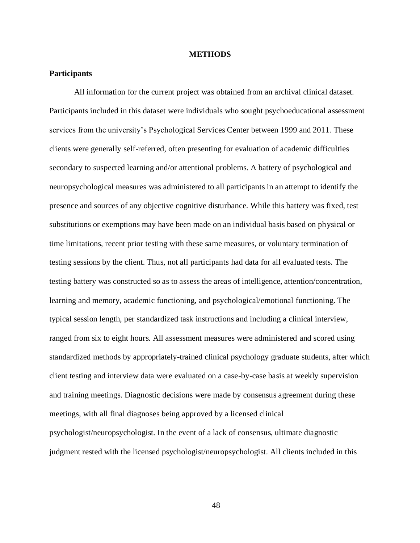#### **METHODS**

# **Participants**

All information for the current project was obtained from an archival clinical dataset. Participants included in this dataset were individuals who sought psychoeducational assessment services from the university's Psychological Services Center between 1999 and 2011. These clients were generally self-referred, often presenting for evaluation of academic difficulties secondary to suspected learning and/or attentional problems. A battery of psychological and neuropsychological measures was administered to all participants in an attempt to identify the presence and sources of any objective cognitive disturbance. While this battery was fixed, test substitutions or exemptions may have been made on an individual basis based on physical or time limitations, recent prior testing with these same measures, or voluntary termination of testing sessions by the client. Thus, not all participants had data for all evaluated tests. The testing battery was constructed so as to assess the areas of intelligence, attention/concentration, learning and memory, academic functioning, and psychological/emotional functioning. The typical session length, per standardized task instructions and including a clinical interview, ranged from six to eight hours. All assessment measures were administered and scored using standardized methods by appropriately-trained clinical psychology graduate students, after which client testing and interview data were evaluated on a case-by-case basis at weekly supervision and training meetings. Diagnostic decisions were made by consensus agreement during these meetings, with all final diagnoses being approved by a licensed clinical psychologist/neuropsychologist. In the event of a lack of consensus, ultimate diagnostic judgment rested with the licensed psychologist/neuropsychologist. All clients included in this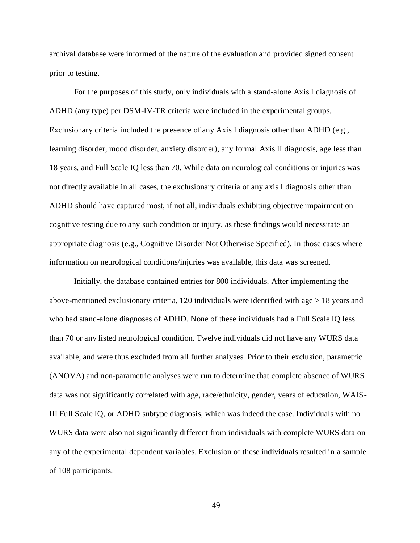archival database were informed of the nature of the evaluation and provided signed consent prior to testing.

For the purposes of this study, only individuals with a stand-alone Axis I diagnosis of ADHD (any type) per DSM-IV-TR criteria were included in the experimental groups. Exclusionary criteria included the presence of any Axis I diagnosis other than ADHD (e.g., learning disorder, mood disorder, anxiety disorder), any formal Axis II diagnosis, age less than 18 years, and Full Scale IQ less than 70. While data on neurological conditions or injuries was not directly available in all cases, the exclusionary criteria of any axis I diagnosis other than ADHD should have captured most, if not all, individuals exhibiting objective impairment on cognitive testing due to any such condition or injury, as these findings would necessitate an appropriate diagnosis (e.g., Cognitive Disorder Not Otherwise Specified). In those cases where information on neurological conditions/injuries was available, this data was screened.

Initially, the database contained entries for 800 individuals. After implementing the above-mentioned exclusionary criteria, 120 individuals were identified with age  $\geq$  18 years and who had stand-alone diagnoses of ADHD. None of these individuals had a Full Scale IQ less than 70 or any listed neurological condition. Twelve individuals did not have any WURS data available, and were thus excluded from all further analyses. Prior to their exclusion, parametric (ANOVA) and non-parametric analyses were run to determine that complete absence of WURS data was not significantly correlated with age, race/ethnicity, gender, years of education, WAIS-III Full Scale IQ, or ADHD subtype diagnosis, which was indeed the case. Individuals with no WURS data were also not significantly different from individuals with complete WURS data on any of the experimental dependent variables. Exclusion of these individuals resulted in a sample of 108 participants.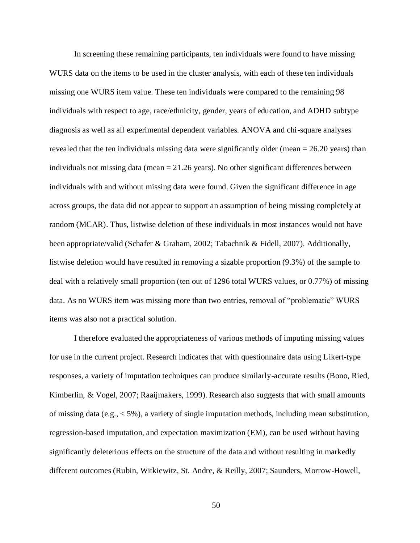In screening these remaining participants, ten individuals were found to have missing WURS data on the items to be used in the cluster analysis, with each of these ten individuals missing one WURS item value. These ten individuals were compared to the remaining 98 individuals with respect to age, race/ethnicity, gender, years of education, and ADHD subtype diagnosis as well as all experimental dependent variables. ANOVA and chi-square analyses revealed that the ten individuals missing data were significantly older (mean = 26.20 years) than individuals not missing data (mean = 21.26 years). No other significant differences between individuals with and without missing data were found. Given the significant difference in age across groups, the data did not appear to support an assumption of being missing completely at random (MCAR). Thus, listwise deletion of these individuals in most instances would not have been appropriate/valid (Schafer & Graham, 2002; Tabachnik & Fidell, 2007). Additionally, listwise deletion would have resulted in removing a sizable proportion (9.3%) of the sample to deal with a relatively small proportion (ten out of 1296 total WURS values, or 0.77%) of missing data. As no WURS item was missing more than two entries, removal of "problematic" WURS items was also not a practical solution.

I therefore evaluated the appropriateness of various methods of imputing missing values for use in the current project. Research indicates that with questionnaire data using Likert-type responses, a variety of imputation techniques can produce similarly-accurate results (Bono, Ried, Kimberlin, & Vogel, 2007; Raaijmakers, 1999). Research also suggests that with small amounts of missing data (e.g.,  $\lt 5\%$ ), a variety of single imputation methods, including mean substitution, regression-based imputation, and expectation maximization (EM), can be used without having significantly deleterious effects on the structure of the data and without resulting in markedly different outcomes (Rubin, Witkiewitz, St. Andre, & Reilly, 2007; Saunders, Morrow-Howell,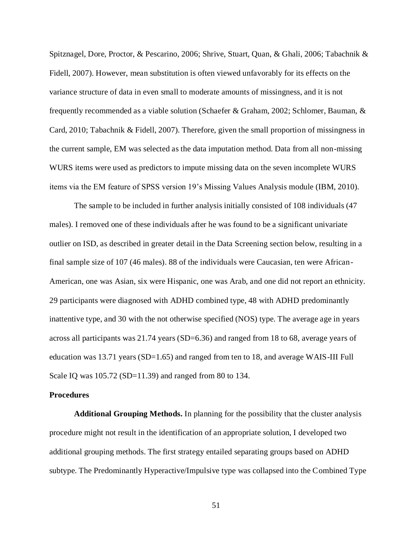Spitznagel, Dore, Proctor, & Pescarino, 2006; Shrive, Stuart, Quan, & Ghali, 2006; Tabachnik & Fidell, 2007). However, mean substitution is often viewed unfavorably for its effects on the variance structure of data in even small to moderate amounts of missingness, and it is not frequently recommended as a viable solution (Schaefer & Graham, 2002; Schlomer, Bauman, & Card, 2010; Tabachnik & Fidell, 2007). Therefore, given the small proportion of missingness in the current sample, EM was selected as the data imputation method. Data from all non-missing WURS items were used as predictors to impute missing data on the seven incomplete WURS items via the EM feature of SPSS version 19's Missing Values Analysis module (IBM, 2010).

The sample to be included in further analysis initially consisted of 108 individuals (47 males). I removed one of these individuals after he was found to be a significant univariate outlier on ISD, as described in greater detail in the Data Screening section below, resulting in a final sample size of 107 (46 males). 88 of the individuals were Caucasian, ten were African-American, one was Asian, six were Hispanic, one was Arab, and one did not report an ethnicity. 29 participants were diagnosed with ADHD combined type, 48 with ADHD predominantly inattentive type, and 30 with the not otherwise specified (NOS) type. The average age in years across all participants was 21.74 years (SD=6.36) and ranged from 18 to 68, average years of education was 13.71 years (SD=1.65) and ranged from ten to 18, and average WAIS-III Full Scale IQ was 105.72 (SD=11.39) and ranged from 80 to 134.

#### **Procedures**

**Additional Grouping Methods.** In planning for the possibility that the cluster analysis procedure might not result in the identification of an appropriate solution, I developed two additional grouping methods. The first strategy entailed separating groups based on ADHD subtype. The Predominantly Hyperactive/Impulsive type was collapsed into the Combined Type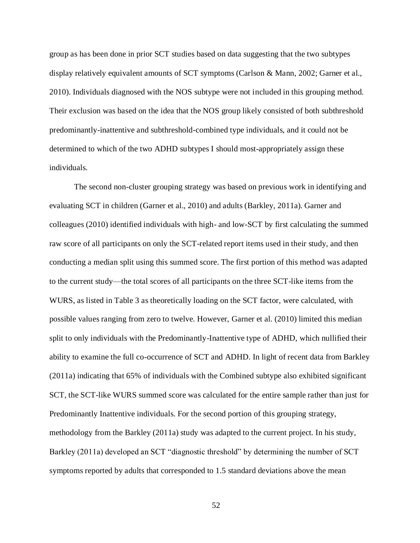group as has been done in prior SCT studies based on data suggesting that the two subtypes display relatively equivalent amounts of SCT symptoms (Carlson & Mann, 2002; Garner et al., 2010). Individuals diagnosed with the NOS subtype were not included in this grouping method. Their exclusion was based on the idea that the NOS group likely consisted of both subthreshold predominantly-inattentive and subthreshold-combined type individuals, and it could not be determined to which of the two ADHD subtypes I should most-appropriately assign these individuals.

The second non-cluster grouping strategy was based on previous work in identifying and evaluating SCT in children (Garner et al., 2010) and adults (Barkley, 2011a). Garner and colleagues (2010) identified individuals with high- and low-SCT by first calculating the summed raw score of all participants on only the SCT-related report items used in their study, and then conducting a median split using this summed score. The first portion of this method was adapted to the current study—the total scores of all participants on the three SCT-like items from the WURS, as listed in Table 3 as theoretically loading on the SCT factor, were calculated, with possible values ranging from zero to twelve. However, Garner et al. (2010) limited this median split to only individuals with the Predominantly-Inattentive type of ADHD, which nullified their ability to examine the full co-occurrence of SCT and ADHD. In light of recent data from Barkley (2011a) indicating that 65% of individuals with the Combined subtype also exhibited significant SCT, the SCT-like WURS summed score was calculated for the entire sample rather than just for Predominantly Inattentive individuals. For the second portion of this grouping strategy, methodology from the Barkley (2011a) study was adapted to the current project. In his study, Barkley (2011a) developed an SCT "diagnostic threshold" by determining the number of SCT symptoms reported by adults that corresponded to 1.5 standard deviations above the mean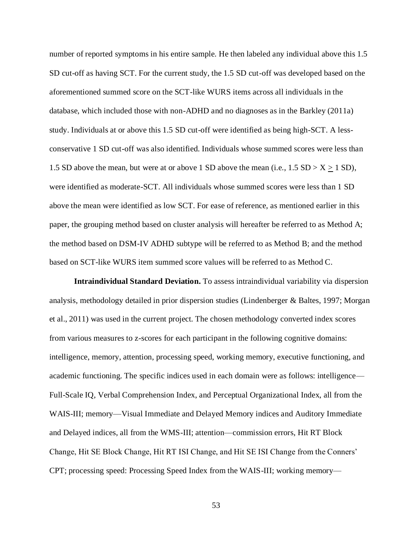number of reported symptoms in his entire sample. He then labeled any individual above this 1.5 SD cut-off as having SCT. For the current study, the 1.5 SD cut-off was developed based on the aforementioned summed score on the SCT-like WURS items across all individuals in the database, which included those with non-ADHD and no diagnoses as in the Barkley (2011a) study. Individuals at or above this 1.5 SD cut-off were identified as being high-SCT. A lessconservative 1 SD cut-off was also identified. Individuals whose summed scores were less than 1.5 SD above the mean, but were at or above 1 SD above the mean (i.e.,  $1.5$  SD  $> X \ge 1$  SD), were identified as moderate-SCT. All individuals whose summed scores were less than 1 SD above the mean were identified as low SCT. For ease of reference, as mentioned earlier in this paper, the grouping method based on cluster analysis will hereafter be referred to as Method A; the method based on DSM-IV ADHD subtype will be referred to as Method B; and the method based on SCT-like WURS item summed score values will be referred to as Method C.

**Intraindividual Standard Deviation.** To assess intraindividual variability via dispersion analysis, methodology detailed in prior dispersion studies (Lindenberger & Baltes, 1997; Morgan et al., 2011) was used in the current project. The chosen methodology converted index scores from various measures to z-scores for each participant in the following cognitive domains: intelligence, memory, attention, processing speed, working memory, executive functioning, and academic functioning. The specific indices used in each domain were as follows: intelligence— Full-Scale IQ, Verbal Comprehension Index, and Perceptual Organizational Index, all from the WAIS-III; memory—Visual Immediate and Delayed Memory indices and Auditory Immediate and Delayed indices, all from the WMS-III; attention—commission errors, Hit RT Block Change, Hit SE Block Change, Hit RT ISI Change, and Hit SE ISI Change from the Conners' CPT; processing speed: Processing Speed Index from the WAIS-III; working memory—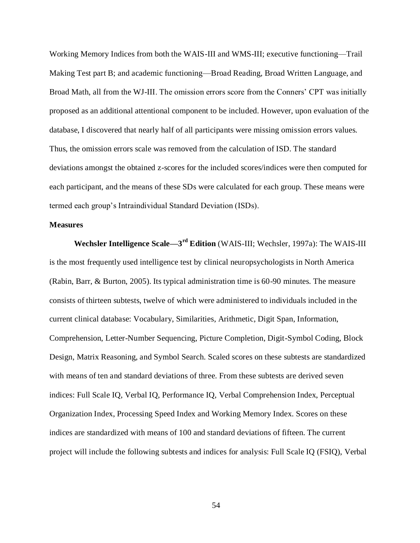Working Memory Indices from both the WAIS-III and WMS-III; executive functioning—Trail Making Test part B; and academic functioning—Broad Reading, Broad Written Language, and Broad Math, all from the WJ-III. The omission errors score from the Conners' CPT was initially proposed as an additional attentional component to be included. However, upon evaluation of the database, I discovered that nearly half of all participants were missing omission errors values. Thus, the omission errors scale was removed from the calculation of ISD. The standard deviations amongst the obtained z-scores for the included scores/indices were then computed for each participant, and the means of these SDs were calculated for each group. These means were termed each group's Intraindividual Standard Deviation (ISDs).

### **Measures**

**Wechsler Intelligence Scale—3 rd Edition** (WAIS-III; Wechsler, 1997a): The WAIS-III is the most frequently used intelligence test by clinical neuropsychologists in North America (Rabin, Barr, & Burton, 2005). Its typical administration time is 60-90 minutes. The measure consists of thirteen subtests, twelve of which were administered to individuals included in the current clinical database: Vocabulary, Similarities, Arithmetic, Digit Span, Information, Comprehension, Letter-Number Sequencing, Picture Completion, Digit-Symbol Coding, Block Design, Matrix Reasoning, and Symbol Search. Scaled scores on these subtests are standardized with means of ten and standard deviations of three. From these subtests are derived seven indices: Full Scale IQ, Verbal IQ, Performance IQ, Verbal Comprehension Index, Perceptual Organization Index, Processing Speed Index and Working Memory Index. Scores on these indices are standardized with means of 100 and standard deviations of fifteen. The current project will include the following subtests and indices for analysis: Full Scale IQ (FSIQ), Verbal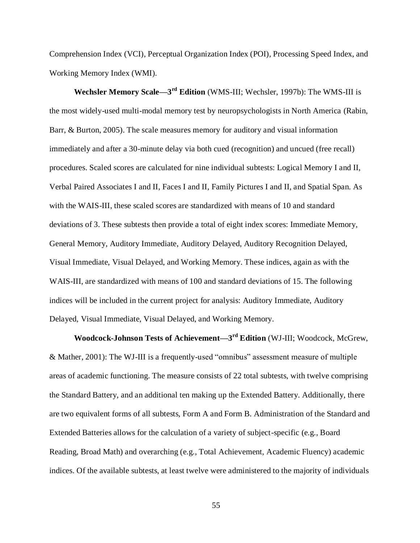Comprehension Index (VCI), Perceptual Organization Index (POI), Processing Speed Index, and Working Memory Index (WMI).

**Wechsler Memory Scale—3 rd Edition** (WMS-III; Wechsler, 1997b): The WMS-III is the most widely-used multi-modal memory test by neuropsychologists in North America (Rabin, Barr, & Burton, 2005). The scale measures memory for auditory and visual information immediately and after a 30-minute delay via both cued (recognition) and uncued (free recall) procedures. Scaled scores are calculated for nine individual subtests: Logical Memory I and II, Verbal Paired Associates I and II, Faces I and II, Family Pictures I and II, and Spatial Span. As with the WAIS-III, these scaled scores are standardized with means of 10 and standard deviations of 3. These subtests then provide a total of eight index scores: Immediate Memory, General Memory, Auditory Immediate, Auditory Delayed, Auditory Recognition Delayed, Visual Immediate, Visual Delayed, and Working Memory. These indices, again as with the WAIS-III, are standardized with means of 100 and standard deviations of 15. The following indices will be included in the current project for analysis: Auditory Immediate, Auditory Delayed, Visual Immediate, Visual Delayed, and Working Memory.

**Woodcock-Johnson Tests of Achievement—3 rd Edition** (WJ-III; Woodcock, McGrew, & Mather, 2001): The WJ-III is a frequently-used "omnibus" assessment measure of multiple areas of academic functioning. The measure consists of 22 total subtests, with twelve comprising the Standard Battery, and an additional ten making up the Extended Battery. Additionally, there are two equivalent forms of all subtests, Form A and Form B. Administration of the Standard and Extended Batteries allows for the calculation of a variety of subject-specific (e.g., Board Reading, Broad Math) and overarching (e.g., Total Achievement, Academic Fluency) academic indices. Of the available subtests, at least twelve were administered to the majority of individuals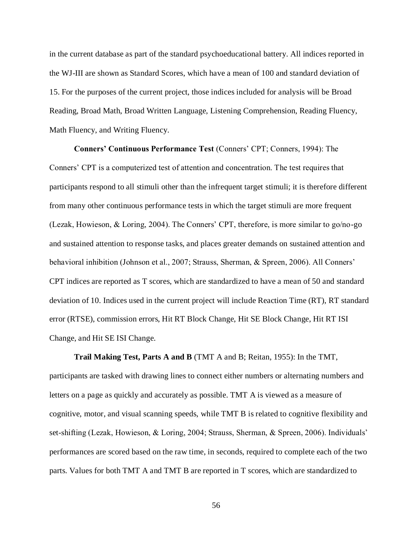in the current database as part of the standard psychoeducational battery. All indices reported in the WJ-III are shown as Standard Scores, which have a mean of 100 and standard deviation of 15. For the purposes of the current project, those indices included for analysis will be Broad Reading, Broad Math, Broad Written Language, Listening Comprehension, Reading Fluency, Math Fluency, and Writing Fluency.

**Conners' Continuous Performance Test** (Conners' CPT; Conners, 1994): The Conners' CPT is a computerized test of attention and concentration. The test requires that participants respond to all stimuli other than the infrequent target stimuli; it is therefore different from many other continuous performance tests in which the target stimuli are more frequent (Lezak, Howieson, & Loring, 2004). The Conners' CPT, therefore, is more similar to go/no-go and sustained attention to response tasks, and places greater demands on sustained attention and behavioral inhibition (Johnson et al., 2007; Strauss, Sherman, & Spreen, 2006). All Conners' CPT indices are reported as T scores, which are standardized to have a mean of 50 and standard deviation of 10. Indices used in the current project will include Reaction Time (RT), RT standard error (RTSE), commission errors, Hit RT Block Change, Hit SE Block Change, Hit RT ISI Change, and Hit SE ISI Change.

**Trail Making Test, Parts A and B** (TMT A and B; Reitan, 1955): In the TMT, participants are tasked with drawing lines to connect either numbers or alternating numbers and letters on a page as quickly and accurately as possible. TMT A is viewed as a measure of cognitive, motor, and visual scanning speeds, while TMT B is related to cognitive flexibility and set-shifting (Lezak, Howieson, & Loring, 2004; Strauss, Sherman, & Spreen, 2006). Individuals' performances are scored based on the raw time, in seconds, required to complete each of the two parts. Values for both TMT A and TMT B are reported in T scores, which are standardized to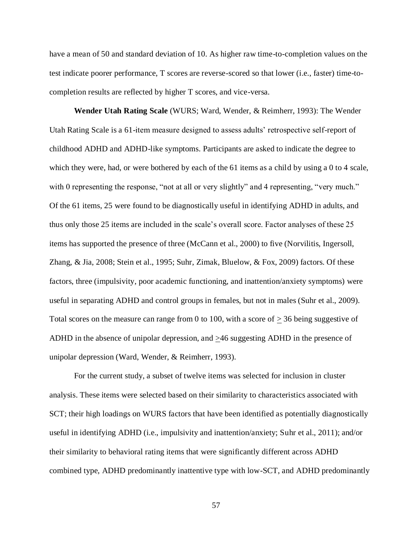have a mean of 50 and standard deviation of 10. As higher raw time-to-completion values on the test indicate poorer performance, T scores are reverse-scored so that lower (i.e., faster) time-tocompletion results are reflected by higher T scores, and vice-versa.

**Wender Utah Rating Scale** (WURS; Ward, Wender, & Reimherr, 1993): The Wender Utah Rating Scale is a 61-item measure designed to assess adults' retrospective self-report of childhood ADHD and ADHD-like symptoms. Participants are asked to indicate the degree to which they were, had, or were bothered by each of the 61 items as a child by using a 0 to 4 scale, with 0 representing the response, "not at all or very slightly" and 4 representing, "very much." Of the 61 items, 25 were found to be diagnostically useful in identifying ADHD in adults, and thus only those 25 items are included in the scale's overall score. Factor analyses of these 25 items has supported the presence of three (McCann et al., 2000) to five (Norvilitis, Ingersoll, Zhang, & Jia, 2008; Stein et al., 1995; Suhr, Zimak, Bluelow, & Fox, 2009) factors. Of these factors, three (impulsivity, poor academic functioning, and inattention/anxiety symptoms) were useful in separating ADHD and control groups in females, but not in males (Suhr et al., 2009). Total scores on the measure can range from 0 to 100, with a score of  $\geq$  36 being suggestive of ADHD in the absence of unipolar depression, and  $\geq 46$  suggesting ADHD in the presence of unipolar depression (Ward, Wender, & Reimherr, 1993).

For the current study, a subset of twelve items was selected for inclusion in cluster analysis. These items were selected based on their similarity to characteristics associated with SCT; their high loadings on WURS factors that have been identified as potentially diagnostically useful in identifying ADHD (i.e., impulsivity and inattention/anxiety; Suhr et al., 2011); and/or their similarity to behavioral rating items that were significantly different across ADHD combined type, ADHD predominantly inattentive type with low-SCT, and ADHD predominantly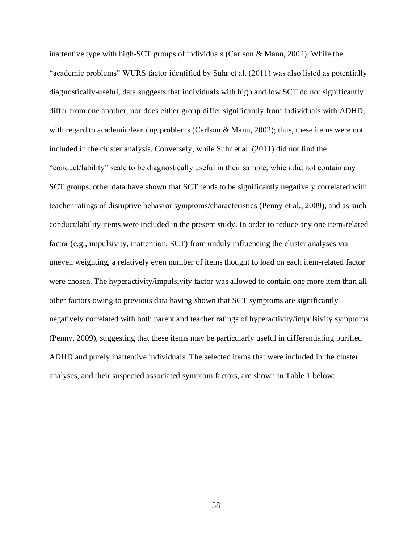inattentive type with high-SCT groups of individuals (Carlson & Mann, 2002). While the "academic problems" WURS factor identified by Suhr et al. (2011) was also listed as potentially diagnostically-useful, data suggests that individuals with high and low SCT do not significantly differ from one another, nor does either group differ significantly from individuals with ADHD, with regard to academic/learning problems (Carlson & Mann, 2002); thus, these items were not included in the cluster analysis. Conversely, while Suhr et al. (2011) did not find the "conduct/lability" scale to be diagnostically useful in their sample, which did not contain any SCT groups, other data have shown that SCT tends to be significantly negatively correlated with teacher ratings of disruptive behavior symptoms/characteristics (Penny et al., 2009), and as such conduct/lability items were included in the present study. In order to reduce any one item-related factor (e.g., impulsivity, inattention, SCT) from unduly influencing the cluster analyses via uneven weighting, a relatively even number of items thought to load on each item-related factor were chosen. The hyperactivity/impulsivity factor was allowed to contain one more item than all other factors owing to previous data having shown that SCT symptoms are significantly negatively correlated with both parent and teacher ratings of hyperactivity/impulsivity symptoms (Penny, 2009), suggesting that these items may be particularly useful in differentiating purified ADHD and purely inattentive individuals. The selected items that were included in the cluster analyses, and their suspected associated symptom factors, are shown in Table 1 below: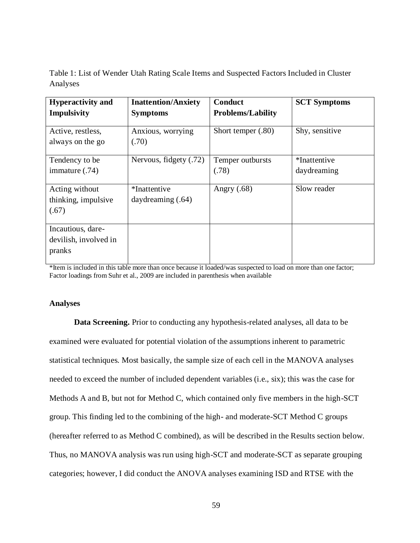Table 1: List of Wender Utah Rating Scale Items and Suspected Factors Included in Cluster Analyses

| <b>Hyperactivity and</b><br>Impulsivity              | <b>Inattention/Anxiety</b><br><b>Symptoms</b> | Conduct<br><b>Problems/Lability</b> | <b>SCT Symptoms</b>         |
|------------------------------------------------------|-----------------------------------------------|-------------------------------------|-----------------------------|
| Active, restless,<br>always on the go                | Anxious, worrying<br>(.70)                    | Short temper (.80)                  | Shy, sensitive              |
| Tendency to be<br>immature (.74)                     | Nervous, fidgety (.72)                        | Temper outbursts<br>(.78)           | *Inattentive<br>daydreaming |
| Acting without<br>thinking, impulsive<br>(.67)       | *Inattentive<br>daydreaming $(.64)$           | Angry $(.68)$                       | Slow reader                 |
| Incautious, dare-<br>devilish, involved in<br>pranks |                                               |                                     |                             |

\*Item is included in this table more than once because it loaded/was suspected to load on more than one factor; Factor loadings from Suhr et al., 2009 are included in parenthesis when available

## **Analyses**

**Data Screening.** Prior to conducting any hypothesis-related analyses, all data to be examined were evaluated for potential violation of the assumptions inherent to parametric statistical techniques. Most basically, the sample size of each cell in the MANOVA analyses needed to exceed the number of included dependent variables (i.e., six); this was the case for Methods A and B, but not for Method C, which contained only five members in the high-SCT group. This finding led to the combining of the high- and moderate-SCT Method C groups (hereafter referred to as Method C combined), as will be described in the Results section below. Thus, no MANOVA analysis was run using high-SCT and moderate-SCT as separate grouping categories; however, I did conduct the ANOVA analyses examining ISD and RTSE with the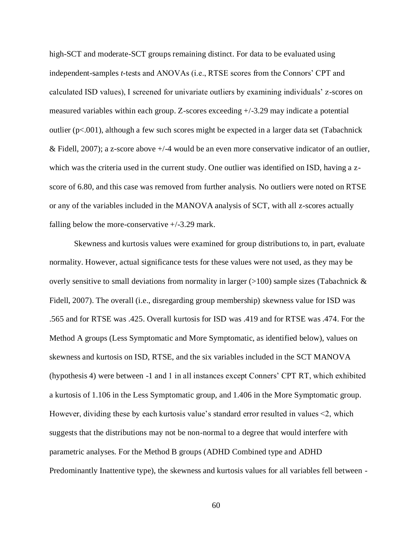high-SCT and moderate-SCT groups remaining distinct. For data to be evaluated using independent-samples *t-*tests and ANOVAs (i.e., RTSE scores from the Connors' CPT and calculated ISD values), I screened for univariate outliers by examining individuals' z-scores on measured variables within each group. Z-scores exceeding +/-3.29 may indicate a potential outlier ( $p<.001$ ), although a few such scores might be expected in a larger data set (Tabachnick & Fidell, 2007); a z-score above +/-4 would be an even more conservative indicator of an outlier, which was the criteria used in the current study. One outlier was identified on ISD, having a zscore of 6.80, and this case was removed from further analysis. No outliers were noted on RTSE or any of the variables included in the MANOVA analysis of SCT, with all z-scores actually falling below the more-conservative  $+/-3.29$  mark.

Skewness and kurtosis values were examined for group distributions to, in part, evaluate normality. However, actual significance tests for these values were not used, as they may be overly sensitive to small deviations from normality in larger  $(>100)$  sample sizes (Tabachnick  $\&$ Fidell, 2007). The overall (i.e., disregarding group membership) skewness value for ISD was .565 and for RTSE was .425. Overall kurtosis for ISD was .419 and for RTSE was .474. For the Method A groups (Less Symptomatic and More Symptomatic, as identified below), values on skewness and kurtosis on ISD, RTSE, and the six variables included in the SCT MANOVA (hypothesis 4) were between -1 and 1 in all instances except Conners' CPT RT, which exhibited a kurtosis of 1.106 in the Less Symptomatic group, and 1.406 in the More Symptomatic group. However, dividing these by each kurtosis value's standard error resulted in values <2, which suggests that the distributions may not be non-normal to a degree that would interfere with parametric analyses. For the Method B groups (ADHD Combined type and ADHD Predominantly Inattentive type), the skewness and kurtosis values for all variables fell between -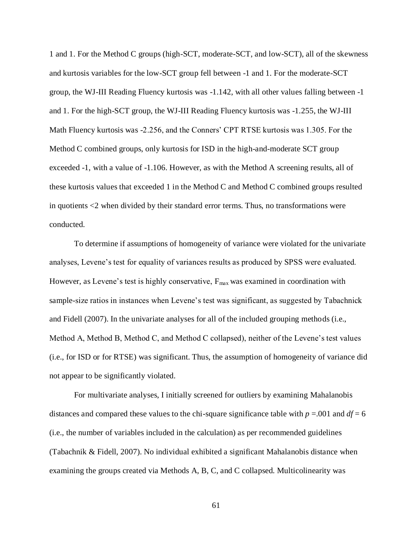1 and 1. For the Method C groups (high-SCT, moderate-SCT, and low-SCT), all of the skewness and kurtosis variables for the low-SCT group fell between -1 and 1. For the moderate-SCT group, the WJ-III Reading Fluency kurtosis was -1.142, with all other values falling between -1 and 1. For the high-SCT group, the WJ-III Reading Fluency kurtosis was -1.255, the WJ-III Math Fluency kurtosis was -2.256, and the Conners' CPT RTSE kurtosis was 1.305. For the Method C combined groups, only kurtosis for ISD in the high-and-moderate SCT group exceeded -1, with a value of -1.106. However, as with the Method A screening results, all of these kurtosis values that exceeded 1 in the Method C and Method C combined groups resulted in quotients <2 when divided by their standard error terms. Thus, no transformations were conducted.

To determine if assumptions of homogeneity of variance were violated for the univariate analyses, Levene's test for equality of variances results as produced by SPSS were evaluated. However, as Levene's test is highly conservative,  $F_{\text{max}}$  was examined in coordination with sample-size ratios in instances when Levene's test was significant, as suggested by Tabachnick and Fidell (2007). In the univariate analyses for all of the included grouping methods (i.e., Method A, Method B, Method C, and Method C collapsed), neither of the Levene's test values (i.e., for ISD or for RTSE) was significant. Thus, the assumption of homogeneity of variance did not appear to be significantly violated.

For multivariate analyses, I initially screened for outliers by examining Mahalanobis distances and compared these values to the chi-square significance table with  $p = 0.01$  and  $df = 6$ (i.e., the number of variables included in the calculation) as per recommended guidelines (Tabachnik & Fidell, 2007). No individual exhibited a significant Mahalanobis distance when examining the groups created via Methods A, B, C, and C collapsed. Multicolinearity was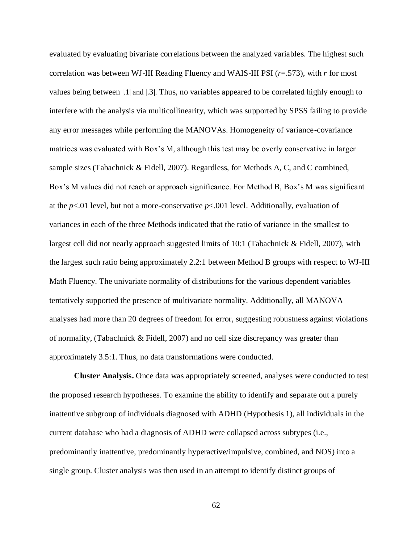evaluated by evaluating bivariate correlations between the analyzed variables. The highest such correlation was between WJ-III Reading Fluency and WAIS-III PSI (*r*=.573), with *r* for most values being between |.1| and |.3|. Thus, no variables appeared to be correlated highly enough to interfere with the analysis via multicollinearity, which was supported by SPSS failing to provide any error messages while performing the MANOVAs. Homogeneity of variance-covariance matrices was evaluated with Box's M, although this test may be overly conservative in larger sample sizes (Tabachnick & Fidell, 2007). Regardless, for Methods A, C, and C combined, Box's M values did not reach or approach significance. For Method B, Box's M was significant at the *p*<.01 level, but not a more-conservative *p*<.001 level. Additionally, evaluation of variances in each of the three Methods indicated that the ratio of variance in the smallest to largest cell did not nearly approach suggested limits of 10:1 (Tabachnick & Fidell, 2007), with the largest such ratio being approximately 2.2:1 between Method B groups with respect to WJ-III Math Fluency. The univariate normality of distributions for the various dependent variables tentatively supported the presence of multivariate normality. Additionally, all MANOVA analyses had more than 20 degrees of freedom for error, suggesting robustness against violations of normality, (Tabachnick & Fidell, 2007) and no cell size discrepancy was greater than approximately 3.5:1. Thus, no data transformations were conducted.

**Cluster Analysis.** Once data was appropriately screened, analyses were conducted to test the proposed research hypotheses. To examine the ability to identify and separate out a purely inattentive subgroup of individuals diagnosed with ADHD (Hypothesis 1), all individuals in the current database who had a diagnosis of ADHD were collapsed across subtypes (i.e., predominantly inattentive, predominantly hyperactive/impulsive, combined, and NOS) into a single group. Cluster analysis was then used in an attempt to identify distinct groups of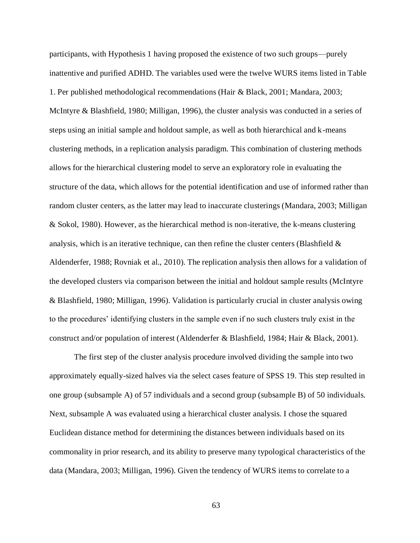participants, with Hypothesis 1 having proposed the existence of two such groups—purely inattentive and purified ADHD. The variables used were the twelve WURS items listed in Table 1. Per published methodological recommendations (Hair & Black, 2001; Mandara, 2003; McIntyre & Blashfield, 1980; Milligan, 1996), the cluster analysis was conducted in a series of steps using an initial sample and holdout sample, as well as both hierarchical and k-means clustering methods, in a replication analysis paradigm. This combination of clustering methods allows for the hierarchical clustering model to serve an exploratory role in evaluating the structure of the data, which allows for the potential identification and use of informed rather than random cluster centers, as the latter may lead to inaccurate clusterings (Mandara, 2003; Milligan & Sokol, 1980). However, as the hierarchical method is non-iterative, the k-means clustering analysis, which is an iterative technique, can then refine the cluster centers (Blashfield  $\&$ Aldenderfer, 1988; Rovniak et al., 2010). The replication analysis then allows for a validation of the developed clusters via comparison between the initial and holdout sample results (McIntyre & Blashfield, 1980; Milligan, 1996). Validation is particularly crucial in cluster analysis owing to the procedures' identifying clusters in the sample even if no such clusters truly exist in the construct and/or population of interest (Aldenderfer & Blashfield, 1984; Hair & Black, 2001).

The first step of the cluster analysis procedure involved dividing the sample into two approximately equally-sized halves via the select cases feature of SPSS 19. This step resulted in one group (subsample A) of 57 individuals and a second group (subsample B) of 50 individuals. Next, subsample A was evaluated using a hierarchical cluster analysis. I chose the squared Euclidean distance method for determining the distances between individuals based on its commonality in prior research, and its ability to preserve many typological characteristics of the data (Mandara, 2003; Milligan, 1996). Given the tendency of WURS items to correlate to a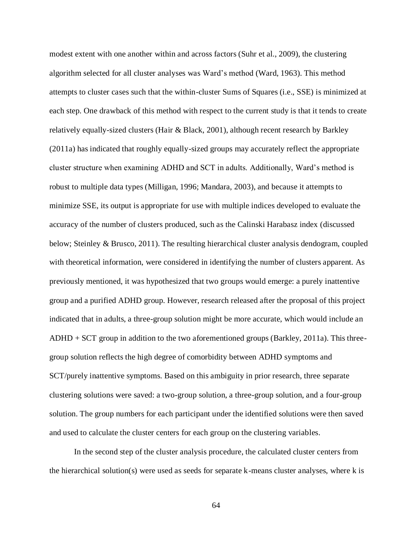modest extent with one another within and across factors (Suhr et al., 2009), the clustering algorithm selected for all cluster analyses was Ward's method (Ward, 1963). This method attempts to cluster cases such that the within-cluster Sums of Squares (i.e., SSE) is minimized at each step. One drawback of this method with respect to the current study is that it tends to create relatively equally-sized clusters (Hair & Black, 2001), although recent research by Barkley (2011a) has indicated that roughly equally-sized groups may accurately reflect the appropriate cluster structure when examining ADHD and SCT in adults. Additionally, Ward's method is robust to multiple data types (Milligan, 1996; Mandara, 2003), and because it attempts to minimize SSE, its output is appropriate for use with multiple indices developed to evaluate the accuracy of the number of clusters produced, such as the Calinski Harabasz index (discussed below; Steinley & Brusco, 2011). The resulting hierarchical cluster analysis dendogram, coupled with theoretical information, were considered in identifying the number of clusters apparent. As previously mentioned, it was hypothesized that two groups would emerge: a purely inattentive group and a purified ADHD group. However, research released after the proposal of this project indicated that in adults, a three-group solution might be more accurate, which would include an ADHD + SCT group in addition to the two aforementioned groups (Barkley, 2011a). This threegroup solution reflects the high degree of comorbidity between ADHD symptoms and SCT/purely inattentive symptoms. Based on this ambiguity in prior research, three separate clustering solutions were saved: a two-group solution, a three-group solution, and a four-group solution. The group numbers for each participant under the identified solutions were then saved and used to calculate the cluster centers for each group on the clustering variables.

In the second step of the cluster analysis procedure, the calculated cluster centers from the hierarchical solution(s) were used as seeds for separate k-means cluster analyses, where k is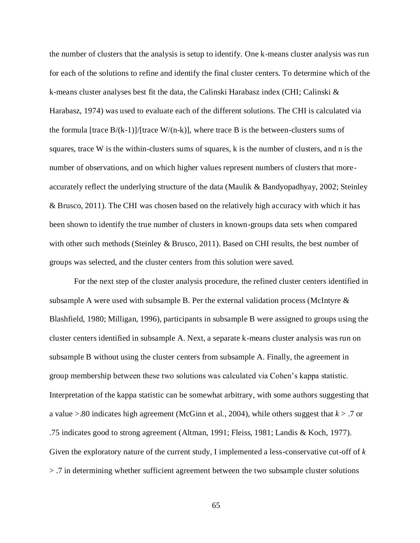the number of clusters that the analysis is setup to identify. One k-means cluster analysis was run for each of the solutions to refine and identify the final cluster centers. To determine which of the k-means cluster analyses best fit the data, the Calinski Harabasz index (CHI; Calinski & Harabasz, 1974) was used to evaluate each of the different solutions. The CHI is calculated via the formula [trace  $B/(k-1)/$ [trace W/(n-k)], where trace B is the between-clusters sums of squares, trace W is the within-clusters sums of squares, k is the number of clusters, and n is the number of observations, and on which higher values represent numbers of clusters that moreaccurately reflect the underlying structure of the data (Maulik & Bandyopadhyay, 2002; Steinley & Brusco, 2011). The CHI was chosen based on the relatively high accuracy with which it has been shown to identify the true number of clusters in known-groups data sets when compared with other such methods (Steinley & Brusco, 2011). Based on CHI results, the best number of groups was selected, and the cluster centers from this solution were saved.

For the next step of the cluster analysis procedure, the refined cluster centers identified in subsample A were used with subsample B. Per the external validation process (McIntyre  $\&$ Blashfield, 1980; Milligan, 1996), participants in subsample B were assigned to groups using the cluster centers identified in subsample A. Next, a separate k-means cluster analysis was run on subsample B without using the cluster centers from subsample A. Finally, the agreement in group membership between these two solutions was calculated via Cohen's kappa statistic. Interpretation of the kappa statistic can be somewhat arbitrary, with some authors suggesting that a value >.80 indicates high agreement (McGinn et al., 2004), while others suggest that *k* > .7 or .75 indicates good to strong agreement (Altman, 1991; Fleiss, 1981; Landis & Koch, 1977). Given the exploratory nature of the current study, I implemented a less-conservative cut-off of *k*  > .7 in determining whether sufficient agreement between the two subsample cluster solutions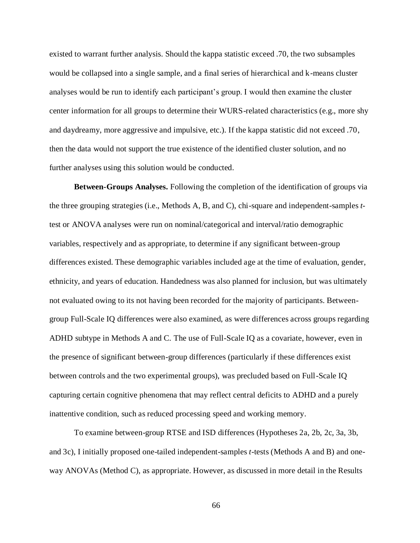existed to warrant further analysis. Should the kappa statistic exceed .70, the two subsamples would be collapsed into a single sample, and a final series of hierarchical and k-means cluster analyses would be run to identify each participant's group. I would then examine the cluster center information for all groups to determine their WURS-related characteristics (e.g., more shy and daydreamy, more aggressive and impulsive, etc.). If the kappa statistic did not exceed .70, then the data would not support the true existence of the identified cluster solution, and no further analyses using this solution would be conducted.

**Between-Groups Analyses.** Following the completion of the identification of groups via the three grouping strategies (i.e., Methods A, B, and C), chi-square and independent-samples *t*test or ANOVA analyses were run on nominal/categorical and interval/ratio demographic variables, respectively and as appropriate, to determine if any significant between-group differences existed. These demographic variables included age at the time of evaluation, gender, ethnicity, and years of education. Handedness was also planned for inclusion, but was ultimately not evaluated owing to its not having been recorded for the majority of participants. Betweengroup Full-Scale IQ differences were also examined, as were differences across groups regarding ADHD subtype in Methods A and C. The use of Full-Scale IQ as a covariate, however, even in the presence of significant between-group differences (particularly if these differences exist between controls and the two experimental groups), was precluded based on Full-Scale IQ capturing certain cognitive phenomena that may reflect central deficits to ADHD and a purely inattentive condition, such as reduced processing speed and working memory.

To examine between-group RTSE and ISD differences (Hypotheses 2a, 2b, 2c, 3a, 3b, and 3c), I initially proposed one-tailed independent-samples *t*-tests (Methods A and B) and oneway ANOVAs (Method C), as appropriate. However, as discussed in more detail in the Results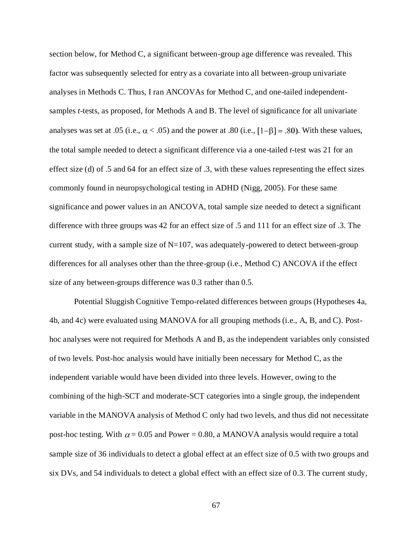section below, for Method C, a significant between-group age difference was revealed. This factor was subsequently selected for entry as a covariate into all between-group univariate analyses in Methods C. Thus, I ran ANCOVAs for Method C, and one-tailed independentsamples *t*-tests, as proposed, for Methods A and B. The level of significance for all univariate analyses was set at .05 (i.e.,  $\alpha$  < .05) and the power at .80 (i.e.,  $[1-\beta] = .80$ ). With these values, the total sample needed to detect a significant difference via a one-tailed *t-*test was 21 for an effect size (d) of .5 and 64 for an effect size of .3, with these values representing the effect sizes commonly found in neuropsychological testing in ADHD (Nigg, 2005). For these same significance and power values in an ANCOVA, total sample size needed to detect a significant difference with three groups was 42 for an effect size of .5 and 111 for an effect size of .3. The current study, with a sample size of N=107, was adequately-powered to detect between-group differences for all analyses other than the three-group (i.e., Method C) ANCOVA if the effect size of any between-groups difference was 0.3 rather than 0.5.

Potential Sluggish Cognitive Tempo-related differences between groups (Hypotheses 4a, 4b, and 4c) were evaluated using MANOVA for all grouping methods (i.e., A, B, and C). Posthoc analyses were not required for Methods A and B, as the independent variables only consisted of two levels. Post-hoc analysis would have initially been necessary for Method C, as the independent variable would have been divided into three levels. However, owing to the combining of the high-SCT and moderate-SCT categories into a single group, the independent variable in the MANOVA analysis of Method C only had two levels, and thus did not necessitate post-hoc testing. With  $\alpha$  = 0.05 and Power = 0.80, a MANOVA analysis would require a total sample size of 36 individuals to detect a global effect at an effect size of 0.5 with two groups and six DVs, and 54 individuals to detect a global effect with an effect size of 0.3. The current study,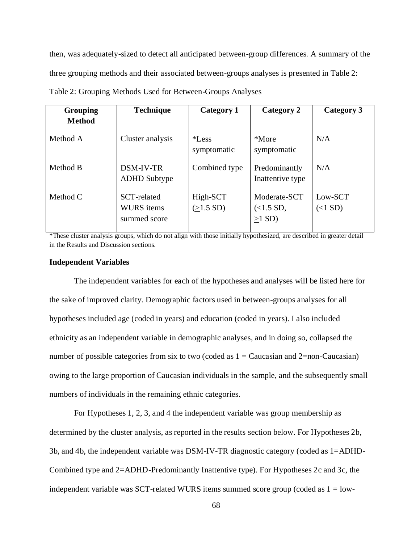then, was adequately-sized to detect all anticipated between-group differences. A summary of the three grouping methods and their associated between-groups analyses is presented in Table 2:

| <b>Grouping</b><br><b>Method</b> | <b>Technique</b>                                 | <b>Category 1</b>       | Category 2                            | Category 3           |
|----------------------------------|--------------------------------------------------|-------------------------|---------------------------------------|----------------------|
| Method A                         | Cluster analysis                                 | $*$ Less<br>symptomatic | *More<br>symptomatic                  | N/A                  |
| Method B                         | DSM-IV-TR<br><b>ADHD</b> Subtype                 | Combined type           | Predominantly<br>Inattentive type     | N/A                  |
| Method C                         | SCT-related<br><b>WURS</b> items<br>summed score | High-SCT<br>(>1.5 SD)   | Moderate-SCT<br>(<1.5 SD,<br>$>1$ SD) | Low-SCT<br>$(<1$ SD) |

Table 2: Grouping Methods Used for Between-Groups Analyses

\*These cluster analysis groups, which do not align with those initially hypothesized, are described in greater detail in the Results and Discussion sections.

#### **Independent Variables**

The independent variables for each of the hypotheses and analyses will be listed here for the sake of improved clarity. Demographic factors used in between-groups analyses for all hypotheses included age (coded in years) and education (coded in years). I also included ethnicity as an independent variable in demographic analyses, and in doing so, collapsed the number of possible categories from six to two (coded as  $1 =$ Caucasian and 2=non-Caucasian) owing to the large proportion of Caucasian individuals in the sample, and the subsequently small numbers of individuals in the remaining ethnic categories.

For Hypotheses 1, 2, 3, and 4 the independent variable was group membership as determined by the cluster analysis, as reported in the results section below. For Hypotheses 2b, 3b, and 4b, the independent variable was DSM-IV-TR diagnostic category (coded as 1=ADHD-Combined type and 2=ADHD-Predominantly Inattentive type). For Hypotheses 2c and 3c, the independent variable was SCT-related WURS items summed score group (coded as  $1 =$  low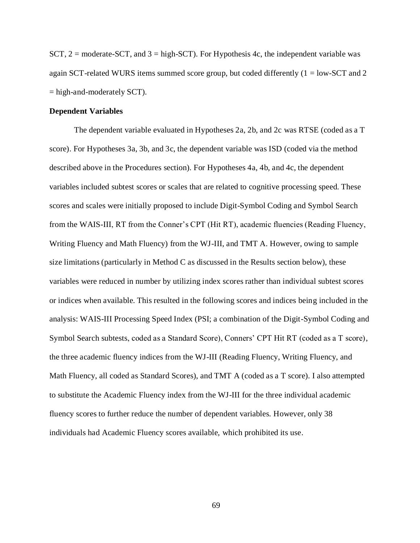SCT,  $2 =$  moderate-SCT, and  $3 =$  high-SCT). For Hypothesis 4c, the independent variable was again SCT-related WURS items summed score group, but coded differently  $(1 = low-SCT$  and 2  $=$  high-and-moderately SCT).

#### **Dependent Variables**

The dependent variable evaluated in Hypotheses 2a, 2b, and 2c was RTSE (coded as a T score). For Hypotheses 3a, 3b, and 3c, the dependent variable was ISD (coded via the method described above in the Procedures section). For Hypotheses 4a, 4b, and 4c, the dependent variables included subtest scores or scales that are related to cognitive processing speed. These scores and scales were initially proposed to include Digit-Symbol Coding and Symbol Search from the WAIS-III, RT from the Conner's CPT (Hit RT), academic fluencies (Reading Fluency, Writing Fluency and Math Fluency) from the WJ-III, and TMT A. However, owing to sample size limitations (particularly in Method C as discussed in the Results section below), these variables were reduced in number by utilizing index scores rather than individual subtest scores or indices when available. This resulted in the following scores and indices being included in the analysis: WAIS-III Processing Speed Index (PSI; a combination of the Digit-Symbol Coding and Symbol Search subtests, coded as a Standard Score), Conners' CPT Hit RT (coded as a T score), the three academic fluency indices from the WJ-III (Reading Fluency, Writing Fluency, and Math Fluency, all coded as Standard Scores), and TMT A (coded as a T score). I also attempted to substitute the Academic Fluency index from the WJ-III for the three individual academic fluency scores to further reduce the number of dependent variables. However, only 38 individuals had Academic Fluency scores available, which prohibited its use.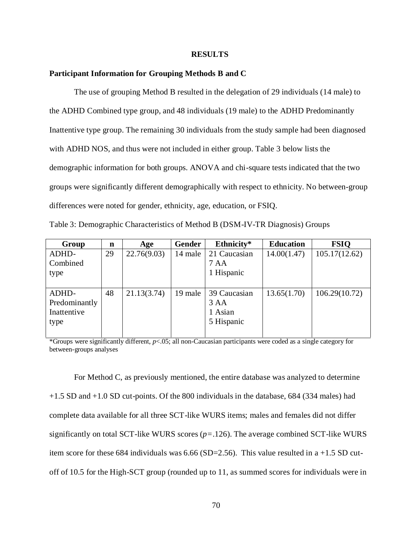#### **RESULTS**

## **Participant Information for Grouping Methods B and C**

The use of grouping Method B resulted in the delegation of 29 individuals (14 male) to the ADHD Combined type group, and 48 individuals (19 male) to the ADHD Predominantly Inattentive type group. The remaining 30 individuals from the study sample had been diagnosed with ADHD NOS, and thus were not included in either group. Table 3 below lists the demographic information for both groups. ANOVA and chi-square tests indicated that the two groups were significantly different demographically with respect to ethnicity. No between-group differences were noted for gender, ethnicity, age, education, or FSIQ.

Table 3: Demographic Characteristics of Method B (DSM-IV-TR Diagnosis) Groups

| Group         | n  | Age         | <b>Gender</b> | Ethnicity*      | <b>Education</b> | <b>FSIQ</b>   |
|---------------|----|-------------|---------------|-----------------|------------------|---------------|
| ADHD-         | 29 | 22.76(9.03) | 14 male       | 21 Caucasian    | 14.00(1.47)      | 105.17(12.62) |
| Combined      |    |             |               | 7 AA            |                  |               |
| type          |    |             |               | 1 Hispanic      |                  |               |
|               |    |             |               |                 |                  |               |
| ADHD-         | 48 | 21.13(3.74) | 19 male       | 39 Caucasian    | 13.65(1.70)      | 106.29(10.72) |
| Predominantly |    |             |               | 3 <sub>AA</sub> |                  |               |
| Inattentive   |    |             |               | 1 Asian         |                  |               |
| type          |    |             |               | 5 Hispanic      |                  |               |
|               |    |             |               |                 |                  |               |

\*Groups were significantly different, *p*<.05; all non-Caucasian participants were coded as a single category for between-groups analyses

For Method C, as previously mentioned, the entire database was analyzed to determine +1.5 SD and +1.0 SD cut-points. Of the 800 individuals in the database, 684 (334 males) had complete data available for all three SCT-like WURS items; males and females did not differ significantly on total SCT-like WURS scores (*p=*.126). The average combined SCT-like WURS item score for these 684 individuals was 6.66 (SD=2.56). This value resulted in a +1.5 SD cutoff of 10.5 for the High-SCT group (rounded up to 11, as summed scores for individuals were in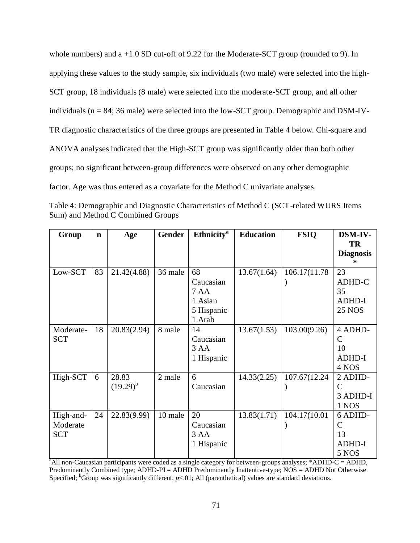whole numbers) and a +1.0 SD cut-off of 9.22 for the Moderate-SCT group (rounded to 9). In applying these values to the study sample, six individuals (two male) were selected into the high-SCT group, 18 individuals (8 male) were selected into the moderate-SCT group, and all other individuals (n = 84; 36 male) were selected into the low-SCT group. Demographic and DSM-IV-TR diagnostic characteristics of the three groups are presented in Table 4 below. Chi-square and ANOVA analyses indicated that the High-SCT group was significantly older than both other groups; no significant between-group differences were observed on any other demographic factor. Age was thus entered as a covariate for the Method C univariate analyses.

| Group      | $\mathbf n$ | Age           | Gender  | Ethnicity <sup>a</sup> | <b>Education</b> | <b>FSIQ</b>   | <b>DSM-IV-</b><br><b>TR</b> |
|------------|-------------|---------------|---------|------------------------|------------------|---------------|-----------------------------|
|            |             |               |         |                        |                  |               | <b>Diagnosis</b>            |
| Low-SCT    | 83          | 21.42(4.88)   | 36 male | 68                     | 13.67(1.64)      | 106.17(11.78) | 23                          |
|            |             |               |         | Caucasian              |                  |               | ADHD-C                      |
|            |             |               |         | 7 AA                   |                  |               | 35                          |
|            |             |               |         | 1 Asian                |                  |               | <b>ADHD-I</b>               |
|            |             |               |         | 5 Hispanic             |                  |               | <b>25 NOS</b>               |
|            |             |               |         | 1 Arab                 |                  |               |                             |
| Moderate-  | 18          | 20.83(2.94)   | 8 male  | 14                     | 13.67(1.53)      | 103.00(9.26)  | 4 ADHD-                     |
| <b>SCT</b> |             |               |         | Caucasian              |                  |               | $\mathcal{C}$               |
|            |             |               |         | 3AA                    |                  |               | 10                          |
|            |             |               |         | 1 Hispanic             |                  |               | <b>ADHD-I</b>               |
|            |             |               |         |                        |                  |               | 4 NOS                       |
| High-SCT   | 6           | 28.83         | 2 male  | 6                      | 14.33(2.25)      | 107.67(12.24) | 2 ADHD-                     |
|            |             | $(19.29)^{b}$ |         | Caucasian              |                  |               | $\mathcal{C}$               |
|            |             |               |         |                        |                  |               | 3 ADHD-I                    |
|            |             |               |         |                        |                  |               | 1 NOS                       |
| High-and-  | 24          | 22.83(9.99)   | 10 male | 20                     | 13.83(1.71)      | 104.17(10.01  | 6 ADHD-                     |
| Moderate   |             |               |         | Caucasian              |                  |               | $\mathcal{C}$               |
| <b>SCT</b> |             |               |         | 3 <sub>AA</sub>        |                  |               | 13                          |
|            |             |               |         | 1 Hispanic             |                  |               | <b>ADHD-I</b>               |
|            |             |               |         |                        |                  |               | 5 NOS                       |

Table 4: Demographic and Diagnostic Characteristics of Method C (SCT-related WURS Items Sum) and Method C Combined Groups

<sup>a</sup>All non-Caucasian participants were coded as a single category for between-groups analyses; \*ADHD-C = ADHD, Predominantly Combined type; ADHD-PI = ADHD Predominantly Inattentive-type; NOS = ADHD Not Otherwise Specified; <sup>b</sup>Group was significantly different,  $p<01$ ; All (parenthetical) values are standard deviations.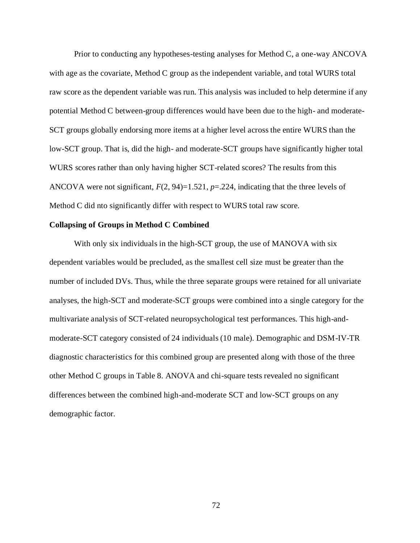Prior to conducting any hypotheses-testing analyses for Method C, a one-way ANCOVA with age as the covariate, Method C group as the independent variable, and total WURS total raw score as the dependent variable was run. This analysis was included to help determine if any potential Method C between-group differences would have been due to the high- and moderate-SCT groups globally endorsing more items at a higher level across the entire WURS than the low-SCT group. That is, did the high- and moderate-SCT groups have significantly higher total WURS scores rather than only having higher SCT-related scores? The results from this ANCOVA were not significant,  $F(2, 94)=1.521$ ,  $p=.224$ , indicating that the three levels of Method C did nto significantly differ with respect to WURS total raw score.

## **Collapsing of Groups in Method C Combined**

With only six individuals in the high-SCT group, the use of MANOVA with six dependent variables would be precluded, as the smallest cell size must be greater than the number of included DVs. Thus, while the three separate groups were retained for all univariate analyses, the high-SCT and moderate-SCT groups were combined into a single category for the multivariate analysis of SCT-related neuropsychological test performances. This high-andmoderate-SCT category consisted of 24 individuals (10 male). Demographic and DSM-IV-TR diagnostic characteristics for this combined group are presented along with those of the three other Method C groups in Table 8. ANOVA and chi-square tests revealed no significant differences between the combined high-and-moderate SCT and low-SCT groups on any demographic factor.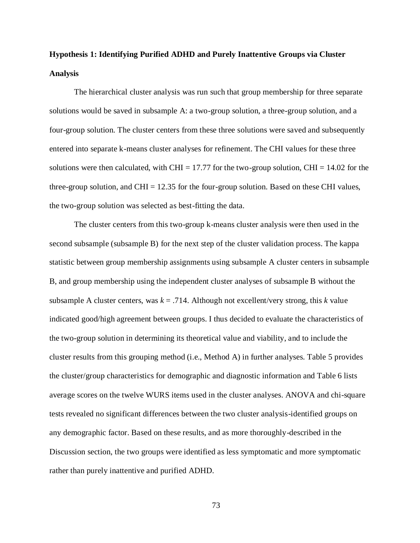# **Hypothesis 1: Identifying Purified ADHD and Purely Inattentive Groups via Cluster Analysis**

The hierarchical cluster analysis was run such that group membership for three separate solutions would be saved in subsample A: a two-group solution, a three-group solution, and a four-group solution. The cluster centers from these three solutions were saved and subsequently entered into separate k-means cluster analyses for refinement. The CHI values for these three solutions were then calculated, with CHI = 17.77 for the two-group solution, CHI = 14.02 for the three-group solution, and  $CHI = 12.35$  for the four-group solution. Based on these CHI values, the two-group solution was selected as best-fitting the data.

The cluster centers from this two-group k-means cluster analysis were then used in the second subsample (subsample B) for the next step of the cluster validation process. The kappa statistic between group membership assignments using subsample A cluster centers in subsample B, and group membership using the independent cluster analyses of subsample B without the subsample A cluster centers, was  $k = 0.714$ . Although not excellent/very strong, this *k* value indicated good/high agreement between groups. I thus decided to evaluate the characteristics of the two-group solution in determining its theoretical value and viability, and to include the cluster results from this grouping method (i.e., Method A) in further analyses. Table 5 provides the cluster/group characteristics for demographic and diagnostic information and Table 6 lists average scores on the twelve WURS items used in the cluster analyses. ANOVA and chi-square tests revealed no significant differences between the two cluster analysis-identified groups on any demographic factor. Based on these results, and as more thoroughly-described in the Discussion section, the two groups were identified as less symptomatic and more symptomatic rather than purely inattentive and purified ADHD.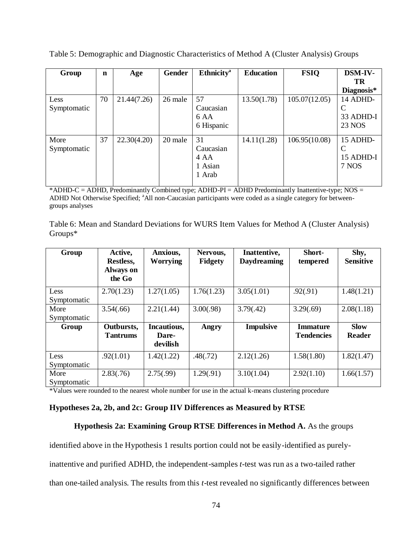| Group       | $\mathbf n$ | Age         | Gender  | <b>Ethnicity</b> <sup>a</sup> | <b>Education</b> | <b>FSIQ</b>   | DSM-IV-       |
|-------------|-------------|-------------|---------|-------------------------------|------------------|---------------|---------------|
|             |             |             |         |                               |                  |               | TR            |
|             |             |             |         |                               |                  |               | Diagnosis*    |
| Less        | 70          | 21.44(7.26) | 26 male | 57                            | 13.50(1.78)      | 105.07(12.05) | 14 ADHD-      |
| Symptomatic |             |             |         | Caucasian                     |                  |               | C             |
|             |             |             |         | 6 AA                          |                  |               | 33 ADHD-I     |
|             |             |             |         | 6 Hispanic                    |                  |               | <b>23 NOS</b> |
| More        | 37          | 22.30(4.20) | 20 male | 31                            | 14.11(1.28)      | 106.95(10.08) | 15 ADHD-      |
| Symptomatic |             |             |         | Caucasian                     |                  |               | C             |
|             |             |             |         | 4 AA                          |                  |               | 15 ADHD-I     |
|             |             |             |         | 1 Asian                       |                  |               | 7 NOS         |
|             |             |             |         | 1 Arab                        |                  |               |               |
|             |             |             |         |                               |                  |               |               |

Table 5: Demographic and Diagnostic Characteristics of Method A (Cluster Analysis) Groups

\*ADHD-C = ADHD, Predominantly Combined type; ADHD-PI = ADHD Predominantly Inattentive-type; NOS = ADHD Not Otherwise Specified; <sup>a</sup>All non-Caucasian participants were coded as a single category for betweengroups analyses

| Table 6: Mean and Standard Deviations for WURS Item Values for Method A (Cluster Analysis) |  |  |
|--------------------------------------------------------------------------------------------|--|--|
| $Groups*$                                                                                  |  |  |

| Group               | Active,<br>Restless,<br><b>Always on</b><br>the Go | Anxious,<br><b>Worrying</b>      | Nervous,<br><b>Fidgety</b> | Inattentive,<br><b>Daydreaming</b> | Short-<br>tempered                   | Shy,<br><b>Sensitive</b>     |
|---------------------|----------------------------------------------------|----------------------------------|----------------------------|------------------------------------|--------------------------------------|------------------------------|
| Less<br>Symptomatic | 2.70(1.23)                                         | 1.27(1.05)                       | 1.76(1.23)                 | 3.05(1.01)                         | .92(.91)                             | 1.48(1.21)                   |
| More<br>Symptomatic | 3.54(.66)                                          | 2.21(1.44)                       | 3.00(.98)                  | 3.79(.42)                          | 3.29(.69)                            | 2.08(1.18)                   |
| Group               | Outbursts,<br><b>Tantrums</b>                      | Incautious,<br>Dare-<br>devilish | Angry                      | <b>Impulsive</b>                   | <b>Immature</b><br><b>Tendencies</b> | <b>Slow</b><br><b>Reader</b> |
| Less<br>Symptomatic | .92(1.01)                                          | 1.42(1.22)                       | .48(.72)                   | 2.12(1.26)                         | 1.58(1.80)                           | 1.82(1.47)                   |
| More<br>Symptomatic | 2.83(.76)                                          | 2.75(.99)                        | 1.29(.91)                  | 3.10(1.04)                         | 2.92(1.10)                           | 1.66(1.57)                   |

\*Values were rounded to the nearest whole number for use in the actual k-means clustering procedure

# **Hypotheses 2a, 2b, and 2c: Group IIV Differences as Measured by RTSE**

# **Hypothesis 2a: Examining Group RTSE Differences in Method A.** As the groups

identified above in the Hypothesis 1 results portion could not be easily-identified as purelyinattentive and purified ADHD, the independent-samples *t*-test was run as a two-tailed rather than one-tailed analysis. The results from this *t*-test revealed no significantly differences between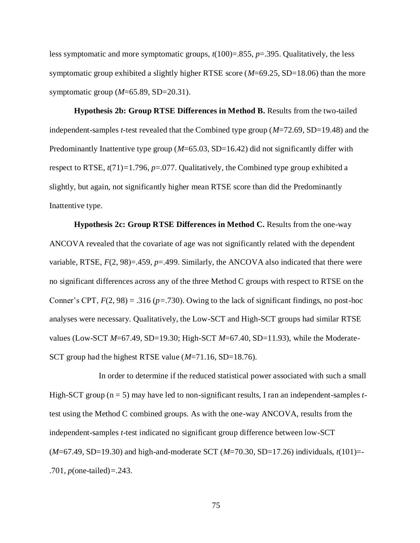less symptomatic and more symptomatic groups, *t*(100)=.855, *p*=.395. Qualitatively, the less symptomatic group exhibited a slightly higher RTSE score (*M*=69.25, SD=18.06) than the more symptomatic group (*M*=65.89, SD=20.31).

**Hypothesis 2b: Group RTSE Differences in Method B.** Results from the two-tailed independent-samples *t-*test revealed that the Combined type group (*M*=72.69, SD=19.48) and the Predominantly Inattentive type group (*M*=65.03, SD=16.42) did not significantly differ with respect to RTSE, *t*(71)*=*1.796, *p*=.077. Qualitatively, the Combined type group exhibited a slightly, but again, not significantly higher mean RTSE score than did the Predominantly Inattentive type.

**Hypothesis 2c: Group RTSE Differences in Method C.** Results from the one-way ANCOVA revealed that the covariate of age was not significantly related with the dependent variable, RTSE,  $F(2, 98) = .459$ ,  $p = .499$ . Similarly, the ANCOVA also indicated that there were no significant differences across any of the three Method C groups with respect to RTSE on the Conner's CPT,  $F(2, 98) = .316$  ( $p = .730$ ). Owing to the lack of significant findings, no post-hoc analyses were necessary. Qualitatively, the Low-SCT and High-SCT groups had similar RTSE values (Low-SCT *M*=67.49, SD=19.30; High-SCT *M*=67.40, SD=11.93), while the Moderate-SCT group had the highest RTSE value (*M*=71.16, SD=18.76).

In order to determine if the reduced statistical power associated with such a small High-SCT group (n = 5) may have led to non-significant results, I ran an independent-samples *t*test using the Method C combined groups. As with the one-way ANCOVA, results from the independent-samples *t*-test indicated no significant group difference between low-SCT (*M*=67.49, SD=19.30) and high-and-moderate SCT (*M*=70.30, SD=17.26) individuals, *t*(101)=- .701, *p*(one-tailed)*=.*243.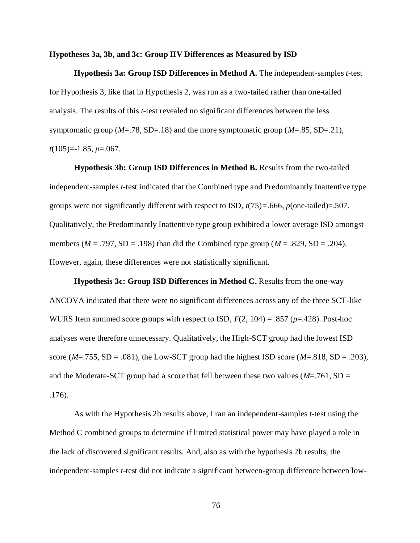#### **Hypotheses 3a, 3b, and 3c: Group IIV Differences as Measured by ISD**

**Hypothesis 3a: Group ISD Differences in Method A.** The independent-samples *t*-test for Hypothesis 3, like that in Hypothesis 2, was run as a two-tailed rather than one-tailed analysis. The results of this *t-*test revealed no significant differences between the less symptomatic group ( $M = .78$ , SD= $.18$ ) and the more symptomatic group ( $M = .85$ , SD= $.21$ ), *t*(105)=-1.85, *p*=.067.

**Hypothesis 3b: Group ISD Differences in Method B.** Results from the two-tailed independent-samples *t-*test indicated that the Combined type and Predominantly Inattentive type groups were not significantly different with respect to ISD, *t*(75)*=.*666, *p*(one-tailed)=.507. Qualitatively, the Predominantly Inattentive type group exhibited a lower average ISD amongst members ( $M = .797$ , SD = .198) than did the Combined type group ( $M = .829$ , SD = .204). However, again, these differences were not statistically significant.

**Hypothesis 3c: Group ISD Differences in Method C.** Results from the one-way ANCOVA indicated that there were no significant differences across any of the three SCT-like WURS Item summed score groups with respect to ISD, *F*(2, 104) = .857 (*p*=.428). Post-hoc analyses were therefore unnecessary. Qualitatively, the High-SCT group had the lowest ISD score ( $M = .755$ , SD = .081), the Low-SCT group had the highest ISD score ( $M = .818$ , SD = .203), and the Moderate-SCT group had a score that fell between these two values ( $M = .761$ , SD = .176).

As with the Hypothesis 2b results above, I ran an independent-samples *t-*test using the Method C combined groups to determine if limited statistical power may have played a role in the lack of discovered significant results. And, also as with the hypothesis 2b results, the independent-samples *t*-test did not indicate a significant between-group difference between low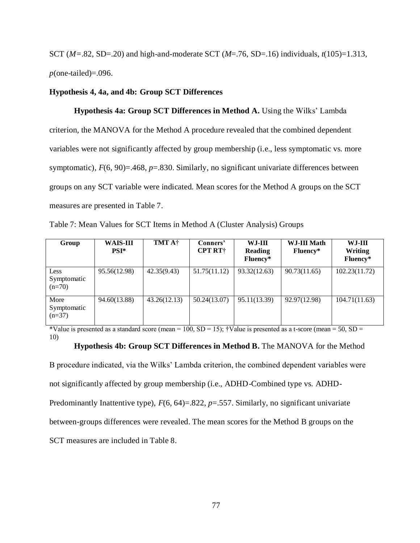SCT (*M=*.82, SD=.20) and high-and-moderate SCT (*M*=.76, SD=.16) individuals, *t*(105)=1.313, *p*(one-tailed)=.096.

## **Hypothesis 4, 4a, and 4b: Group SCT Differences**

**Hypothesis 4a: Group SCT Differences in Method A.** Using the Wilks' Lambda criterion, the MANOVA for the Method A procedure revealed that the combined dependent variables were not significantly affected by group membership (i.e., less symptomatic vs. more symptomatic),  $F(6, 90) = 468$ ,  $p = .830$ . Similarly, no significant univariate differences between groups on any SCT variable were indicated. Mean scores for the Method A groups on the SCT measures are presented in Table 7.

Table 7: Mean Values for SCT Items in Method A (Cluster Analysis) Groups

| Group                           | <b>WAIS-III</b><br>$PSI^*$ | TMT A†       | Conners'<br><b>CPT RT</b> † | $WJ-III$<br>Reading<br>Fluency* | WJ-III Math<br>Fluency* | WJ-III<br>Writing<br>Fluency* |
|---------------------------------|----------------------------|--------------|-----------------------------|---------------------------------|-------------------------|-------------------------------|
| Less<br>Symptomatic<br>$(n=70)$ | 95.56(12.98)               | 42.35(9.43)  | 51.75(11.12)                | 93.32(12.63)                    | 90.73(11.65)            | 102.23(11.72)                 |
| More<br>Symptomatic<br>$(n=37)$ | 94.60(13.88)               | 43.26(12.13) | 50.24(13.07)                | 95.11(13.39)                    | 92.97(12.98)            | 104.71(11.63)                 |

\*Value is presented as a standard score (mean =  $100$ , SD =  $15$ ); †Value is presented as a t-score (mean =  $50$ , SD = 10)

#### **Hypothesis 4b: Group SCT Differences in Method B.** The MANOVA for the Method

B procedure indicated, via the Wilks' Lambda criterion, the combined dependent variables were not significantly affected by group membership (i.e., ADHD-Combined type vs. ADHD-Predominantly Inattentive type),  $F(6, 64) = 822$ ,  $p = .557$ . Similarly, no significant univariate between-groups differences were revealed. The mean scores for the Method B groups on the SCT measures are included in Table 8.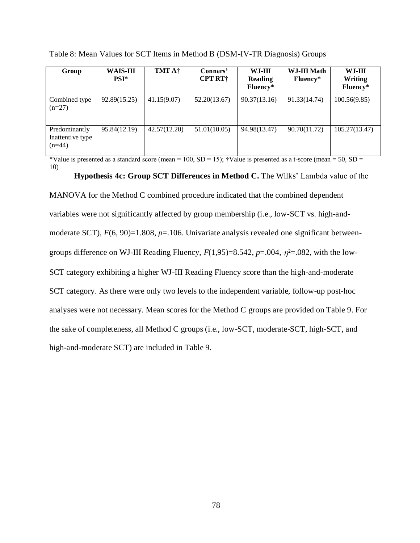| Group                                         | <b>WAIS-III</b><br>$PSI^*$ | <b>TMT A†</b> | Conners'<br><b>CPT RT</b> † | WJ-III<br><b>Reading</b><br>Fluency* | WJ-III Math<br>Fluency* | $WJ-III$<br>Writing<br>Fluency* |
|-----------------------------------------------|----------------------------|---------------|-----------------------------|--------------------------------------|-------------------------|---------------------------------|
| Combined type<br>$(n=27)$                     | 92.89(15.25)               | 41.15(9.07)   | 52.20(13.67)                | 90.37(13.16)                         | 91.33(14.74)            | 100.56(9.85)                    |
| Predominantly<br>Inattentive type<br>$(n=44)$ | 95.84(12.19)               | 42.57(12.20)  | 51.01(10.05)                | 94.98(13.47)                         | 90.70(11.72)            | 105.27(13.47)                   |

Table 8: Mean Values for SCT Items in Method B (DSM-IV-TR Diagnosis) Groups

\*Value is presented as a standard score (mean =  $100$ , SD = 15); †Value is presented as a t-score (mean = 50, SD = 10)

**Hypothesis 4c: Group SCT Differences in Method C.** The Wilks' Lambda value of the

MANOVA for the Method C combined procedure indicated that the combined dependent variables were not significantly affected by group membership (i.e., low-SCT vs. high-andmoderate SCT),  $F(6, 90)=1.808$ ,  $p=.106$ . Univariate analysis revealed one significant betweengroups difference on WJ-III Reading Fluency,  $F(1,95)=8.542$ ,  $p=.004$ ,  $\eta^2=.082$ , with the low-SCT category exhibiting a higher WJ-III Reading Fluency score than the high-and-moderate SCT category. As there were only two levels to the independent variable, follow-up post-hoc analyses were not necessary. Mean scores for the Method C groups are provided on Table 9. For the sake of completeness, all Method C groups (i.e., low-SCT, moderate-SCT, high-SCT, and high-and-moderate SCT) are included in Table 9.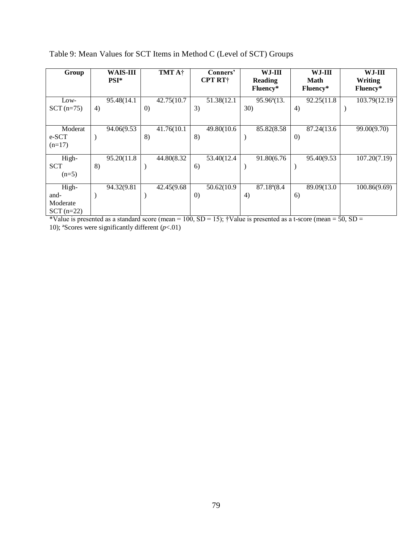| Group        | <b>WAIS-III</b><br>$PSI^*$ | TMT A†            | Conners'<br><b>CPT RT</b> † | WJ-III<br><b>Reading</b> | WJ-III<br><b>Math</b> | WJ-III<br><b>Writing</b> |
|--------------|----------------------------|-------------------|-----------------------------|--------------------------|-----------------------|--------------------------|
|              |                            |                   |                             | Fluency*                 | Fluency*              | Fluency*                 |
| Low-         | 95.48(14.1)                | 42.75(10.7)       | 51.38(12.1)                 | 95.96 <sup>a</sup> (13.  | 92.25(11.8)           | 103.79(12.19)            |
| $SCT$ (n=75) | 4)                         | $\left( 0\right)$ | 3)                          | 30)                      | 4)                    |                          |
| Moderat      | 94.06(9.53                 | 41.76(10.1        | 49.80(10.6)                 | 85.82(8.58)              | 87.24(13.6)           | 99.00(9.70)              |
| e-SCT        |                            | 8)                | 8)                          |                          | $\left( 0\right)$     |                          |
| $(n=17)$     |                            |                   |                             |                          |                       |                          |
| High-        | 95.20(11.8)                | 44.80(8.32        | 53.40(12.4)                 | 91.80(6.76               | 95.40(9.53)           | 107.20(7.19)             |
| <b>SCT</b>   | 8)                         |                   | 6)                          |                          |                       |                          |
| $(n=5)$      |                            |                   |                             |                          |                       |                          |
| High-        | 94.32(9.81                 | 42.45(9.68)       | 50.62(10.9)                 | $87.18^{a}(8.4)$         | 89.09(13.0            | 100.86(9.69)             |
| and-         |                            |                   | $\left( 0\right)$           | 4)                       | 6)                    |                          |
| Moderate     |                            |                   |                             |                          |                       |                          |
| $SCT$ (n=22) |                            |                   |                             |                          |                       |                          |

Table 9: Mean Values for SCT Items in Method C (Level of SCT) Groups

\*Value is presented as a standard score (mean = 100,  $SD = 15$ ); †Value is presented as a t-score (mean = 50,  $SD =$ 10); ªScores were significantly different (*p*<.01)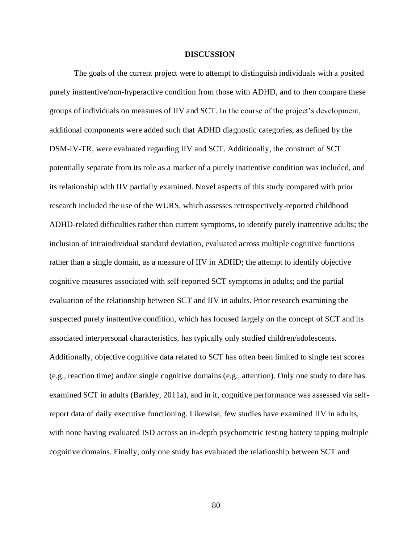#### **DISCUSSION**

The goals of the current project were to attempt to distinguish individuals with a posited purely inattentive/non-hyperactive condition from those with ADHD, and to then compare these groups of individuals on measures of IIV and SCT. In the course of the project's development, additional components were added such that ADHD diagnostic categories, as defined by the DSM-IV-TR, were evaluated regarding IIV and SCT. Additionally, the construct of SCT potentially separate from its role as a marker of a purely inattentive condition was included, and its relationship with IIV partially examined. Novel aspects of this study compared with prior research included the use of the WURS, which assesses retrospectively-reported childhood ADHD-related difficulties rather than current symptoms, to identify purely inattentive adults; the inclusion of intraindividual standard deviation, evaluated across multiple cognitive functions rather than a single domain, as a measure of IIV in ADHD; the attempt to identify objective cognitive measures associated with self-reported SCT symptoms in adults; and the partial evaluation of the relationship between SCT and IIV in adults. Prior research examining the suspected purely inattentive condition, which has focused largely on the concept of SCT and its associated interpersonal characteristics, has typically only studied children/adolescents. Additionally, objective cognitive data related to SCT has often been limited to single test scores (e.g., reaction time) and/or single cognitive domains (e.g., attention). Only one study to date has examined SCT in adults (Barkley, 2011a), and in it, cognitive performance was assessed via selfreport data of daily executive functioning. Likewise, few studies have examined IIV in adults, with none having evaluated ISD across an in-depth psychometric testing battery tapping multiple cognitive domains. Finally, only one study has evaluated the relationship between SCT and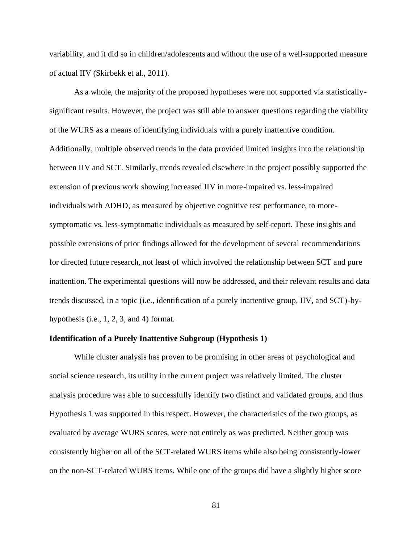variability, and it did so in children/adolescents and without the use of a well-supported measure of actual IIV (Skirbekk et al., 2011).

As a whole, the majority of the proposed hypotheses were not supported via statisticallysignificant results. However, the project was still able to answer questions regarding the viability of the WURS as a means of identifying individuals with a purely inattentive condition. Additionally, multiple observed trends in the data provided limited insights into the relationship between IIV and SCT. Similarly, trends revealed elsewhere in the project possibly supported the extension of previous work showing increased IIV in more-impaired vs. less-impaired individuals with ADHD, as measured by objective cognitive test performance, to moresymptomatic vs. less-symptomatic individuals as measured by self-report. These insights and possible extensions of prior findings allowed for the development of several recommendations for directed future research, not least of which involved the relationship between SCT and pure inattention. The experimental questions will now be addressed, and their relevant results and data trends discussed, in a topic (i.e., identification of a purely inattentive group, IIV, and SCT)-byhypothesis (i.e., 1, 2, 3, and 4) format.

## **Identification of a Purely Inattentive Subgroup (Hypothesis 1)**

While cluster analysis has proven to be promising in other areas of psychological and social science research, its utility in the current project was relatively limited. The cluster analysis procedure was able to successfully identify two distinct and validated groups, and thus Hypothesis 1 was supported in this respect. However, the characteristics of the two groups, as evaluated by average WURS scores, were not entirely as was predicted. Neither group was consistently higher on all of the SCT-related WURS items while also being consistently-lower on the non-SCT-related WURS items. While one of the groups did have a slightly higher score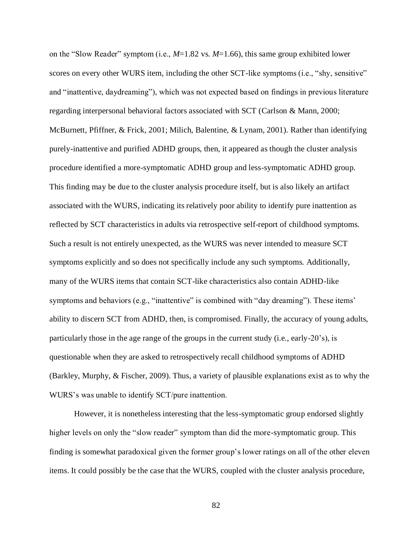on the "Slow Reader" symptom (i.e., *M*=1.82 vs. *M*=1.66), this same group exhibited lower scores on every other WURS item, including the other SCT-like symptoms (i.e., "shy, sensitive" and "inattentive, daydreaming"), which was not expected based on findings in previous literature regarding interpersonal behavioral factors associated with SCT (Carlson & Mann, 2000; McBurnett, Pfiffner, & Frick, 2001; Milich, Balentine, & Lynam, 2001). Rather than identifying purely-inattentive and purified ADHD groups, then, it appeared as though the cluster analysis procedure identified a more-symptomatic ADHD group and less-symptomatic ADHD group. This finding may be due to the cluster analysis procedure itself, but is also likely an artifact associated with the WURS, indicating its relatively poor ability to identify pure inattention as reflected by SCT characteristics in adults via retrospective self-report of childhood symptoms. Such a result is not entirely unexpected, as the WURS was never intended to measure SCT symptoms explicitly and so does not specifically include any such symptoms. Additionally, many of the WURS items that contain SCT-like characteristics also contain ADHD-like symptoms and behaviors (e.g., "inattentive" is combined with "day dreaming"). These items' ability to discern SCT from ADHD, then, is compromised. Finally, the accuracy of young adults, particularly those in the age range of the groups in the current study (i.e., early-20's), is questionable when they are asked to retrospectively recall childhood symptoms of ADHD (Barkley, Murphy, & Fischer, 2009). Thus, a variety of plausible explanations exist as to why the WURS's was unable to identify SCT/pure inattention.

However, it is nonetheless interesting that the less-symptomatic group endorsed slightly higher levels on only the "slow reader" symptom than did the more-symptomatic group. This finding is somewhat paradoxical given the former group's lower ratings on all of the other eleven items. It could possibly be the case that the WURS, coupled with the cluster analysis procedure,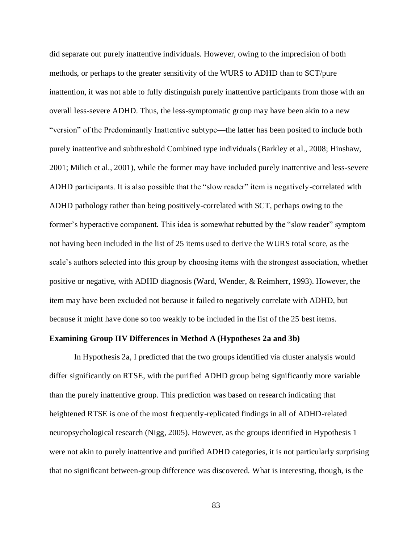did separate out purely inattentive individuals. However, owing to the imprecision of both methods, or perhaps to the greater sensitivity of the WURS to ADHD than to SCT/pure inattention, it was not able to fully distinguish purely inattentive participants from those with an overall less-severe ADHD. Thus, the less-symptomatic group may have been akin to a new "version" of the Predominantly Inattentive subtype—the latter has been posited to include both purely inattentive and subthreshold Combined type individuals (Barkley et al., 2008; Hinshaw, 2001; Milich et al., 2001), while the former may have included purely inattentive and less-severe ADHD participants. It is also possible that the "slow reader" item is negatively-correlated with ADHD pathology rather than being positively-correlated with SCT, perhaps owing to the former's hyperactive component. This idea is somewhat rebutted by the "slow reader" symptom not having been included in the list of 25 items used to derive the WURS total score, as the scale's authors selected into this group by choosing items with the strongest association, whether positive or negative, with ADHD diagnosis (Ward, Wender, & Reimherr, 1993). However, the item may have been excluded not because it failed to negatively correlate with ADHD, but because it might have done so too weakly to be included in the list of the 25 best items.

## **Examining Group IIV Differences in Method A (Hypotheses 2a and 3b)**

In Hypothesis 2a, I predicted that the two groups identified via cluster analysis would differ significantly on RTSE, with the purified ADHD group being significantly more variable than the purely inattentive group. This prediction was based on research indicating that heightened RTSE is one of the most frequently-replicated findings in all of ADHD-related neuropsychological research (Nigg, 2005). However, as the groups identified in Hypothesis 1 were not akin to purely inattentive and purified ADHD categories, it is not particularly surprising that no significant between-group difference was discovered. What is interesting, though, is the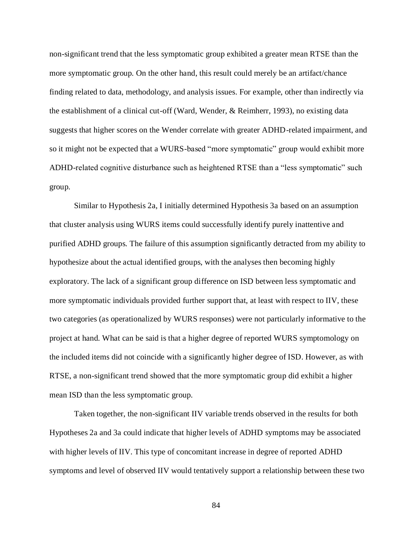non-significant trend that the less symptomatic group exhibited a greater mean RTSE than the more symptomatic group. On the other hand, this result could merely be an artifact/chance finding related to data, methodology, and analysis issues. For example, other than indirectly via the establishment of a clinical cut-off (Ward, Wender, & Reimherr, 1993), no existing data suggests that higher scores on the Wender correlate with greater ADHD-related impairment, and so it might not be expected that a WURS-based "more symptomatic" group would exhibit more ADHD-related cognitive disturbance such as heightened RTSE than a "less symptomatic" such group.

Similar to Hypothesis 2a, I initially determined Hypothesis 3a based on an assumption that cluster analysis using WURS items could successfully identify purely inattentive and purified ADHD groups. The failure of this assumption significantly detracted from my ability to hypothesize about the actual identified groups, with the analyses then becoming highly exploratory. The lack of a significant group difference on ISD between less symptomatic and more symptomatic individuals provided further support that, at least with respect to IIV, these two categories (as operationalized by WURS responses) were not particularly informative to the project at hand. What can be said is that a higher degree of reported WURS symptomology on the included items did not coincide with a significantly higher degree of ISD. However, as with RTSE, a non-significant trend showed that the more symptomatic group did exhibit a higher mean ISD than the less symptomatic group.

Taken together, the non-significant IIV variable trends observed in the results for both Hypotheses 2a and 3a could indicate that higher levels of ADHD symptoms may be associated with higher levels of IIV. This type of concomitant increase in degree of reported ADHD symptoms and level of observed IIV would tentatively support a relationship between these two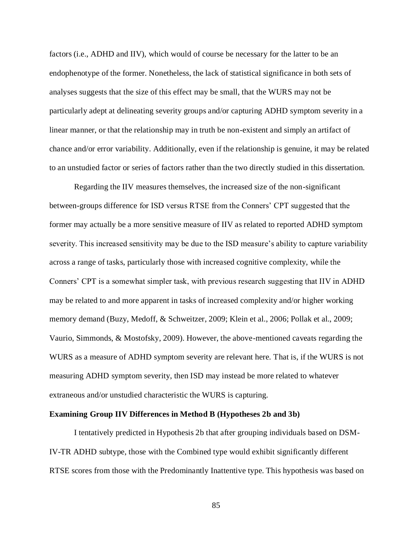factors (i.e., ADHD and IIV), which would of course be necessary for the latter to be an endophenotype of the former. Nonetheless, the lack of statistical significance in both sets of analyses suggests that the size of this effect may be small, that the WURS may not be particularly adept at delineating severity groups and/or capturing ADHD symptom severity in a linear manner, or that the relationship may in truth be non-existent and simply an artifact of chance and/or error variability. Additionally, even if the relationship is genuine, it may be related to an unstudied factor or series of factors rather than the two directly studied in this dissertation.

Regarding the IIV measures themselves, the increased size of the non-significant between-groups difference for ISD versus RTSE from the Conners' CPT suggested that the former may actually be a more sensitive measure of IIV as related to reported ADHD symptom severity. This increased sensitivity may be due to the ISD measure's ability to capture variability across a range of tasks, particularly those with increased cognitive complexity, while the Conners' CPT is a somewhat simpler task, with previous research suggesting that IIV in ADHD may be related to and more apparent in tasks of increased complexity and/or higher working memory demand (Buzy, Medoff, & Schweitzer, 2009; Klein et al., 2006; Pollak et al., 2009; Vaurio, Simmonds, & Mostofsky, 2009). However, the above-mentioned caveats regarding the WURS as a measure of ADHD symptom severity are relevant here. That is, if the WURS is not measuring ADHD symptom severity, then ISD may instead be more related to whatever extraneous and/or unstudied characteristic the WURS is capturing.

## **Examining Group IIV Differences in Method B (Hypotheses 2b and 3b)**

I tentatively predicted in Hypothesis 2b that after grouping individuals based on DSM-IV-TR ADHD subtype, those with the Combined type would exhibit significantly different RTSE scores from those with the Predominantly Inattentive type. This hypothesis was based on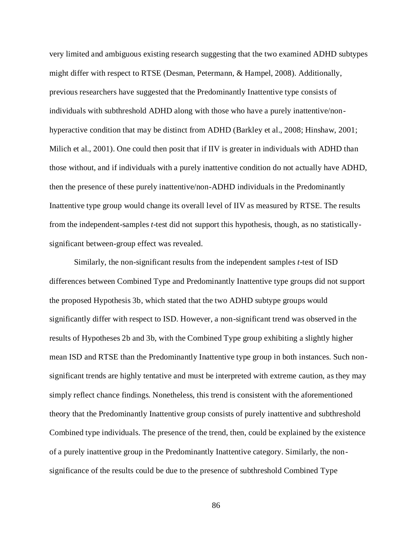very limited and ambiguous existing research suggesting that the two examined ADHD subtypes might differ with respect to RTSE (Desman, Petermann, & Hampel, 2008). Additionally, previous researchers have suggested that the Predominantly Inattentive type consists of individuals with subthreshold ADHD along with those who have a purely inattentive/nonhyperactive condition that may be distinct from ADHD (Barkley et al., 2008; Hinshaw, 2001; Milich et al., 2001). One could then posit that if IIV is greater in individuals with ADHD than those without, and if individuals with a purely inattentive condition do not actually have ADHD, then the presence of these purely inattentive/non-ADHD individuals in the Predominantly Inattentive type group would change its overall level of IIV as measured by RTSE. The results from the independent-samples *t*-test did not support this hypothesis, though, as no statisticallysignificant between-group effect was revealed.

Similarly, the non-significant results from the independent samples *t*-test of ISD differences between Combined Type and Predominantly Inattentive type groups did not support the proposed Hypothesis 3b, which stated that the two ADHD subtype groups would significantly differ with respect to ISD. However, a non-significant trend was observed in the results of Hypotheses 2b and 3b, with the Combined Type group exhibiting a slightly higher mean ISD and RTSE than the Predominantly Inattentive type group in both instances. Such nonsignificant trends are highly tentative and must be interpreted with extreme caution, as they may simply reflect chance findings. Nonetheless, this trend is consistent with the aforementioned theory that the Predominantly Inattentive group consists of purely inattentive and subthreshold Combined type individuals. The presence of the trend, then, could be explained by the existence of a purely inattentive group in the Predominantly Inattentive category. Similarly, the nonsignificance of the results could be due to the presence of subthreshold Combined Type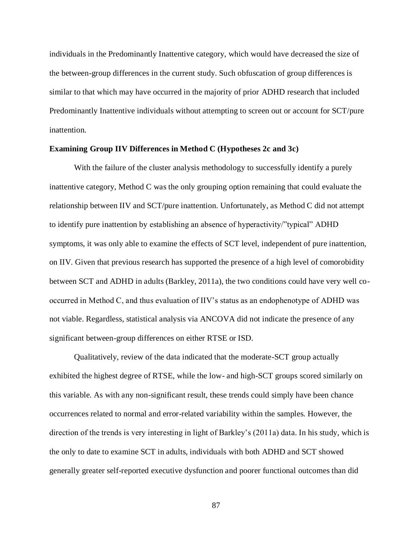individuals in the Predominantly Inattentive category, which would have decreased the size of the between-group differences in the current study. Such obfuscation of group differences is similar to that which may have occurred in the majority of prior ADHD research that included Predominantly Inattentive individuals without attempting to screen out or account for SCT/pure inattention.

## **Examining Group IIV Differences in Method C (Hypotheses 2c and 3c)**

With the failure of the cluster analysis methodology to successfully identify a purely inattentive category, Method C was the only grouping option remaining that could evaluate the relationship between IIV and SCT/pure inattention. Unfortunately, as Method C did not attempt to identify pure inattention by establishing an absence of hyperactivity/"typical" ADHD symptoms, it was only able to examine the effects of SCT level, independent of pure inattention, on IIV. Given that previous research has supported the presence of a high level of comorobidity between SCT and ADHD in adults (Barkley, 2011a), the two conditions could have very well cooccurred in Method C, and thus evaluation of IIV's status as an endophenotype of ADHD was not viable. Regardless, statistical analysis via ANCOVA did not indicate the presence of any significant between-group differences on either RTSE or ISD.

Qualitatively, review of the data indicated that the moderate-SCT group actually exhibited the highest degree of RTSE, while the low- and high-SCT groups scored similarly on this variable. As with any non-significant result, these trends could simply have been chance occurrences related to normal and error-related variability within the samples. However, the direction of the trends is very interesting in light of Barkley's (2011a) data. In his study, which is the only to date to examine SCT in adults, individuals with both ADHD and SCT showed generally greater self-reported executive dysfunction and poorer functional outcomes than did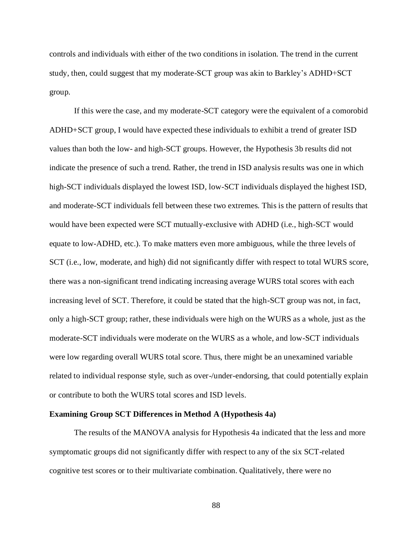controls and individuals with either of the two conditions in isolation. The trend in the current study, then, could suggest that my moderate-SCT group was akin to Barkley's ADHD+SCT group.

If this were the case, and my moderate-SCT category were the equivalent of a comorobid ADHD+SCT group, I would have expected these individuals to exhibit a trend of greater ISD values than both the low- and high-SCT groups. However, the Hypothesis 3b results did not indicate the presence of such a trend. Rather, the trend in ISD analysis results was one in which high-SCT individuals displayed the lowest ISD, low-SCT individuals displayed the highest ISD, and moderate-SCT individuals fell between these two extremes. This is the pattern of results that would have been expected were SCT mutually-exclusive with ADHD (i.e., high-SCT would equate to low-ADHD, etc.). To make matters even more ambiguous, while the three levels of SCT (i.e., low, moderate, and high) did not significantly differ with respect to total WURS score, there was a non-significant trend indicating increasing average WURS total scores with each increasing level of SCT. Therefore, it could be stated that the high-SCT group was not, in fact, only a high-SCT group; rather, these individuals were high on the WURS as a whole, just as the moderate-SCT individuals were moderate on the WURS as a whole, and low-SCT individuals were low regarding overall WURS total score. Thus, there might be an unexamined variable related to individual response style, such as over-/under-endorsing, that could potentially explain or contribute to both the WURS total scores and ISD levels.

#### **Examining Group SCT Differences in Method A (Hypothesis 4a)**

The results of the MANOVA analysis for Hypothesis 4a indicated that the less and more symptomatic groups did not significantly differ with respect to any of the six SCT-related cognitive test scores or to their multivariate combination. Qualitatively, there were no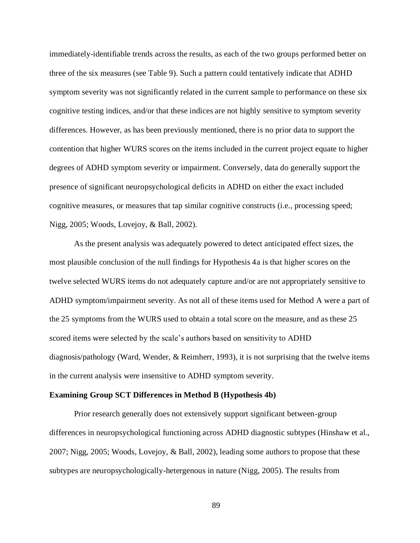immediately-identifiable trends across the results, as each of the two groups performed better on three of the six measures (see Table 9). Such a pattern could tentatively indicate that ADHD symptom severity was not significantly related in the current sample to performance on these six cognitive testing indices, and/or that these indices are not highly sensitive to symptom severity differences. However, as has been previously mentioned, there is no prior data to support the contention that higher WURS scores on the items included in the current project equate to higher degrees of ADHD symptom severity or impairment. Conversely, data do generally support the presence of significant neuropsychological deficits in ADHD on either the exact included cognitive measures, or measures that tap similar cognitive constructs (i.e., processing speed; Nigg, 2005; Woods, Lovejoy, & Ball, 2002).

As the present analysis was adequately powered to detect anticipated effect sizes, the most plausible conclusion of the null findings for Hypothesis 4a is that higher scores on the twelve selected WURS items do not adequately capture and/or are not appropriately sensitive to ADHD symptom/impairment severity. As not all of these items used for Method A were a part of the 25 symptoms from the WURS used to obtain a total score on the measure, and as these 25 scored items were selected by the scale's authors based on sensitivity to ADHD diagnosis/pathology (Ward, Wender, & Reimherr, 1993), it is not surprising that the twelve items in the current analysis were insensitive to ADHD symptom severity.

## **Examining Group SCT Differences in Method B (Hypothesis 4b)**

Prior research generally does not extensively support significant between-group differences in neuropsychological functioning across ADHD diagnostic subtypes (Hinshaw et al., 2007; Nigg, 2005; Woods, Lovejoy, & Ball, 2002), leading some authors to propose that these subtypes are neuropsychologically-hetergenous in nature (Nigg, 2005). The results from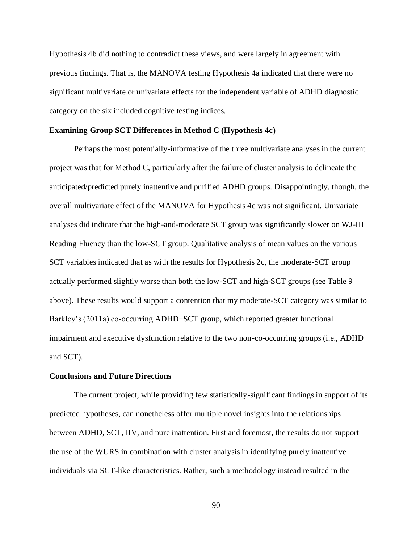Hypothesis 4b did nothing to contradict these views, and were largely in agreement with previous findings. That is, the MANOVA testing Hypothesis 4a indicated that there were no significant multivariate or univariate effects for the independent variable of ADHD diagnostic category on the six included cognitive testing indices.

#### **Examining Group SCT Differences in Method C (Hypothesis 4c)**

Perhaps the most potentially-informative of the three multivariate analyses in the current project was that for Method C, particularly after the failure of cluster analysis to delineate the anticipated/predicted purely inattentive and purified ADHD groups. Disappointingly, though, the overall multivariate effect of the MANOVA for Hypothesis 4c was not significant. Univariate analyses did indicate that the high-and-moderate SCT group was significantly slower on WJ-III Reading Fluency than the low-SCT group. Qualitative analysis of mean values on the various SCT variables indicated that as with the results for Hypothesis 2c, the moderate-SCT group actually performed slightly worse than both the low-SCT and high-SCT groups (see Table 9 above). These results would support a contention that my moderate-SCT category was similar to Barkley's (2011a) co-occurring ADHD+SCT group, which reported greater functional impairment and executive dysfunction relative to the two non-co-occurring groups (i.e., ADHD and SCT).

#### **Conclusions and Future Directions**

The current project, while providing few statistically-significant findings in support of its predicted hypotheses, can nonetheless offer multiple novel insights into the relationships between ADHD, SCT, IIV, and pure inattention. First and foremost, the results do not support the use of the WURS in combination with cluster analysis in identifying purely inattentive individuals via SCT-like characteristics. Rather, such a methodology instead resulted in the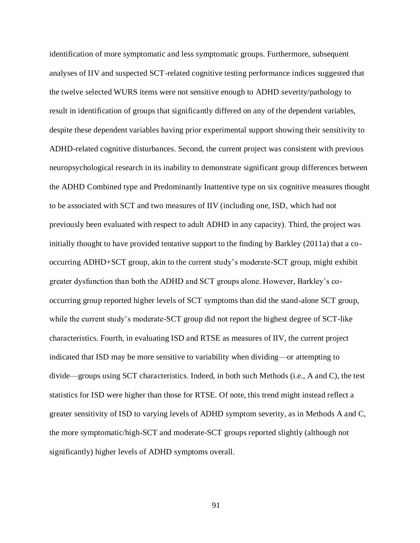identification of more symptomatic and less symptomatic groups. Furthermore, subsequent analyses of IIV and suspected SCT-related cognitive testing performance indices suggested that the twelve selected WURS items were not sensitive enough to ADHD severity/pathology to result in identification of groups that significantly differed on any of the dependent variables, despite these dependent variables having prior experimental support showing their sensitivity to ADHD-related cognitive disturbances. Second, the current project was consistent with previous neuropsychological research in its inability to demonstrate significant group differences between the ADHD Combined type and Predominantly Inattentive type on six cognitive measures thought to be associated with SCT and two measures of IIV (including one, ISD, which had not previously been evaluated with respect to adult ADHD in any capacity). Third, the project was initially thought to have provided tentative support to the finding by Barkley (2011a) that a cooccurring ADHD+SCT group, akin to the current study's moderate-SCT group, might exhibit greater dysfunction than both the ADHD and SCT groups alone. However, Barkley's cooccurring group reported higher levels of SCT symptoms than did the stand-alone SCT group, while the current study's moderate-SCT group did not report the highest degree of SCT-like characteristics. Fourth, in evaluating ISD and RTSE as measures of IIV, the current project indicated that ISD may be more sensitive to variability when dividing—or attempting to divide—groups using SCT characteristics. Indeed, in both such Methods (i.e., A and C), the test statistics for ISD were higher than those for RTSE. Of note, this trend might instead reflect a greater sensitivity of ISD to varying levels of ADHD symptom severity, as in Methods A and C, the more symptomatic/high-SCT and moderate-SCT groups reported slightly (although not significantly) higher levels of ADHD symptoms overall.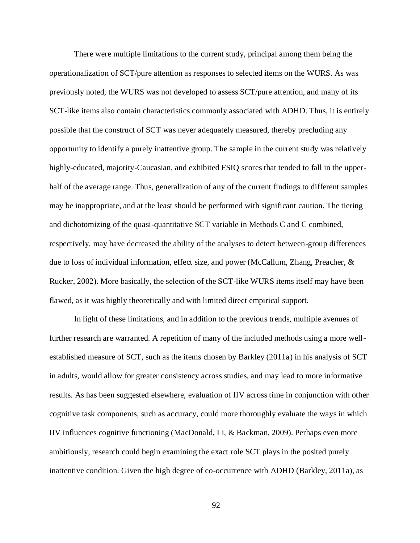There were multiple limitations to the current study, principal among them being the operationalization of SCT/pure attention as responses to selected items on the WURS. As was previously noted, the WURS was not developed to assess SCT/pure attention, and many of its SCT-like items also contain characteristics commonly associated with ADHD. Thus, it is entirely possible that the construct of SCT was never adequately measured, thereby precluding any opportunity to identify a purely inattentive group. The sample in the current study was relatively highly-educated, majority-Caucasian, and exhibited FSIQ scores that tended to fall in the upperhalf of the average range. Thus, generalization of any of the current findings to different samples may be inappropriate, and at the least should be performed with significant caution. The tiering and dichotomizing of the quasi-quantitative SCT variable in Methods C and C combined, respectively, may have decreased the ability of the analyses to detect between-group differences due to loss of individual information, effect size, and power (McCallum, Zhang, Preacher, & Rucker, 2002). More basically, the selection of the SCT-like WURS items itself may have been flawed, as it was highly theoretically and with limited direct empirical support.

In light of these limitations, and in addition to the previous trends, multiple avenues of further research are warranted. A repetition of many of the included methods using a more wellestablished measure of SCT, such as the items chosen by Barkley (2011a) in his analysis of SCT in adults, would allow for greater consistency across studies, and may lead to more informative results. As has been suggested elsewhere, evaluation of IIV across time in conjunction with other cognitive task components, such as accuracy, could more thoroughly evaluate the ways in which IIV influences cognitive functioning (MacDonald, Li, & Backman, 2009). Perhaps even more ambitiously, research could begin examining the exact role SCT plays in the posited purely inattentive condition. Given the high degree of co-occurrence with ADHD (Barkley, 2011a), as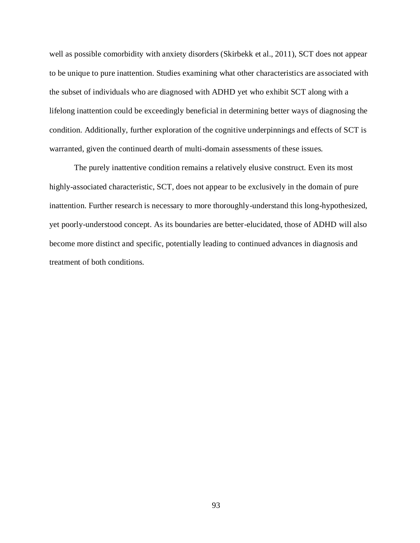well as possible comorbidity with anxiety disorders (Skirbekk et al., 2011), SCT does not appear to be unique to pure inattention. Studies examining what other characteristics are associated with the subset of individuals who are diagnosed with ADHD yet who exhibit SCT along with a lifelong inattention could be exceedingly beneficial in determining better ways of diagnosing the condition. Additionally, further exploration of the cognitive underpinnings and effects of SCT is warranted, given the continued dearth of multi-domain assessments of these issues.

The purely inattentive condition remains a relatively elusive construct. Even its most highly-associated characteristic, SCT, does not appear to be exclusively in the domain of pure inattention. Further research is necessary to more thoroughly-understand this long-hypothesized, yet poorly-understood concept. As its boundaries are better-elucidated, those of ADHD will also become more distinct and specific, potentially leading to continued advances in diagnosis and treatment of both conditions.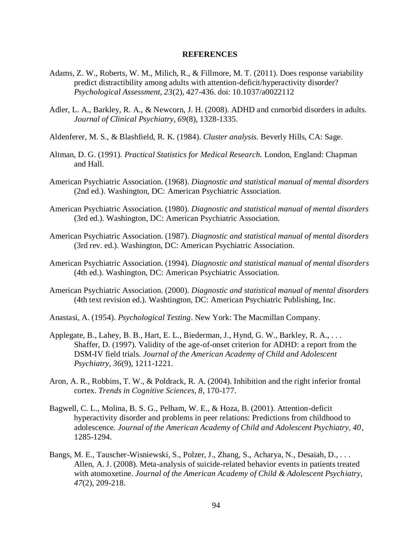#### **REFERENCES**

- Adams, Z. W., Roberts, W. M., Milich, R., & Fillmore, M. T. (2011). Does response variability predict distractibility among adults with attention-deficit/hyperactivity disorder? *Psychological Assessment, 23*(2), 427-436. doi: 10.1037/a0022112
- Adler, L. A., Barkley, R. A., & Newcorn, J. H. (2008). ADHD and comorbid disorders in adults. *Journal of Clinical Psychiatry, 69*(8), 1328-1335.
- Aldenferer, M. S., & Blashfield, R. K. (1984). *Cluster analysis.* Beverly Hills, CA: Sage.
- Altman, D. G. (1991). *Practical Statistics for Medical Research.* London, England: Chapman and Hall.
- American Psychiatric Association. (1968). *Diagnostic and statistical manual of mental disorders* (2nd ed.). Washington, DC: American Psychiatric Association.
- American Psychiatric Association. (1980). *Diagnostic and statistical manual of mental disorders* (3rd ed.). Washington, DC: American Psychiatric Association.
- American Psychiatric Association. (1987). *Diagnostic and statistical manual of mental disorders* (3rd rev. ed.). Washington, DC: American Psychiatric Association.
- American Psychiatric Association. (1994). *Diagnostic and statistical manual of mental disorders* (4th ed.). Washington, DC: American Psychiatric Association.
- American Psychiatric Association. (2000). *Diagnostic and statistical manual of mental disorders* (4th text revision ed.). Washtington, DC: American Psychiatric Publishing, Inc.
- Anastasi, A. (1954). *Psychological Testing*. New York: The Macmillan Company.
- Applegate, B., Lahey, B. B., Hart, E. L., Biederman, J., Hynd, G. W., Barkley, R. A., . . . Shaffer, D. (1997). Validity of the age-of-onset criterion for ADHD: a report from the DSM-IV field trials. *Journal of the American Academy of Child and Adolescent Psychiatry, 36*(9), 1211-1221.
- Aron, A. R., Robbins, T. W., & Poldrack, R. A. (2004). Inhibition and the right inferior frontal cortex. *Trends in Cognitive Sciences, 8*, 170-177.
- Bagwell, C. L., Molina, B. S. G., Pelham, W. E., & Hoza, B. (2001). Attention-deficit hyperactivity disorder and problems in peer relations: Predictions from childhood to adolescence. *Journal of the American Academy of Child and Adolescent Psychiatry, 40*, 1285-1294.
- Bangs, M. E., Tauscher-Wisniewski, S., Polzer, J., Zhang, S., Acharya, N., Desaiah, D., . . . Allen, A. J. (2008). Meta-analysis of suicide-related behavior events in patients treated with atomoxetine. *Journal of the American Academy of Child & Adolescent Psychiatry, 47*(2), 209-218.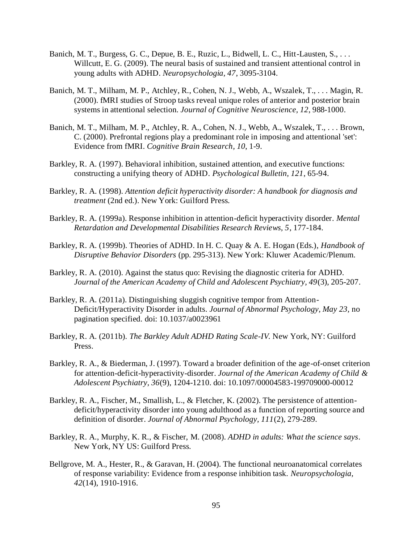- Banich, M. T., Burgess, G. C., Depue, B. E., Ruzic, L., Bidwell, L. C., Hitt-Lausten, S., ... Willcutt, E. G. (2009). The neural basis of sustained and transient attentional control in young adults with ADHD. *Neuropsychologia, 47*, 3095-3104.
- Banich, M. T., Milham, M. P., Atchley, R., Cohen, N. J., Webb, A., Wszalek, T., . . . Magin, R. (2000). fMRI studies of Stroop tasks reveal unique roles of anterior and posterior brain systems in attentional selection. *Journal of Cognitive Neuroscience, 12*, 988-1000.
- Banich, M. T., Milham, M. P., Atchley, R. A., Cohen, N. J., Webb, A., Wszalek, T., . . . Brown, C. (2000). Prefrontal regions play a predominant role in imposing and attentional 'set': Evidence from fMRI. *Cognitive Brain Research, 10*, 1-9.
- Barkley, R. A. (1997). Behavioral inhibition, sustained attention, and executive functions: constructing a unifying theory of ADHD. *Psychological Bulletin, 121*, 65-94.
- Barkley, R. A. (1998). *Attention deficit hyperactivity disorder: A handbook for diagnosis and treatment* (2nd ed.). New York: Guilford Press.
- Barkley, R. A. (1999a). Response inhibition in attention-deficit hyperactivity disorder. *Mental Retardation and Developmental Disabilities Research Reviews, 5*, 177-184.
- Barkley, R. A. (1999b). Theories of ADHD. In H. C. Quay & A. E. Hogan (Eds.), *Handbook of Disruptive Behavior Disorders* (pp. 295-313). New York: Kluwer Academic/Plenum.
- Barkley, R. A. (2010). Against the status quo: Revising the diagnostic criteria for ADHD. *Journal of the American Academy of Child and Adolescent Psychiatry, 49*(3), 205-207.
- Barkley, R. A. (2011a). Distinguishing sluggish cognitive tempor from Attention-Deficit/Hyperactivity Disorder in adults. *Journal of Abnormal Psychology, May 23,* no pagination specified. doi: 10.1037/a0023961
- Barkley, R. A. (2011b). *The Barkley Adult ADHD Rating Scale-IV.* New York, NY: Guilford Press.
- Barkley, R. A., & Biederman, J. (1997). Toward a broader definition of the age-of-onset criterion for attention-deficit-hyperactivity-disorder. *Journal of the American Academy of Child & Adolescent Psychiatry, 36*(9), 1204-1210. doi: 10.1097/00004583-199709000-00012
- Barkley, R. A., Fischer, M., Smallish, L., & Fletcher, K. (2002). The persistence of attentiondeficit/hyperactivity disorder into young adulthood as a function of reporting source and definition of disorder. *Journal of Abnormal Psychology, 111*(2), 279-289.
- Barkley, R. A., Murphy, K. R., & Fischer, M. (2008). *ADHD in adults: What the science says*. New York, NY US: Guilford Press.
- Bellgrove, M. A., Hester, R., & Garavan, H. (2004). The functional neuroanatomical correlates of response variability: Evidence from a response inhibition task. *Neuropsychologia, 42*(14), 1910-1916.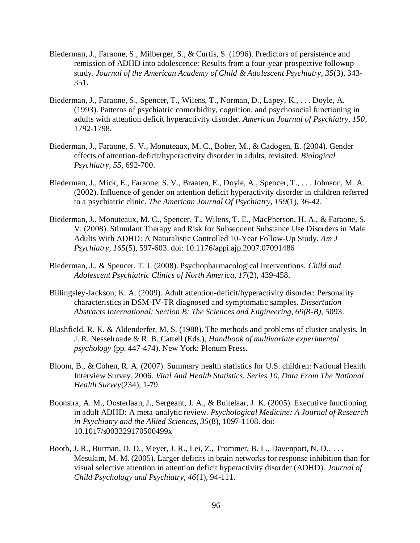- Biederman, J., Faraone, S., Milberger, S., & Curtis, S. (1996). Predictors of persistence and remission of ADHD into adolescence: Results from a four-year prospective followup study. *Journal of the American Academy of Child & Adolescent Psychiatry, 35*(3), 343- 351.
- Biederman, J., Faraone, S., Spencer, T., Wilens, T., Norman, D., Lapey, K., . . . Doyle, A. (1993). Patterns of psychiatric comorbidity, cognition, and psychosocial functioning in adults with attention deficit hyperactivity disorder. *American Journal of Psychiatry, 150*, 1792-1798.
- Biederman, J., Faraone, S. V., Monuteaux, M. C., Bober, M., & Cadogen, E. (2004). Gender effects of attention-deficit/hyperactivity disorder in adults, revisited. *Biological Psychiatry, 55*, 692-700.
- Biederman, J., Mick, E., Faraone, S. V., Braaten, E., Doyle, A., Spencer, T., . . . Johnson, M. A. (2002). Influence of gender on attention deficit hyperactivity disorder in children referred to a psychiatric clinic. *The American Journal Of Psychiatry, 159*(1), 36-42.
- Biederman, J., Monuteaux, M. C., Spencer, T., Wilens, T. E., MacPherson, H. A., & Faraone, S. V. (2008). Stimulant Therapy and Risk for Subsequent Substance Use Disorders in Male Adults With ADHD: A Naturalistic Controlled 10-Year Follow-Up Study. *Am J Psychiatry, 165*(5), 597-603. doi: 10.1176/appi.ajp.2007.07091486
- Biederman, J., & Spencer, T. J. (2008). Psychopharmacological interventions. *Child and Adolescent Psychiatric Clinics of North America, 17*(2), 439-458.
- Billingsley-Jackson, K. A. (2009). Adult attention-deficit/hyperactivity disorder: Personality characteristics in DSM-IV-TR diagnosed and symptomatic samples. *Dissertation Abstracts International: Section B: The Sciences and Engineering, 69(8-B),* 5093.
- Blashfield, R. K. & Aldenderfer, M. S. (1988). The methods and problems of cluster analysis. In J. R. Nesselroade & R. B. Cattell (Eds.), *Handbook of multivariate experimental psychology* (pp. 447-474). New York: Plenum Press.
- Bloom, B., & Cohen, R. A. (2007). Summary health statistics for U.S. children: National Health Interview Survey, 2006. *Vital And Health Statistics. Series 10, Data From The National Health Survey*(234), 1-79.
- Boonstra, A. M., Oosterlaan, J., Sergeant, J. A., & Buitelaar, J. K. (2005). Executive functioning in adult ADHD: A meta-analytic review. *Psychological Medicine: A Journal of Research in Psychiatry and the Allied Sciences, 35*(8), 1097-1108. doi: 10.1017/s003329170500499x
- Booth, J. R., Burman, D. D., Meyer, J. R., Lei, Z., Trommer, B. L., Davenport, N. D., . . . Mesulam, M. M. (2005). Larger deficits in brain networks for response inhibition than for visual selective attention in attention deficit hyperactivity disorder (ADHD). *Journal of Child Psychology and Psychiatry, 46*(1), 94-111.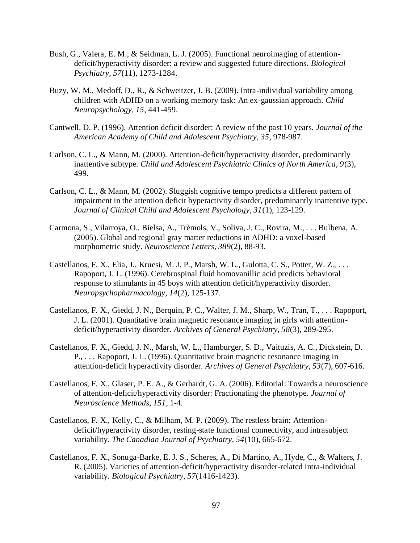- Bush, G., Valera, E. M., & Seidman, L. J. (2005). Functional neuroimaging of attentiondeficit/hyperactivity disorder: a review and suggested future directions. *Biological Psychiatry, 57*(11), 1273-1284.
- Buzy, W. M., Medoff, D., R., & Schweitzer, J. B. (2009). Intra-individual variability among children with ADHD on a working memory task: An ex-gaussian approach. *Child Neuropsychology, 15*, 441-459.
- Cantwell, D. P. (1996). Attention deficit disorder: A review of the past 10 years. *Journal of the American Academy of Child and Adolescent Psychiatry, 35*, 978-987.
- Carlson, C. L., & Mann, M. (2000). Attention-deficit/hyperactivity disorder, predominantly inattentive subtype. *Child and Adolescent Psychiatric Clinics of North America, 9*(3), 499.
- Carlson, C. L., & Mann, M. (2002). Sluggish cognitive tempo predicts a different pattern of impairment in the attention deficit hyperactivity disorder, predominantly inattentive type. *Journal of Clinical Child and Adolescent Psychology, 31*(1), 123-129.
- Carmona, S., Vilarroya, O., Bielsa, A., Trèmols, V., Soliva, J. C., Rovira, M., . . . Bulbena, A. (2005). Global and regional gray matter reductions in ADHD: a voxel-based morphometric study. *Neuroscience Letters, 389*(2), 88-93.
- Castellanos, F. X., Elia, J., Kruesi, M. J. P., Marsh, W. L., Gulotta, C. S., Potter, W. Z., . . . Rapoport, J. L. (1996). Cerebrospinal fluid homovanillic acid predicts behavioral response to stimulants in 45 boys with attention deficit/hyperactivity disorder. *Neuropsychopharmacology, 14*(2), 125-137.
- Castellanos, F. X., Giedd, J. N., Berquin, P. C., Walter, J. M., Sharp, W., Tran, T., . . . Rapoport, J. L. (2001). Quantitative brain magnetic resonance imaging in girls with attentiondeficit/hyperactivity disorder. *Archives of General Psychiatry, 58*(3), 289-295.
- Castellanos, F. X., Giedd, J. N., Marsh, W. L., Hamburger, S. D., Vaituzis, A. C., Dickstein, D. P., . . . Rapoport, J. L. (1996). Quantitative brain magnetic resonance imaging in attention-deficit hyperactivity disorder. *Archives of General Psychiatry, 53*(7), 607-616.
- Castellanos, F. X., Glaser, P. E. A., & Gerhardt, G. A. (2006). Editorial: Towards a neuroscience of attention-deficit/hyperactivity disorder: Fractionating the phenotype. *Journal of Neuroscience Methods, 151*, 1-4.
- Castellanos, F. X., Kelly, C., & Milham, M. P. (2009). The restless brain: Attentiondeficit/hyperactivity disorder, resting-state functional connectivity, and intrasubject variability. *The Canadian Journal of Psychiatry, 54*(10), 665-672.
- Castellanos, F. X., Sonuga-Barke, E. J. S., Scheres, A., Di Martino, A., Hyde, C., & Walters, J. R. (2005). Varieties of attention-deficit/hyperactivity disorder-related intra-individual variability. *Biological Psychiatry, 57*(1416-1423).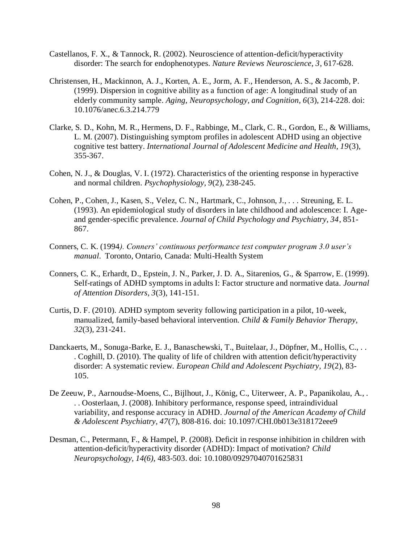- Castellanos, F. X., & Tannock, R. (2002). Neuroscience of attention-deficit/hyperactivity disorder: The search for endophenotypes. *Nature Reviews Neuroscience, 3*, 617-628.
- Christensen, H., Mackinnon, A. J., Korten, A. E., Jorm, A. F., Henderson, A. S., & Jacomb, P. (1999). Dispersion in cognitive ability as a function of age: A longitudinal study of an elderly community sample. *Aging, Neuropsychology, and Cognition, 6*(3), 214-228. doi: 10.1076/anec.6.3.214.779
- Clarke, S. D., Kohn, M. R., Hermens, D. F., Rabbinge, M., Clark, C. R., Gordon, E., & Williams, L. M. (2007). Distinguishing symptom profiles in adolescent ADHD using an objective cognitive test battery. *International Journal of Adolescent Medicine and Health, 19*(3), 355-367.
- Cohen, N. J., & Douglas, V. I. (1972). Characteristics of the orienting response in hyperactive and normal children. *Psychophysiology, 9*(2), 238-245.
- Cohen, P., Cohen, J., Kasen, S., Velez, C. N., Hartmark, C., Johnson, J., . . . Streuning, E. L. (1993). An epidemiological study of disorders in late childhood and adolescence: I. Ageand gender-specific prevalence. *Journal of Child Psychology and Psychiatry, 34*, 851- 867.
- Conners, C. K. (1994*). Conners' continuous performance test computer program 3.0 user's manual*. Toronto, Ontario, Canada: Multi-Health System
- Conners, C. K., Erhardt, D., Epstein, J. N., Parker, J. D. A., Sitarenios, G., & Sparrow, E. (1999). Self-ratings of ADHD symptoms in adults I: Factor structure and normative data. *Journal of Attention Disorders, 3*(3), 141-151.
- Curtis, D. F. (2010). ADHD symptom severity following participation in a pilot, 10-week, manualized, family-based behavioral intervention. *Child & Family Behavior Therapy, 32*(3), 231-241.
- Danckaerts, M., Sonuga-Barke, E. J., Banaschewski, T., Buitelaar, J., Döpfner, M., Hollis, C., . . . Coghill, D. (2010). The quality of life of children with attention deficit/hyperactivity disorder: A systematic review. *European Child and Adolescent Psychiatry, 19*(2), 83- 105.
- De Zeeuw, P., Aarnoudse-Moens, C., Bijlhout, J., König, C., Uiterweer, A. P., Papanikolau, A., . . . Oosterlaan, J. (2008). Inhibitory performance, response speed, intraindividual variability, and response accuracy in ADHD. *Journal of the American Academy of Child & Adolescent Psychiatry, 47*(7), 808-816. doi: 10.1097/CHI.0b013e318172eee9
- Desman, C., Petermann, F., & Hampel, P. (2008). Deficit in response inhibition in children with attention-deficit/hyperactivity disorder (ADHD): Impact of motivation? *Child Neuropsychology, 14(6),* 483-503. doi: 10.1080/09297040701625831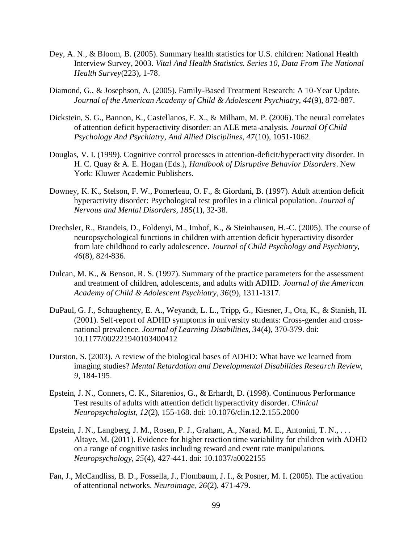- Dey, A. N., & Bloom, B. (2005). Summary health statistics for U.S. children: National Health Interview Survey, 2003. *Vital And Health Statistics. Series 10, Data From The National Health Survey*(223), 1-78.
- Diamond, G., & Josephson, A. (2005). Family-Based Treatment Research: A 10-Year Update. *Journal of the American Academy of Child & Adolescent Psychiatry, 44*(9), 872-887.
- Dickstein, S. G., Bannon, K., Castellanos, F. X., & Milham, M. P. (2006). The neural correlates of attention deficit hyperactivity disorder: an ALE meta-analysis. *Journal Of Child Psychology And Psychiatry, And Allied Disciplines, 47*(10), 1051-1062.
- Douglas, V. I. (1999). Cognitive control processes in attention-deficit/hyperactivity disorder. In H. C. Quay & A. E. Hogan (Eds.), *Handbook of Disruptive Behavior Disorders*. New York: Kluwer Academic Publishers.
- Downey, K. K., Stelson, F. W., Pomerleau, O. F., & Giordani, B. (1997). Adult attention deficit hyperactivity disorder: Psychological test profiles in a clinical population. *Journal of Nervous and Mental Disorders, 185*(1), 32-38.
- Drechsler, R., Brandeis, D., Foldenyi, M., Imhof, K., & Steinhausen, H.-C. (2005). The course of neuropsychological functions in children with attention deficit hyperactivity disorder from late childhood to early adolescence. *Journal of Child Psychology and Psychiatry, 46*(8), 824-836.
- Dulcan, M. K., & Benson, R. S. (1997). Summary of the practice parameters for the assessment and treatment of children, adolescents, and adults with ADHD. *Journal of the American Academy of Child & Adolescent Psychiatry, 36*(9), 1311-1317.
- DuPaul, G. J., Schaughency, E. A., Weyandt, L. L., Tripp, G., Kiesner, J., Ota, K., & Stanish, H. (2001). Self-report of ADHD symptoms in university students: Cross-gender and crossnational prevalence. *Journal of Learning Disabilities, 34*(4), 370-379. doi: 10.1177/002221940103400412
- Durston, S. (2003). A review of the biological bases of ADHD: What have we learned from imaging studies? *Mental Retardation and Developmental Disabilities Research Review, 9*, 184-195.
- Epstein, J. N., Conners, C. K., Sitarenios, G., & Erhardt, D. (1998). Continuous Performance Test results of adults with attention deficit hyperactivity disorder. *Clinical Neuropsychologist, 12*(2), 155-168. doi: 10.1076/clin.12.2.155.2000
- Epstein, J. N., Langberg, J. M., Rosen, P. J., Graham, A., Narad, M. E., Antonini, T. N., . . . Altaye, M. (2011). Evidence for higher reaction time variability for children with ADHD on a range of cognitive tasks including reward and event rate manipulations. *Neuropsychology, 25*(4), 427-441. doi: 10.1037/a0022155
- Fan, J., McCandliss, B. D., Fossella, J., Flombaum, J. I., & Posner, M. I. (2005). The activation of attentional networks. *Neuroimage, 26*(2), 471-479.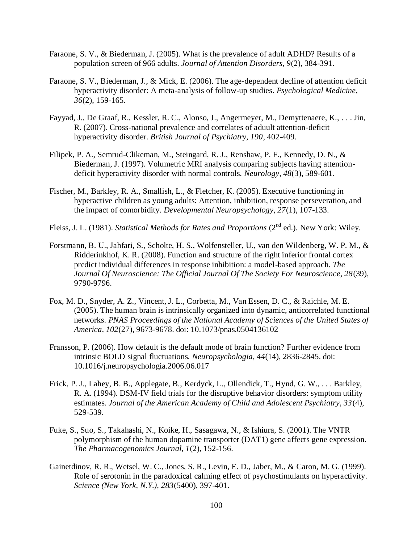- Faraone, S. V., & Biederman, J. (2005). What is the prevalence of adult ADHD? Results of a population screen of 966 adults. *Journal of Attention Disorders, 9*(2), 384-391.
- Faraone, S. V., Biederman, J., & Mick, E. (2006). The age-dependent decline of attention deficit hyperactivity disorder: A meta-analysis of follow-up studies. *Psychological Medicine, 36*(2), 159-165.
- Fayyad, J., De Graaf, R., Kessler, R. C., Alonso, J., Angermeyer, M., Demyttenaere, K., . . . Jin, R. (2007). Cross-national prevalence and correlates of aduult attention-deficit hyperactivity disorder. *British Journal of Psychiatry, 190*, 402-409.
- Filipek, P. A., Semrud-Clikeman, M., Steingard, R. J., Renshaw, P. F., Kennedy, D. N., & Biederman, J. (1997). Volumetric MRI analysis comparing subjects having attentiondeficit hyperactivity disorder with normal controls. *Neurology, 48*(3), 589-601.
- Fischer, M., Barkley, R. A., Smallish, L., & Fletcher, K. (2005). Executive functioning in hyperactive children as young adults: Attention, inhibition, response perseveration, and the impact of comorbidity. *Developmental Neuropsychology, 27*(1), 107-133.
- Fleiss, J. L. (1981). *Statistical Methods for Rates and Proportions* (2<sup>nd</sup> ed.). New York: Wiley.
- Forstmann, B. U., Jahfari, S., Scholte, H. S., Wolfensteller, U., van den Wildenberg, W. P. M., & Ridderinkhof, K. R. (2008). Function and structure of the right inferior frontal cortex predict individual differences in response inhibition: a model-based approach. *The Journal Of Neuroscience: The Official Journal Of The Society For Neuroscience, 28*(39), 9790-9796.
- Fox, M. D., Snyder, A. Z., Vincent, J. L., Corbetta, M., Van Essen, D. C., & Raichle, M. E. (2005). The human brain is intrinsically organized into dynamic, anticorrelated functional networks. *PNAS Proceedings of the National Academy of Sciences of the United States of America, 102*(27), 9673-9678. doi: 10.1073/pnas.0504136102
- Fransson, P. (2006). How default is the default mode of brain function? Further evidence from intrinsic BOLD signal fluctuations. *Neuropsychologia, 44*(14), 2836-2845. doi: 10.1016/j.neuropsychologia.2006.06.017
- Frick, P. J., Lahey, B. B., Applegate, B., Kerdyck, L., Ollendick, T., Hynd, G. W., . . . Barkley, R. A. (1994). DSM-IV field trials for the disruptive behavior disorders: symptom utility estimates. *Journal of the American Academy of Child and Adolescent Psychiatry, 33*(4), 529-539.
- Fuke, S., Suo, S., Takahashi, N., Koike, H., Sasagawa, N., & Ishiura, S. (2001). The VNTR polymorphism of the human dopamine transporter (DAT1) gene affects gene expression. *The Pharmacogenomics Journal, 1*(2), 152-156.
- Gainetdinov, R. R., Wetsel, W. C., Jones, S. R., Levin, E. D., Jaber, M., & Caron, M. G. (1999). Role of serotonin in the paradoxical calming effect of psychostimulants on hyperactivity. *Science (New York, N.Y.), 283*(5400), 397-401.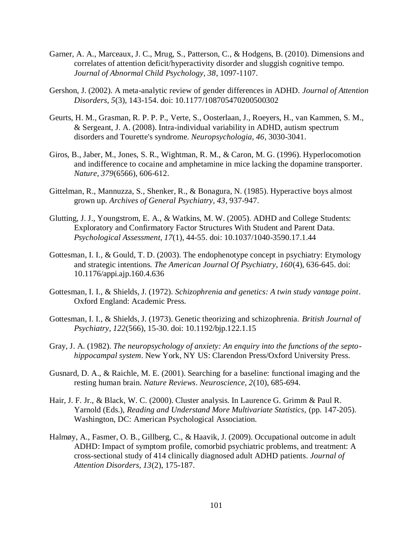- Garner, A. A., Marceaux, J. C., Mrug, S., Patterson, C., & Hodgens, B. (2010). Dimensions and correlates of attention deficit/hyperactivity disorder and sluggish cognitive tempo. *Journal of Abnormal Child Psychology, 38*, 1097-1107.
- Gershon, J. (2002). A meta-analytic review of gender differences in ADHD. *Journal of Attention Disorders, 5*(3), 143-154. doi: 10.1177/108705470200500302
- Geurts, H. M., Grasman, R. P. P. P., Verte, S., Oosterlaan, J., Roeyers, H., van Kammen, S. M., & Sergeant, J. A. (2008). Intra-individual variability in ADHD, autism spectrum disorders and Tourette's syndrome. *Neuropsychologia, 46*, 3030-3041.
- Giros, B., Jaber, M., Jones, S. R., Wightman, R. M., & Caron, M. G. (1996). Hyperlocomotion and indifference to cocaine and amphetamine in mice lacking the dopamine transporter. *Nature, 379*(6566), 606-612.
- Gittelman, R., Mannuzza, S., Shenker, R., & Bonagura, N. (1985). Hyperactive boys almost grown up. *Archives of General Psychiatry, 43*, 937-947.
- Glutting, J. J., Youngstrom, E. A., & Watkins, M. W. (2005). ADHD and College Students: Exploratory and Confirmatory Factor Structures With Student and Parent Data. *Psychological Assessment, 17*(1), 44-55. doi: 10.1037/1040-3590.17.1.44
- Gottesman, I. I., & Gould, T. D. (2003). The endophenotype concept in psychiatry: Etymology and strategic intentions. *The American Journal Of Psychiatry, 160*(4), 636-645. doi: 10.1176/appi.ajp.160.4.636
- Gottesman, I. I., & Shields, J. (1972). *Schizophrenia and genetics: A twin study vantage point*. Oxford England: Academic Press.
- Gottesman, I. I., & Shields, J. (1973). Genetic theorizing and schizophrenia. *British Journal of Psychiatry, 122*(566), 15-30. doi: 10.1192/bjp.122.1.15
- Gray, J. A. (1982). *The neuropsychology of anxiety: An enquiry into the functions of the septohippocampal system*. New York, NY US: Clarendon Press/Oxford University Press.
- Gusnard, D. A., & Raichle, M. E. (2001). Searching for a baseline: functional imaging and the resting human brain. *Nature Reviews. Neuroscience, 2*(10), 685-694.
- Hair, J. F. Jr., & Black, W. C. (2000). Cluster analysis. In Laurence G. Grimm & Paul R. Yarnold (Eds.), *Reading and Understand More Multivariate Statistics,* (pp. 147-205). Washington, DC: American Psychological Association.
- Halmøy, A., Fasmer, O. B., Gillberg, C., & Haavik, J. (2009). Occupational outcome in adult ADHD: Impact of symptom profile, comorbid psychiatric problems, and treatment: A cross-sectional study of 414 clinically diagnosed adult ADHD patients. *Journal of Attention Disorders, 13*(2), 175-187.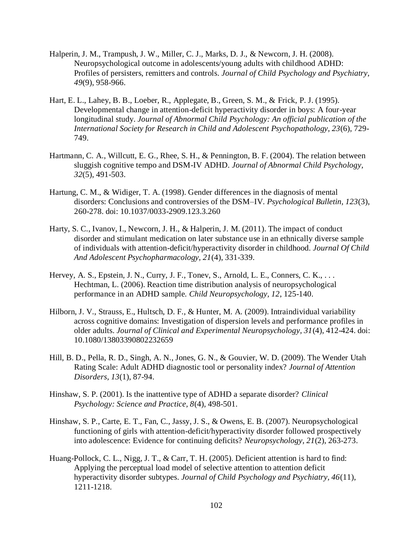- Halperin, J. M., Trampush, J. W., Miller, C. J., Marks, D. J., & Newcorn, J. H. (2008). Neuropsychological outcome in adolescents/young adults with childhood ADHD: Profiles of persisters, remitters and controls. *Journal of Child Psychology and Psychiatry, 49*(9), 958-966.
- Hart, E. L., Lahey, B. B., Loeber, R., Applegate, B., Green, S. M., & Frick, P. J. (1995). Developmental change in attention-deficit hyperactivity disorder in boys: A four-year longitudinal study. *Journal of Abnormal Child Psychology: An official publication of the International Society for Research in Child and Adolescent Psychopathology, 23*(6), 729- 749.
- Hartmann, C. A., Willcutt, E. G., Rhee, S. H., & Pennington, B. F. (2004). The relation between sluggish cognitive tempo and DSM-IV ADHD. *Journal of Abnormal Child Psychology, 32*(5), 491-503.
- Hartung, C. M., & Widiger, T. A. (1998). Gender differences in the diagnosis of mental disorders: Conclusions and controversies of the DSM–IV. *Psychological Bulletin, 123*(3), 260-278. doi: 10.1037/0033-2909.123.3.260
- Harty, S. C., Ivanov, I., Newcorn, J. H., & Halperin, J. M. (2011). The impact of conduct disorder and stimulant medication on later substance use in an ethnically diverse sample of individuals with attention-deficit/hyperactivity disorder in childhood. *Journal Of Child And Adolescent Psychopharmacology, 21*(4), 331-339.
- Hervey, A. S., Epstein, J. N., Curry, J. F., Tonev, S., Arnold, L. E., Conners, C. K., . . . Hechtman, L. (2006). Reaction time distribution analysis of neuropsychological performance in an ADHD sample. *Child Neuropsychology, 12*, 125-140.
- Hilborn, J. V., Strauss, E., Hultsch, D. F., & Hunter, M. A. (2009). Intraindividual variability across cognitive domains: Investigation of dispersion levels and performance profiles in older adults. *Journal of Clinical and Experimental Neuropsychology, 31*(4), 412-424. doi: 10.1080/13803390802232659
- Hill, B. D., Pella, R. D., Singh, A. N., Jones, G. N., & Gouvier, W. D. (2009). The Wender Utah Rating Scale: Adult ADHD diagnostic tool or personality index? *Journal of Attention Disorders, 13*(1), 87-94.
- Hinshaw, S. P. (2001). Is the inattentive type of ADHD a separate disorder? *Clinical Psychology: Science and Practice, 8*(4), 498-501.
- Hinshaw, S. P., Carte, E. T., Fan, C., Jassy, J. S., & Owens, E. B. (2007). Neuropsychological functioning of girls with attention-deficit/hyperactivity disorder followed prospectively into adolescence: Evidence for continuing deficits? *Neuropsychology, 21*(2), 263-273.
- Huang-Pollock, C. L., Nigg, J. T., & Carr, T. H. (2005). Deficient attention is hard to find: Applying the perceptual load model of selective attention to attention deficit hyperactivity disorder subtypes. *Journal of Child Psychology and Psychiatry, 46*(11), 1211-1218.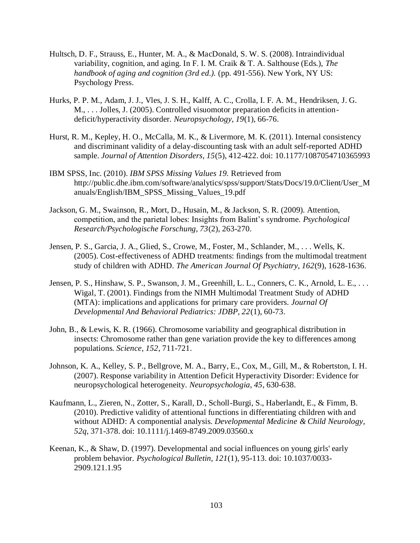- Hultsch, D. F., Strauss, E., Hunter, M. A., & MacDonald, S. W. S. (2008). Intraindividual variability, cognition, and aging. In F. I. M. Craik & T. A. Salthouse (Eds.), *The handbook of aging and cognition (3rd ed.).* (pp. 491-556). New York, NY US: Psychology Press.
- Hurks, P. P. M., Adam, J. J., Vles, J. S. H., Kalff, A. C., Crolla, I. F. A. M., Hendriksen, J. G. M., . . . Jolles, J. (2005). Controlled visuomotor preparation deficits in attentiondeficit/hyperactivity disorder. *Neuropsychology, 19*(1), 66-76.
- Hurst, R. M., Kepley, H. O., McCalla, M. K., & Livermore, M. K. (2011). Internal consistency and discriminant validity of a delay-discounting task with an adult self-reported ADHD sample. *Journal of Attention Disorders, 15*(5), 412-422. doi: 10.1177/1087054710365993
- IBM SPSS, Inc. (2010). *IBM SPSS Missing Values 19.* Retrieved from http://public.dhe.ibm.com/software/analytics/spss/support/Stats/Docs/19.0/Client/User\_M anuals/English/IBM\_SPSS\_Missing\_Values\_19.pdf
- Jackson, G. M., Swainson, R., Mort, D., Husain, M., & Jackson, S. R. (2009). Attention, competition, and the parietal lobes: Insights from Balint's syndrome. *Psychological Research/Psychologische Forschung, 73*(2), 263-270.
- Jensen, P. S., Garcia, J. A., Glied, S., Crowe, M., Foster, M., Schlander, M., . . . Wells, K. (2005). Cost-effectiveness of ADHD treatments: findings from the multimodal treatment study of children with ADHD. *The American Journal Of Psychiatry, 162*(9), 1628-1636.
- Jensen, P. S., Hinshaw, S. P., Swanson, J. M., Greenhill, L. L., Conners, C. K., Arnold, L. E., . . . Wigal, T. (2001). Findings from the NIMH Multimodal Treatment Study of ADHD (MTA): implications and applications for primary care providers. *Journal Of Developmental And Behavioral Pediatrics: JDBP, 22*(1), 60-73.
- John, B., & Lewis, K. R. (1966). Chromosome variability and geographical distribution in insects: Chromosome rather than gene variation provide the key to differences among populations. *Science, 152*, 711-721.
- Johnson, K. A., Kelley, S. P., Bellgrove, M. A., Barry, E., Cox, M., Gill, M., & Robertston, I. H. (2007). Response variability in Attention Deficit Hyperactivity Disorder: Evidence for neuropsychological heterogeneity. *Neuropsychologia, 45*, 630-638.
- Kaufmann, L., Zieren, N., Zotter, S., Karall, D., Scholl-Burgi, S., Haberlandt, E., & Fimm, B. (2010). Predictive validity of attentional functions in differentiating children with and without ADHD: A componential analysis. *Developmental Medicine & Child Neurology, 52q*, 371-378. doi: 10.1111/j.1469-8749.2009.03560.x
- Keenan, K., & Shaw, D. (1997). Developmental and social influences on young girls' early problem behavior. *Psychological Bulletin, 121*(1), 95-113. doi: 10.1037/0033- 2909.121.1.95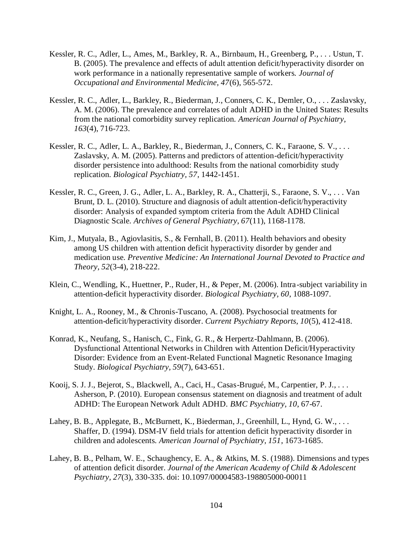- Kessler, R. C., Adler, L., Ames, M., Barkley, R. A., Birnbaum, H., Greenberg, P., . . . Ustun, T. B. (2005). The prevalence and effects of adult attention deficit/hyperactivity disorder on work performance in a nationally representative sample of workers. *Journal of Occupational and Environmental Medicine, 47*(6), 565-572.
- Kessler, R. C., Adler, L., Barkley, R., Biederman, J., Conners, C. K., Demler, O., . . . Zaslavsky, A. M. (2006). The prevalence and correlates of adult ADHD in the United States: Results from the national comorbidity survey replication. *American Journal of Psychiatry, 163*(4), 716-723.
- Kessler, R. C., Adler, L. A., Barkley, R., Biederman, J., Conners, C. K., Faraone, S. V., . . . Zaslavsky, A. M. (2005). Patterns and predictors of attention-deficit/hyperactivity disorder persistence into adulthood: Results from the national comorbidity study replication. *Biological Psychiatry, 57*, 1442-1451.
- Kessler, R. C., Green, J. G., Adler, L. A., Barkley, R. A., Chatterji, S., Faraone, S. V., . . . Van Brunt, D. L. (2010). Structure and diagnosis of adult attention-deficit/hyperactivity disorder: Analysis of expanded symptom criteria from the Adult ADHD Clinical Diagnostic Scale. *Archives of General Psychiatry, 67*(11), 1168-1178.
- Kim, J., Mutyala, B., Agiovlasitis, S., & Fernhall, B. (2011). Health behaviors and obesity among US children with attention deficit hyperactivity disorder by gender and medication use. *Preventive Medicine: An International Journal Devoted to Practice and Theory, 52*(3-4), 218-222.
- Klein, C., Wendling, K., Huettner, P., Ruder, H., & Peper, M. (2006). Intra-subject variability in attention-deficit hyperactivity disorder. *Biological Psychiatry, 60*, 1088-1097.
- Knight, L. A., Rooney, M., & Chronis-Tuscano, A. (2008). Psychosocial treatments for attention-deficit/hyperactivity disorder. *Current Psychiatry Reports, 10*(5), 412-418.
- Konrad, K., Neufang, S., Hanisch, C., Fink, G. R., & Herpertz-Dahlmann, B. (2006). Dysfunctional Attentional Networks in Children with Attention Deficit/Hyperactivity Disorder: Evidence from an Event-Related Functional Magnetic Resonance Imaging Study. *Biological Psychiatry, 59*(7), 643-651.
- Kooij, S. J. J., Bejerot, S., Blackwell, A., Caci, H., Casas-Brugué, M., Carpentier, P. J., . . . Asherson, P. (2010). European consensus statement on diagnosis and treatment of adult ADHD: The European Network Adult ADHD. *BMC Psychiatry, 10*, 67-67.
- Lahey, B. B., Applegate, B., McBurnett, K., Biederman, J., Greenhill, L., Hynd, G. W., ... Shaffer, D. (1994). DSM-IV field trials for attention deficit hyperactivity disorder in children and adolescents. *American Journal of Psychiatry, 151*, 1673-1685.
- Lahey, B. B., Pelham, W. E., Schaughency, E. A., & Atkins, M. S. (1988). Dimensions and types of attention deficit disorder. *Journal of the American Academy of Child & Adolescent Psychiatry, 27*(3), 330-335. doi: 10.1097/00004583-198805000-00011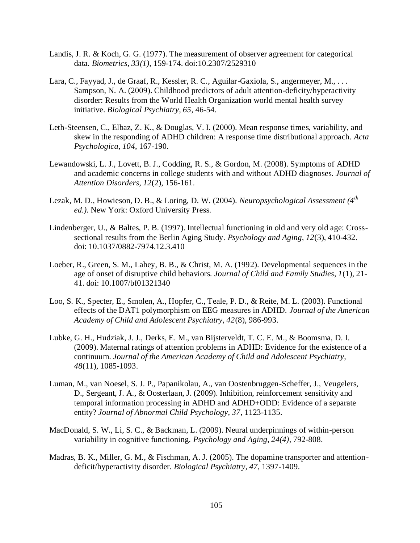- Landis, J. R. & Koch, G. G. (1977). The measurement of observer agreement for categorical data. *Biometrics, 33(1),* 159-174. doi:10.2307/2529310
- Lara, C., Fayyad, J., de Graaf, R., Kessler, R. C., Aguilar-Gaxiola, S., angermeyer, M., ... Sampson, N. A. (2009). Childhood predictors of adult attention-deficity/hyperactivity disorder: Results from the World Health Organization world mental health survey initiative. *Biological Psychiatry, 65*, 46-54.
- Leth-Steensen, C., Elbaz, Z. K., & Douglas, V. I. (2000). Mean response times, variability, and skew in the responding of ADHD children: A response time distributional approach. *Acta Psychologica, 104*, 167-190.
- Lewandowski, L. J., Lovett, B. J., Codding, R. S., & Gordon, M. (2008). Symptoms of ADHD and academic concerns in college students with and without ADHD diagnoses. *Journal of Attention Disorders, 12*(2), 156-161.
- Lezak, M. D., Howieson, D. B., & Loring, D. W. (2004). *Neuropsychological Assessment (4th ed.).* New York: Oxford University Press.
- Lindenberger, U., & Baltes, P. B. (1997). Intellectual functioning in old and very old age: Crosssectional results from the Berlin Aging Study. *Psychology and Aging, 12*(3), 410-432. doi: 10.1037/0882-7974.12.3.410
- Loeber, R., Green, S. M., Lahey, B. B., & Christ, M. A. (1992). Developmental sequences in the age of onset of disruptive child behaviors. *Journal of Child and Family Studies, 1*(1), 21- 41. doi: 10.1007/bf01321340
- Loo, S. K., Specter, E., Smolen, A., Hopfer, C., Teale, P. D., & Reite, M. L. (2003). Functional effects of the DAT1 polymorphism on EEG measures in ADHD. *Journal of the American Academy of Child and Adolescent Psychiatry, 42*(8), 986-993.
- Lubke, G. H., Hudziak, J. J., Derks, E. M., van Bijsterveldt, T. C. E. M., & Boomsma, D. I. (2009). Maternal ratings of attention problems in ADHD: Evidence for the existence of a continuum. *Journal of the American Academy of Child and Adolescent Psychiatry, 48*(11), 1085-1093.
- Luman, M., van Noesel, S. J. P., Papanikolau, A., van Oostenbruggen-Scheffer, J., Veugelers, D., Sergeant, J. A., & Oosterlaan, J. (2009). Inhibition, reinforcement sensitivity and temporal information processing in ADHD and ADHD+ODD: Evidence of a separate entity? *Journal of Abnormal Child Psychology, 37*, 1123-1135.
- MacDonald, S. W., Li, S. C., & Backman, L. (2009). Neural underpinnings of within-person variability in cognitive functioning. *Psychology and Aging, 24(4)*, 792-808.
- Madras, B. K., Miller, G. M., & Fischman, A. J. (2005). The dopamine transporter and attentiondeficit/hyperactivity disorder. *Biological Psychiatry, 47,* 1397-1409.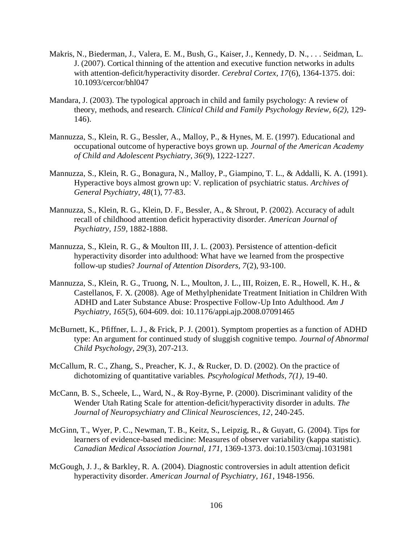- Makris, N., Biederman, J., Valera, E. M., Bush, G., Kaiser, J., Kennedy, D. N., . . . Seidman, L. J. (2007). Cortical thinning of the attention and executive function networks in adults with attention-deficit/hyperactivity disorder. *Cerebral Cortex, 17*(6), 1364-1375. doi: 10.1093/cercor/bhl047
- Mandara, J. (2003). The typological approach in child and family psychology: A review of theory, methods, and research. *Clinical Child and Family Psychology Review, 6(2),* 129- 146).
- Mannuzza, S., Klein, R. G., Bessler, A., Malloy, P., & Hynes, M. E. (1997). Educational and occupational outcome of hyperactive boys grown up. *Journal of the American Academy of Child and Adolescent Psychiatry, 36*(9), 1222-1227.
- Mannuzza, S., Klein, R. G., Bonagura, N., Malloy, P., Giampino, T. L., & Addalli, K. A. (1991). Hyperactive boys almost grown up: V. replication of psychiatric status. *Archives of General Psychiatry, 48*(1), 77-83.
- Mannuzza, S., Klein, R. G., Klein, D. F., Bessler, A., & Shrout, P. (2002). Accuracy of adult recall of childhood attention deficit hyperactivity disorder. *American Journal of Psychiatry, 159*, 1882-1888.
- Mannuzza, S., Klein, R. G., & Moulton III, J. L. (2003). Persistence of attention-deficit hyperactivity disorder into adulthood: What have we learned from the prospective follow-up studies? *Journal of Attention Disorders, 7*(2), 93-100.
- Mannuzza, S., Klein, R. G., Truong, N. L., Moulton, J. L., III, Roizen, E. R., Howell, K. H., & Castellanos, F. X. (2008). Age of Methylphenidate Treatment Initiation in Children With ADHD and Later Substance Abuse: Prospective Follow-Up Into Adulthood. *Am J Psychiatry, 165*(5), 604-609. doi: 10.1176/appi.ajp.2008.07091465
- McBurnett, K., Pfiffner, L. J., & Frick, P. J. (2001). Symptom properties as a function of ADHD type: An argument for continued study of sluggish cognitive tempo. *Journal of Abnormal Child Psychology, 29*(3), 207-213.
- McCallum, R. C., Zhang, S., Preacher, K. J., & Rucker, D. D. (2002). On the practice of dichotomizing of quantitative variables. *Pscyhological Methods, 7(1),* 19-40.
- McCann, B. S., Scheele, L., Ward, N., & Roy-Byrne, P. (2000). Discriminant validity of the Wender Utah Rating Scale for attention-deficit/hyperactivity disorder in adults. *The Journal of Neuropsychiatry and Clinical Neurosciences, 12*, 240-245.
- McGinn, T., Wyer, P. C., Newman, T. B., Keitz, S., Leipzig, R., & Guyatt, G. (2004). Tips for learners of evidence-based medicine: Measures of observer variability (kappa statistic). *Canadian Medical Association Journal, 171,* 1369-1373. doi:10.1503/cmaj.1031981
- McGough, J. J., & Barkley, R. A. (2004). Diagnostic controversies in adult attention deficit hyperactivity disorder. *American Journal of Psychiatry, 161*, 1948-1956.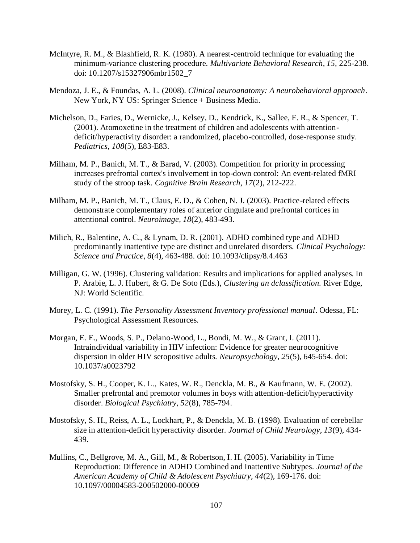- McIntyre, R. M., & Blashfield, R. K. (1980). A nearest-centroid technique for evaluating the minimum-variance clustering procedure. *Multivariate Behavioral Research, 15,* 225-238. doi: 10.1207/s15327906mbr1502\_7
- Mendoza, J. E., & Foundas, A. L. (2008). *Clinical neuroanatomy: A neurobehavioral approach*. New York, NY US: Springer Science + Business Media.
- Michelson, D., Faries, D., Wernicke, J., Kelsey, D., Kendrick, K., Sallee, F. R., & Spencer, T. (2001). Atomoxetine in the treatment of children and adolescents with attentiondeficit/hyperactivity disorder: a randomized, placebo-controlled, dose-response study. *Pediatrics, 108*(5), E83-E83.
- Milham, M. P., Banich, M. T., & Barad, V. (2003). Competition for priority in processing increases prefrontal cortex's involvement in top-down control: An event-related fMRI study of the stroop task. *Cognitive Brain Research, 17*(2), 212-222.
- Milham, M. P., Banich, M. T., Claus, E. D., & Cohen, N. J. (2003). Practice-related effects demonstrate complementary roles of anterior cingulate and prefrontal cortices in attentional control. *Neuroimage, 18*(2), 483-493.
- Milich, R., Balentine, A. C., & Lynam, D. R. (2001). ADHD combined type and ADHD predominantly inattentive type are distinct and unrelated disorders. *Clinical Psychology: Science and Practice, 8*(4), 463-488. doi: 10.1093/clipsy/8.4.463
- Milligan, G. W. (1996). Clustering validation: Results and implications for applied analyses. In P. Arabie, L. J. Hubert, & G. De Soto (Eds.), *Clustering an dclassification.* River Edge, NJ: World Scientific.
- Morey, L. C. (1991). *The Personality Assessment Inventory professional manual*. Odessa, FL: Psychological Assessment Resources.
- Morgan, E. E., Woods, S. P., Delano-Wood, L., Bondi, M. W., & Grant, I. (2011). Intraindividual variability in HIV infection: Evidence for greater neurocognitive dispersion in older HIV seropositive adults. *Neuropsychology, 25*(5), 645-654. doi: 10.1037/a0023792
- Mostofsky, S. H., Cooper, K. L., Kates, W. R., Denckla, M. B., & Kaufmann, W. E. (2002). Smaller prefrontal and premotor volumes in boys with attention-deficit/hyperactivity disorder. *Biological Psychiatry, 52*(8), 785-794.
- Mostofsky, S. H., Reiss, A. L., Lockhart, P., & Denckla, M. B. (1998). Evaluation of cerebellar size in attention-deficit hyperactivity disorder. *Journal of Child Neurology, 13*(9), 434- 439.
- Mullins, C., Bellgrove, M. A., Gill, M., & Robertson, I. H. (2005). Variability in Time Reproduction: Difference in ADHD Combined and Inattentive Subtypes. *Journal of the American Academy of Child & Adolescent Psychiatry, 44*(2), 169-176. doi: 10.1097/00004583-200502000-00009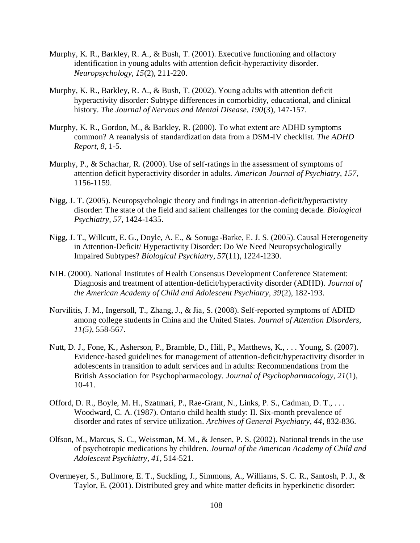- Murphy, K. R., Barkley, R. A., & Bush, T. (2001). Executive functioning and olfactory identification in young adults with attention deficit-hyperactivity disorder. *Neuropsychology, 15*(2), 211-220.
- Murphy, K. R., Barkley, R. A., & Bush, T. (2002). Young adults with attention deficit hyperactivity disorder: Subtype differences in comorbidity, educational, and clinical history. *The Journal of Nervous and Mental Disease, 190*(3), 147-157.
- Murphy, K. R., Gordon, M., & Barkley, R. (2000). To what extent are ADHD symptoms common? A reanalysis of standardization data from a DSM-IV checklist. *The ADHD Report, 8*, 1-5.
- Murphy, P., & Schachar, R. (2000). Use of self-ratings in the assessment of symptoms of attention deficit hyperactivity disorder in adults. *American Journal of Psychiatry, 157*, 1156-1159.
- Nigg, J. T. (2005). Neuropsychologic theory and findings in attention-deficit/hyperactivity disorder: The state of the field and salient challenges for the coming decade. *Biological Psychiatry, 57*, 1424-1435.
- Nigg, J. T., Willcutt, E. G., Doyle, A. E., & Sonuga-Barke, E. J. S. (2005). Causal Heterogeneity in Attention-Deficit/ Hyperactivity Disorder: Do We Need Neuropsychologically Impaired Subtypes? *Biological Psychiatry, 57*(11), 1224-1230.
- NIH. (2000). National Institutes of Health Consensus Development Conference Statement: Diagnosis and treatment of attention-deficit/hyperactivity disorder (ADHD). *Journal of the American Academy of Child and Adolescent Psychiatry, 39*(2), 182-193.
- Norvilitis, J. M., Ingersoll, T., Zhang, J., & Jia, S. (2008). Self-reported symptoms of ADHD among college students in China and the United States. *Journal of Attention Disorders, 11(5),* 558-567.
- Nutt, D. J., Fone, K., Asherson, P., Bramble, D., Hill, P., Matthews, K., . . . Young, S. (2007). Evidence-based guidelines for management of attention-deficit/hyperactivity disorder in adolescents in transition to adult services and in adults: Recommendations from the British Association for Psychopharmacology. *Journal of Psychopharmacology, 21*(1), 10-41.
- Offord, D. R., Boyle, M. H., Szatmari, P., Rae-Grant, N., Links, P. S., Cadman, D. T., ... Woodward, C. A. (1987). Ontario child health study: II. Six-month prevalence of disorder and rates of service utilization. *Archives of General Psychiatry, 44*, 832-836.
- Olfson, M., Marcus, S. C., Weissman, M. M., & Jensen, P. S. (2002). National trends in the use of psychotropic medications by children. *Journal of the American Academy of Child and Adolescent Psychiatry, 41*, 514-521.
- Overmeyer, S., Bullmore, E. T., Suckling, J., Simmons, A., Williams, S. C. R., Santosh, P. J., & Taylor, E. (2001). Distributed grey and white matter deficits in hyperkinetic disorder: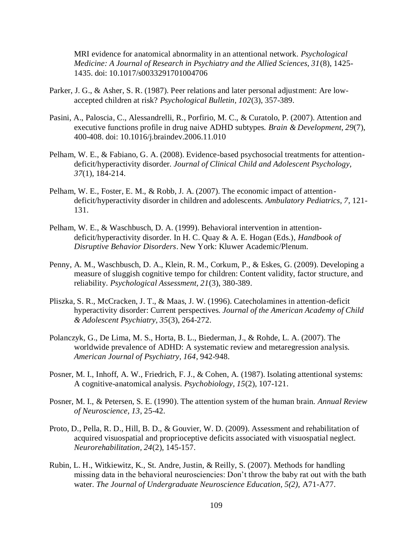MRI evidence for anatomical abnormality in an attentional network. *Psychological Medicine: A Journal of Research in Psychiatry and the Allied Sciences, 31*(8), 1425- 1435. doi: 10.1017/s0033291701004706

- Parker, J. G., & Asher, S. R. (1987). Peer relations and later personal adjustment: Are lowaccepted children at risk? *Psychological Bulletin, 102*(3), 357-389.
- Pasini, A., Paloscia, C., Alessandrelli, R., Porfirio, M. C., & Curatolo, P. (2007). Attention and executive functions profile in drug naive ADHD subtypes. *Brain & Development, 29*(7), 400-408. doi: 10.1016/j.braindev.2006.11.010
- Pelham, W. E., & Fabiano, G. A. (2008). Evidence-based psychosocial treatments for attentiondeficit/hyperactivity disorder. *Journal of Clinical Child and Adolescent Psychology, 37*(1), 184-214.
- Pelham, W. E., Foster, E. M., & Robb, J. A. (2007). The economic impact of attentiondeficit/hyperactivity disorder in children and adolescents. *Ambulatory Pediatrics, 7*, 121- 131.
- Pelham, W. E., & Waschbusch, D. A. (1999). Behavioral intervention in attentiondeficit/hyperactivity disorder. In H. C. Quay & A. E. Hogan (Eds.), *Handbook of Disruptive Behavior Disorders*. New York: Kluwer Academic/Plenum.
- Penny, A. M., Waschbusch, D. A., Klein, R. M., Corkum, P., & Eskes, G. (2009). Developing a measure of sluggish cognitive tempo for children: Content validity, factor structure, and reliability. *Psychological Assessment, 21*(3), 380-389.
- Pliszka, S. R., McCracken, J. T., & Maas, J. W. (1996). Catecholamines in attention-deficit hyperactivity disorder: Current perspectives. *Journal of the American Academy of Child & Adolescent Psychiatry, 35*(3), 264-272.
- Polanczyk, G., De Lima, M. S., Horta, B. L., Biederman, J., & Rohde, L. A. (2007). The worldwide prevalence of ADHD: A systematic review and metaregression analysis. *American Journal of Psychiatry, 164*, 942-948.
- Posner, M. I., Inhoff, A. W., Friedrich, F. J., & Cohen, A. (1987). Isolating attentional systems: A cognitive-anatomical analysis. *Psychobiology, 15*(2), 107-121.
- Posner, M. I., & Petersen, S. E. (1990). The attention system of the human brain. *Annual Review of Neuroscience, 13*, 25-42.
- Proto, D., Pella, R. D., Hill, B. D., & Gouvier, W. D. (2009). Assessment and rehabilitation of acquired visuospatial and proprioceptive deficits associated with visuospatial neglect. *Neurorehabilitation, 24*(2), 145-157.
- Rubin, L. H., Witkiewitz, K., St. Andre, Justin, & Reilly, S. (2007). Methods for handling missing data in the behavioral neurosciencies: Don't throw the baby rat out with the bath water. *The Journal of Undergraduate Neuroscience Education, 5(2),* A71-A77.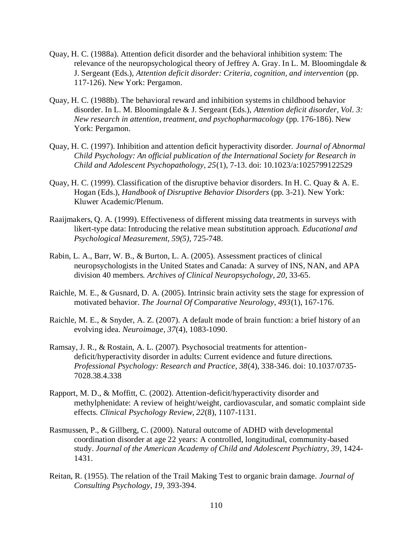- Quay, H. C. (1988a). Attention deficit disorder and the behavioral inhibition system: The relevance of the neuropsychological theory of Jeffrey A. Gray. In L. M. Bloomingdale & J. Sergeant (Eds.), *Attention deficit disorder: Criteria, cognition, and intervention* (pp. 117-126). New York: Pergamon.
- Quay, H. C. (1988b). The behavioral reward and inhibition systems in childhood behavior disorder. In L. M. Bloomingdale & J. Sergeant (Eds.), *Attention deficit disorder, Vol. 3: New research in attention, treatment, and psychopharmacology* (pp. 176-186). New York: Pergamon.
- Quay, H. C. (1997). Inhibition and attention deficit hyperactivity disorder. *Journal of Abnormal Child Psychology: An official publication of the International Society for Research in Child and Adolescent Psychopathology, 25*(1), 7-13. doi: 10.1023/a:1025799122529
- Quay, H. C. (1999). Classification of the disruptive behavior disorders. In H. C. Quay & A. E. Hogan (Eds.), *Handbook of Disruptive Behavior Disorders* (pp. 3-21). New York: Kluwer Academic/Plenum.
- Raaijmakers, Q. A. (1999). Effectiveness of different missing data treatments in surveys with likert-type data: Introducing the relative mean substitution approach. *Educational and Psychological Measurement, 59(5),* 725-748.
- Rabin, L. A., Barr, W. B., & Burton, L. A. (2005). Assessment practices of clinical neuropsychologists in the United States and Canada: A survey of INS, NAN, and APA division 40 members. *Archives of Clinical Neuropsychology, 20*, 33-65.
- Raichle, M. E., & Gusnard, D. A. (2005). Intrinsic brain activity sets the stage for expression of motivated behavior. *The Journal Of Comparative Neurology, 493*(1), 167-176.
- Raichle, M. E., & Snyder, A. Z. (2007). A default mode of brain function: a brief history of an evolving idea. *Neuroimage, 37*(4), 1083-1090.
- Ramsay, J. R., & Rostain, A. L. (2007). Psychosocial treatments for attentiondeficit/hyperactivity disorder in adults: Current evidence and future directions. *Professional Psychology: Research and Practice, 38*(4), 338-346. doi: 10.1037/0735- 7028.38.4.338
- Rapport, M. D., & Moffitt, C. (2002). Attention-deficit/hyperactivity disorder and methylphenidate: A review of height/weight, cardiovascular, and somatic complaint side effects. *Clinical Psychology Review, 22*(8), 1107-1131.
- Rasmussen, P., & Gillberg, C. (2000). Natural outcome of ADHD with developmental coordination disorder at age 22 years: A controlled, longitudinal, community-based study. *Journal of the American Academy of Child and Adolescent Psychiatry, 39*, 1424- 1431.
- Reitan, R. (1955). The relation of the Trail Making Test to organic brain damage. *Journal of Consulting Psychology, 19,* 393-394.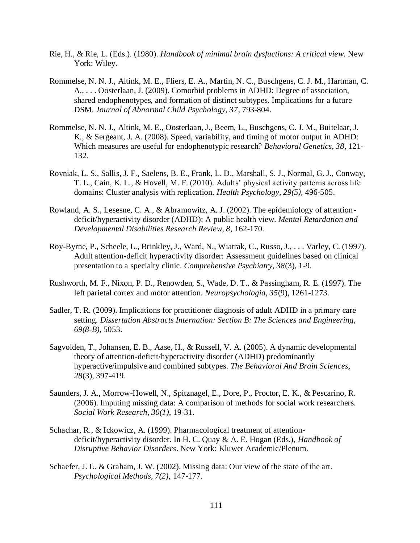- Rie, H., & Rie, L. (Eds.). (1980). *Handbook of minimal brain dysfuctions: A critical view*. New York: Wiley.
- Rommelse, N. N. J., Altink, M. E., Fliers, E. A., Martin, N. C., Buschgens, C. J. M., Hartman, C. A., . . . Oosterlaan, J. (2009). Comorbid problems in ADHD: Degree of association, shared endophenotypes, and formation of distinct subtypes. Implications for a future DSM. *Journal of Abnormal Child Psychology, 37*, 793-804.
- Rommelse, N. N. J., Altink, M. E., Oosterlaan, J., Beem, L., Buschgens, C. J. M., Buitelaar, J. K., & Sergeant, J. A. (2008). Speed, variability, and timing of motor output in ADHD: Which measures are useful for endophenotypic research? *Behavioral Genetics, 38*, 121- 132.
- Rovniak, L. S., Sallis, J. F., Saelens, B. E., Frank, L. D., Marshall, S. J., Normal, G. J., Conway, T. L., Cain, K. L., & Hovell, M. F. (2010). Adults' physical activity patterns across life domains: Cluster analysis with replication. *Health Psychology, 29(5),* 496-505.
- Rowland, A. S., Lesesne, C. A., & Abramowitz, A. J. (2002). The epidemiology of attentiondeficit/hyperactivity disorder (ADHD): A public health view. *Mental Retardation and Developmental Disabilities Research Review, 8*, 162-170.
- Roy-Byrne, P., Scheele, L., Brinkley, J., Ward, N., Wiatrak, C., Russo, J., . . . Varley, C. (1997). Adult attention-deficit hyperactivity disorder: Assessment guidelines based on clinical presentation to a specialty clinic. *Comprehensive Psychiatry, 38*(3), 1-9.
- Rushworth, M. F., Nixon, P. D., Renowden, S., Wade, D. T., & Passingham, R. E. (1997). The left parietal cortex and motor attention. *Neuropsychologia, 35*(9), 1261-1273.
- Sadler, T. R. (2009). Implications for practitioner diagnosis of adult ADHD in a primary care setting. *Dissertation Abstracts Internation: Section B: The Sciences and Engineering, 69(8-B),* 5053.
- Sagvolden, T., Johansen, E. B., Aase, H., & Russell, V. A. (2005). A dynamic developmental theory of attention-deficit/hyperactivity disorder (ADHD) predominantly hyperactive/impulsive and combined subtypes. *The Behavioral And Brain Sciences, 28*(3), 397-419.
- Saunders, J. A., Morrow-Howell, N., Spitznagel, E., Dore, P., Proctor, E. K., & Pescarino, R. (2006). Imputing missing data: A comparison of methods for social work researchers. *Social Work Research, 30(1),* 19-31.
- Schachar, R., & Ickowicz, A. (1999). Pharmacological treatment of attentiondeficit/hyperactivity disorder. In H. C. Quay & A. E. Hogan (Eds.), *Handbook of Disruptive Behavior Disorders*. New York: Kluwer Academic/Plenum.
- Schaefer, J. L. & Graham, J. W. (2002). Missing data: Our view of the state of the art. *Psychological Methods, 7(2),* 147-177.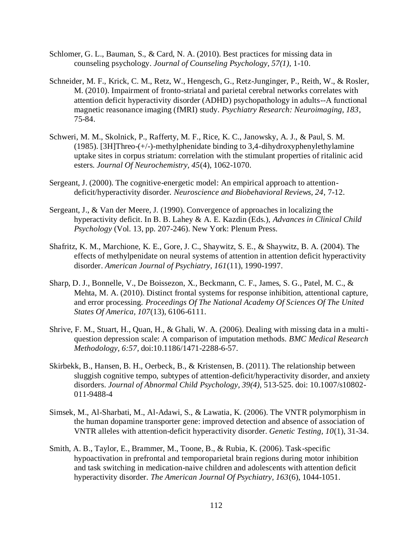- Schlomer, G. L., Bauman, S., & Card, N. A. (2010). Best practices for missing data in counseling psychology. *Journal of Counseling Psychology, 57(1),* 1-10.
- Schneider, M. F., Krick, C. M., Retz, W., Hengesch, G., Retz-Junginger, P., Reith, W., & Rosler, M. (2010). Impairment of fronto-striatal and parietal cerebral networks correlates with attention deficit hyperactivity disorder (ADHD) psychopathology in adults--A functional magnetic reasonance imaging (fMRI) study. *Psychiatry Research: Neuroimaging, 183*, 75-84.
- Schweri, M. M., Skolnick, P., Rafferty, M. F., Rice, K. C., Janowsky, A. J., & Paul, S. M. (1985). [3H]Threo-(+/-)-methylphenidate binding to 3,4-dihydroxyphenylethylamine uptake sites in corpus striatum: correlation with the stimulant properties of ritalinic acid esters. *Journal Of Neurochemistry, 45*(4), 1062-1070.
- Sergeant, J. (2000). The cognitive-energetic model: An empirical approach to attentiondeficit/hyperactivity disorder. *Neuroscience and Biobehavioral Reviews, 24*, 7-12.
- Sergeant, J., & Van der Meere, J. (1990). Convergence of approaches in localizing the hyperactivity deficit. In B. B. Lahey & A. E. Kazdin (Eds.), *Advances in Clinical Child Psychology* (Vol. 13, pp. 207-246). New York: Plenum Press.
- Shafritz, K. M., Marchione, K. E., Gore, J. C., Shaywitz, S. E., & Shaywitz, B. A. (2004). The effects of methylpenidate on neural systems of attention in attention deficit hyperactivity disorder. *American Journal of Psychiatry, 161*(11), 1990-1997.
- Sharp, D. J., Bonnelle, V., De Boissezon, X., Beckmann, C. F., James, S. G., Patel, M. C., & Mehta, M. A. (2010). Distinct frontal systems for response inhibition, attentional capture, and error processing. *Proceedings Of The National Academy Of Sciences Of The United States Of America, 107*(13), 6106-6111.
- Shrive, F. M., Stuart, H., Quan, H., & Ghali, W. A. (2006). Dealing with missing data in a multiquestion depression scale: A comparison of imputation methods. *BMC Medical Research Methodology, 6:57,* doi:10.1186/1471-2288-6-57.
- Skirbekk, B., Hansen, B. H., Oerbeck, B., & Kristensen, B. (2011). The relationship between sluggish cognitive tempo, subtypes of attention-deficit/hyperactivity disorder, and anxiety disorders. *Journal of Abnormal Child Psychology, 39(4),* 513-525. doi: 10.1007/s10802- 011-9488-4
- Simsek, M., Al-Sharbati, M., Al-Adawi, S., & Lawatia, K. (2006). The VNTR polymorphism in the human dopamine transporter gene: improved detection and absence of association of VNTR alleles with attention-deficit hyperactivity disorder. *Genetic Testing, 10*(1), 31-34.
- Smith, A. B., Taylor, E., Brammer, M., Toone, B., & Rubia, K. (2006). Task-specific hypoactivation in prefrontal and temporoparietal brain regions during motor inhibition and task switching in medication-naive children and adolescents with attention deficit hyperactivity disorder. *The American Journal Of Psychiatry, 163*(6), 1044-1051.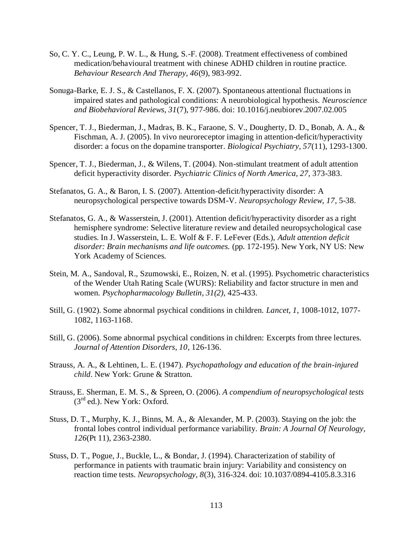- So, C. Y. C., Leung, P. W. L., & Hung, S.-F. (2008). Treatment effectiveness of combined medication/behavioural treatment with chinese ADHD children in routine practice. *Behaviour Research And Therapy, 46*(9), 983-992.
- Sonuga-Barke, E. J. S., & Castellanos, F. X. (2007). Spontaneous attentional fluctuations in impaired states and pathological conditions: A neurobiological hypothesis. *Neuroscience and Biobehavioral Reviews, 31*(7), 977-986. doi: 10.1016/j.neubiorev.2007.02.005
- Spencer, T. J., Biederman, J., Madras, B. K., Faraone, S. V., Dougherty, D. D., Bonab, A. A., & Fischman, A. J. (2005). In vivo neuroreceptor imaging in attention-deficit/hyperactivity disorder: a focus on the dopamine transporter. *Biological Psychiatry, 57*(11), 1293-1300.
- Spencer, T. J., Biederman, J., & Wilens, T. (2004). Non-stimulant treatment of adult attention deficit hyperactivity disorder. *Psychiatric Clinics of North America, 27,* 373-383.
- Stefanatos, G. A., & Baron, I. S. (2007). Attention-deficit/hyperactivity disorder: A neuropsychological perspective towards DSM-V. *Neuropsychology Review, 17*, 5-38.
- Stefanatos, G. A., & Wasserstein, J. (2001). Attention deficit/hyperactivity disorder as a right hemisphere syndrome: Selective literature review and detailed neuropsychological case studies. In J. Wasserstein, L. E. Wolf & F. F. LeFever (Eds.), *Adult attention deficit disorder: Brain mechanisms and life outcomes.* (pp. 172-195). New York, NY US: New York Academy of Sciences.
- Stein, M. A., Sandoval, R., Szumowski, E., Roizen, N. et al. (1995). Psychometric characteristics of the Wender Utah Rating Scale (WURS): Reliability and factor structure in men and women. *Psychopharmacology Bulletin, 31(2),* 425-433.
- Still, G. (1902). Some abnormal psychical conditions in children. *Lancet, 1*, 1008-1012, 1077- 1082, 1163-1168.
- Still, G. (2006). Some abnormal psychical conditions in children: Excerpts from three lectures. *Journal of Attention Disorders, 10*, 126-136.
- Strauss, A. A., & Lehtinen, L. E. (1947). *Psychopathology and education of the brain-injured child*. New York: Grune & Stratton.
- Strauss, E. Sherman, E. M. S., & Spreen, O. (2006). *A compendium of neuropsychological tests*  (3rd ed.). New York: Oxford.
- Stuss, D. T., Murphy, K. J., Binns, M. A., & Alexander, M. P. (2003). Staying on the job: the frontal lobes control individual performance variability. *Brain: A Journal Of Neurology, 126*(Pt 11), 2363-2380.
- Stuss, D. T., Pogue, J., Buckle, L., & Bondar, J. (1994). Characterization of stability of performance in patients with traumatic brain injury: Variability and consistency on reaction time tests. *Neuropsychology, 8*(3), 316-324. doi: 10.1037/0894-4105.8.3.316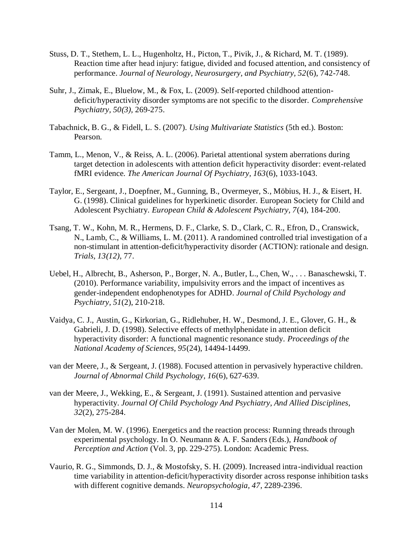- Stuss, D. T., Stethem, L. L., Hugenholtz, H., Picton, T., Pivik, J., & Richard, M. T. (1989). Reaction time after head injury: fatigue, divided and focused attention, and consistency of performance. *Journal of Neurology, Neurosurgery, and Psychiatry, 52*(6), 742-748.
- Suhr, J., Zimak, E., Bluelow, M., & Fox, L. (2009). Self-reported childhood attentiondeficit/hyperactivity disorder symptoms are not specific to the disorder. *Comprehensive Psychiatry, 50(3),* 269-275.
- Tabachnick, B. G., & Fidell, L. S. (2007). *Using Multivariate Statistics* (5th ed.). Boston: Pearson.
- Tamm, L., Menon, V., & Reiss, A. L. (2006). Parietal attentional system aberrations during target detection in adolescents with attention deficit hyperactivity disorder: event-related fMRI evidence. *The American Journal Of Psychiatry, 163*(6), 1033-1043.
- Taylor, E., Sergeant, J., Doepfner, M., Gunning, B., Overmeyer, S., Möbius, H. J., & Eisert, H. G. (1998). Clinical guidelines for hyperkinetic disorder. European Society for Child and Adolescent Psychiatry. *European Child & Adolescent Psychiatry, 7*(4), 184-200.
- Tsang, T. W., Kohn, M. R., Hermens, D. F., Clarke, S. D., Clark, C. R., Efron, D., Cranswick, N., Lamb, C., & Williams, L. M. (2011). A randomined controlled trial investigation of a non-stimulant in attention-deficit/hyperactivity disorder (ACTION): rationale and design. *Trials, 13(12),* 77.
- Uebel, H., Albrecht, B., Asherson, P., Borger, N. A., Butler, L., Chen, W., . . . Banaschewski, T. (2010). Performance variability, impulsivity errors and the impact of incentives as gender-independent endophenotypes for ADHD. *Journal of Child Psychology and Psychiatry, 51*(2), 210-218.
- Vaidya, C. J., Austin, G., Kirkorian, G., Ridlehuber, H. W., Desmond, J. E., Glover, G. H., & Gabrieli, J. D. (1998). Selective effects of methylphenidate in attention deficit hyperactivity disorder: A functional magnentic resonance study. *Proceedings of the National Academy of Sciences, 95*(24), 14494-14499.
- van der Meere, J., & Sergeant, J. (1988). Focused attention in pervasively hyperactive children. *Journal of Abnormal Child Psychology, 16*(6), 627-639.
- van der Meere, J., Wekking, E., & Sergeant, J. (1991). Sustained attention and pervasive hyperactivity. *Journal Of Child Psychology And Psychiatry, And Allied Disciplines, 32*(2), 275-284.
- Van der Molen, M. W. (1996). Energetics and the reaction process: Running threads through experimental psychology. In O. Neumann & A. F. Sanders (Eds.), *Handbook of Perception and Action* (Vol. 3, pp. 229-275). London: Academic Press.
- Vaurio, R. G., Simmonds, D. J., & Mostofsky, S. H. (2009). Increased intra-individual reaction time variability in attention-deficit/hyperactivity disorder across response inhibition tasks with different cognitive demands. *Neuropsychologia, 47*, 2289-2396.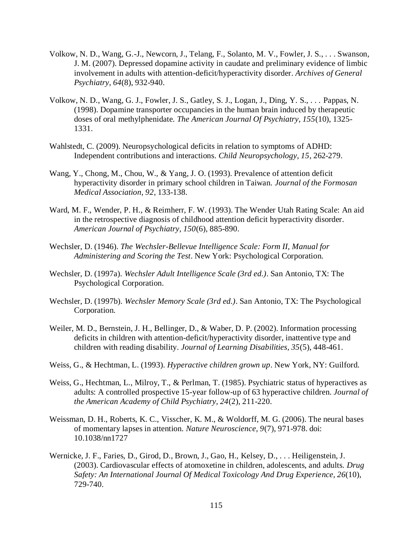- Volkow, N. D., Wang, G.-J., Newcorn, J., Telang, F., Solanto, M. V., Fowler, J. S., . . . Swanson, J. M. (2007). Depressed dopamine activity in caudate and preliminary evidence of limbic involvement in adults with attention-deficit/hyperactivity disorder. *Archives of General Psychiatry, 64*(8), 932-940.
- Volkow, N. D., Wang, G. J., Fowler, J. S., Gatley, S. J., Logan, J., Ding, Y. S., . . . Pappas, N. (1998). Dopamine transporter occupancies in the human brain induced by therapeutic doses of oral methylphenidate. *The American Journal Of Psychiatry, 155*(10), 1325- 1331.
- Wahlstedt, C. (2009). Neuropsychological deficits in relation to symptoms of ADHD: Independent contributions and interactions. *Child Neuropsychology, 15*, 262-279.
- Wang, Y., Chong, M., Chou, W., & Yang, J. O. (1993). Prevalence of attention deficit hyperactivity disorder in primary school children in Taiwan. *Journal of the Formosan Medical Association, 92*, 133-138.
- Ward, M. F., Wender, P. H., & Reimherr, F. W. (1993). The Wender Utah Rating Scale: An aid in the retrospective diagnosis of childhood attention deficit hyperactivity disorder. *American Journal of Psychiatry, 150*(6), 885-890.
- Wechsler, D. (1946). *The Wechsler-Bellevue Intelligence Scale: Form II, Manual for Administering and Scoring the Test*. New York: Psychological Corporation.
- Wechsler, D. (1997a). *Wechsler Adult Intelligence Scale (3rd ed.)*. San Antonio, TX: The Psychological Corporation.
- Wechsler, D. (1997b). *Wechsler Memory Scale (3rd ed.)*. San Antonio, TX: The Psychological Corporation.
- Weiler, M. D., Bernstein, J. H., Bellinger, D., & Waber, D. P. (2002). Information processing deficits in children with attention-deficit/hyperactivity disorder, inattentive type and children with reading disability. *Journal of Learning Disabilities, 35*(5), 448-461.
- Weiss, G., & Hechtman, L. (1993). *Hyperactive children grown up*. New York, NY: Guilford.
- Weiss, G., Hechtman, L., Milroy, T., & Perlman, T. (1985). Psychiatric status of hyperactives as adults: A controlled prospective 15-year follow-up of 63 hyperactive children. *Journal of the American Academy of Child Psychiatry, 24*(2), 211-220.
- Weissman, D. H., Roberts, K. C., Visscher, K. M., & Woldorff, M. G. (2006). The neural bases of momentary lapses in attention. *Nature Neuroscience, 9*(7), 971-978. doi: 10.1038/nn1727
- Wernicke, J. F., Faries, D., Girod, D., Brown, J., Gao, H., Kelsey, D., . . . Heiligenstein, J. (2003). Cardiovascular effects of atomoxetine in children, adolescents, and adults. *Drug Safety: An International Journal Of Medical Toxicology And Drug Experience, 26*(10), 729-740.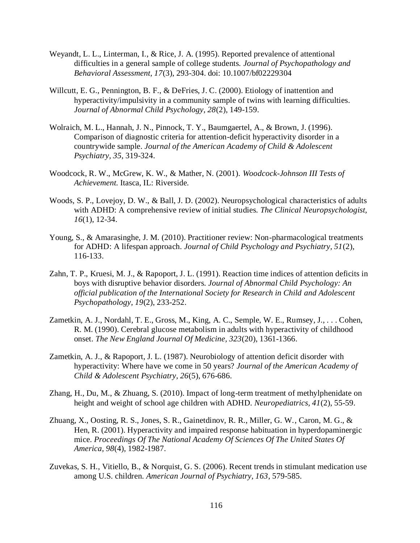- Weyandt, L. L., Linterman, I., & Rice, J. A. (1995). Reported prevalence of attentional difficulties in a general sample of college students. *Journal of Psychopathology and Behavioral Assessment, 17*(3), 293-304. doi: 10.1007/bf02229304
- Willcutt, E. G., Pennington, B. F., & DeFries, J. C. (2000). Etiology of inattention and hyperactivity/impulsivity in a community sample of twins with learning difficulties. *Journal of Abnormal Child Psychology, 28*(2), 149-159.
- Wolraich, M. L., Hannah, J. N., Pinnock, T. Y., Baumgaertel, A., & Brown, J. (1996). Comparison of diagnostic criteria for attention-deficit hyperactivity disorder in a countrywide sample. *Journal of the American Academy of Child & Adolescent Psychiatry, 35*, 319-324.
- Woodcock, R. W., McGrew, K. W., & Mather, N. (2001). *Woodcock-Johnson III Tests of Achievement.* Itasca, IL: Riverside.
- Woods, S. P., Lovejoy, D. W., & Ball, J. D. (2002). Neuropsychological characteristics of adults with ADHD: A comprehensive review of initial studies. *The Clinical Neuropsychologist, 16*(1), 12-34.
- Young, S., & Amarasinghe, J. M. (2010). Practitioner review: Non-pharmacological treatments for ADHD: A lifespan approach. *Journal of Child Psychology and Psychiatry, 51*(2), 116-133.
- Zahn, T. P., Kruesi, M. J., & Rapoport, J. L. (1991). Reaction time indices of attention deficits in boys with disruptive behavior disorders. *Journal of Abnormal Child Psychology: An official publication of the International Society for Research in Child and Adolescent Psychopathology, 19*(2), 233-252.
- Zametkin, A. J., Nordahl, T. E., Gross, M., King, A. C., Semple, W. E., Rumsey, J., . . . Cohen, R. M. (1990). Cerebral glucose metabolism in adults with hyperactivity of childhood onset. *The New England Journal Of Medicine, 323*(20), 1361-1366.
- Zametkin, A. J., & Rapoport, J. L. (1987). Neurobiology of attention deficit disorder with hyperactivity: Where have we come in 50 years? *Journal of the American Academy of Child & Adolescent Psychiatry, 26*(5), 676-686.
- Zhang, H., Du, M., & Zhuang, S. (2010). Impact of long-term treatment of methylphenidate on height and weight of school age children with ADHD. *Neuropediatrics, 41*(2), 55-59.
- Zhuang, X., Oosting, R. S., Jones, S. R., Gainetdinov, R. R., Miller, G. W., Caron, M. G., & Hen, R. (2001). Hyperactivity and impaired response habituation in hyperdopaminergic mice. *Proceedings Of The National Academy Of Sciences Of The United States Of America, 98*(4), 1982-1987.
- Zuvekas, S. H., Vitiello, B., & Norquist, G. S. (2006). Recent trends in stimulant medication use among U.S. children. *American Journal of Psychiatry, 163*, 579-585.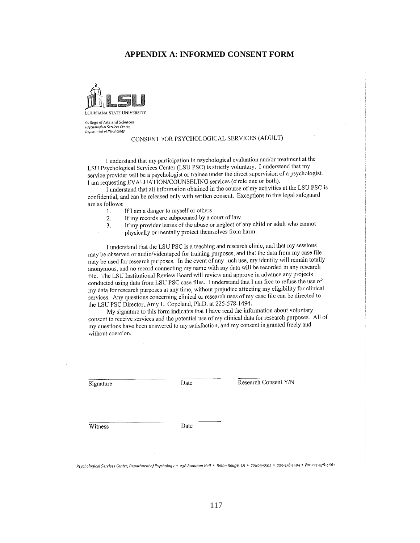#### **APPENDIX A: INFORMED CONSENT FORM**



**College of Arts and Sciences** Psychological Services Center<br>Department of Psychology

## CONSENT FOR PSYCHOLOGICAL SERVICES (ADULT)

I understand that my participation in psychological evaluation and/or treatment at the LSU Psychological Services Center (LSU PSC) is strictly voluntary. I understand that my service provider will be a psychologist or trainee under the direct supervision of a psychologist. I am requesting EVALUATION/COUNSELING services (circle one or both).

I understand that all information obtained in the course of my activities at the LSU PSC is confidential, and can be released only with written consent. Exceptions to this legal safeguard are as follows:

- If I am a danger to myself or others 1.
- If my records are subpoenaed by a court of law  $2.$
- If my provider learns of the abuse or neglect of any child or adult who cannot 3.
	- physically or mentally protect themselves from harm.

I understand that the LSU PSC is a teaching and research clinic, and that my sessions may be observed or audio/videotaped for training purposes, and that the data from my case file may be used for research purposes. In the event of any uch use, my identity will remain totally anonymous, and no record connecting my name with my data will be recorded in any research file. The LSU Institutional Review Board will review and approve in advance any projects conducted using data from LSU PSC case files. I understand that I am free to refuse the use of my data for research purposes at any time, without prejudice affecting my eligibility for clinical services. Any questions concerning clinical or research uses of my case file can be directed to the LSU PSC Director, Amy L. Copeland, Ph.D. at 225-578-1494.

My signature to this form indicates that I have read the information about voluntary consent to receive services and the potential use of my clinical data for research purposes. All of my questions have been answered to my satisfaction, and my consent is granted freely and without coercion.

Signature

Date

Research Consent Y/N

Witness

Date

Psychological Services Center, Department of Psychology • 236 Audubon Hall • Baton Rouge, LA • 70803-5501 • 225-578-1494 • Fax 225-578-4661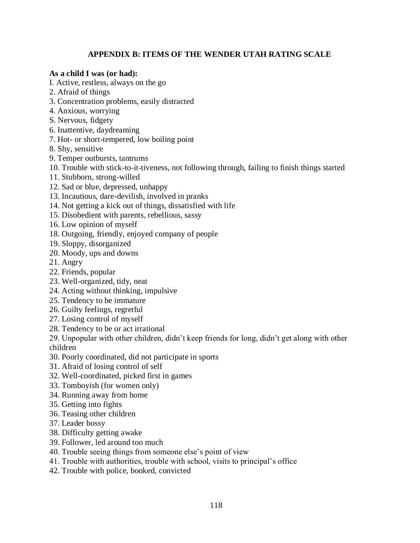# **APPENDIX B: ITEMS OF THE WENDER UTAH RATING SCALE**

## **As a child I was (or had):**

- I. Active, restless, always on the go
- 2. Afraid of things
- 3. Concentration problems, easily distracted
- 4. Anxious, worrying
- S. Nervous, fidgety
- 6. Inattentive, daydreaming
- 7. Hot- or short-tempered, low boiling point
- 8. Shy, sensitive
- 9. Temper outbursts, tantrums
- 10. Trouble with stick-to-it-tiveness, not following through, failing to finish things started
- 11. Stubborn, strong-willed
- 12. Sad or blue, depressed, unhappy
- 13. Incautious, dare-devilish, involved in pranks
- 14. Not getting a kick out of things, dissatisfied with life
- 15. Disobedient with parents, rebellious, sassy
- 16. Low opinion of myself
- 18. Outgoing, friendly, enjoyed company of people
- 19. Sloppy, disorganized
- 20. Moody, ups and downs
- 21. Angry
- 22. Friends, popular
- 23. Well-organized, tidy, neat
- 24. Acting without thinking, impulsive
- 25. Tendency to be immature
- 26. Guilty feelings, regretful
- 27. Losing control of myself
- 28. Tendency to be or act irrational
- 29. Unpopular with other children, didn't keep friends for long, didn't get along with other children
- 30. Poorly coordinated, did not participate in sports
- 31. Afraid of losing control of self
- 32. Well-coordinated, picked first in games
- 33. Tomboyish (for women only)
- 34. Running away from home
- 35. Getting into fights
- 36. Teasing other children
- 37. Leader bossy
- 38. Difficulty getting awake
- 39. Follower, led around too much
- 40. Trouble seeing things from someone else's point of view
- 41. Trouble with authorities, trouble with school, visits to principal's office
- 42. Trouble with police, booked, convicted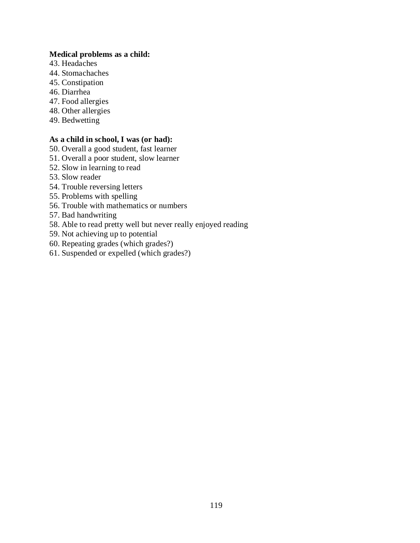#### **Medical problems as a child:**

- 43. Headaches
- 44. Stomachaches
- 45. Constipation
- 46. Diarrhea
- 47. Food allergies
- 48. Other allergies
- 49. Bedwetting

## **As a child in school, I was (or had):**

- 50. Overall a good student, fast learner
- 51. Overall a poor student, slow learner
- 52. Slow in learning to read
- 53. Slow reader
- 54. Trouble reversing letters
- 55. Problems with spelling
- 56. Trouble with mathematics or numbers
- 57. Bad handwriting
- 58. Able to read pretty well but never really enjoyed reading
- 59. Not achieving up to potential
- 60. Repeating grades (which grades?)
- 61. Suspended or expelled (which grades?)